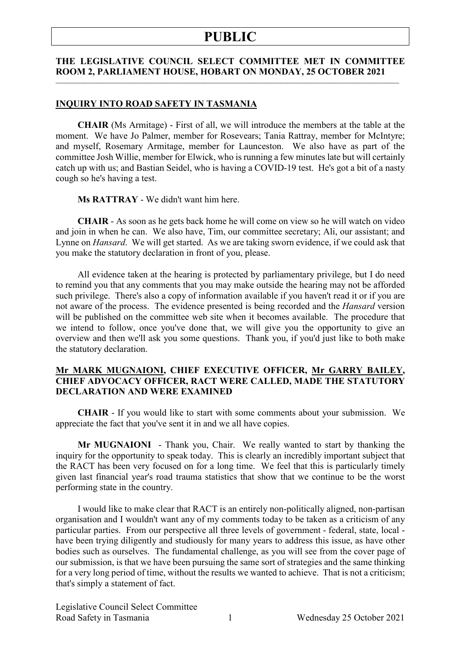#### **THE LEGISLATIVE COUNCIL SELECT COMMITTEE MET IN COMMITTEE ROOM 2, PARLIAMENT HOUSE, HOBART ON MONDAY, 25 OCTOBER 2021**

 $\frac{1}{\sqrt{2}}$  , and the contribution of  $\frac{1}{\sqrt{2}}$  , and  $\frac{1}{\sqrt{2}}$  , and  $\frac{1}{\sqrt{2}}$  , and  $\frac{1}{\sqrt{2}}$  , and  $\frac{1}{\sqrt{2}}$  , and  $\frac{1}{\sqrt{2}}$  , and  $\frac{1}{\sqrt{2}}$  , and  $\frac{1}{\sqrt{2}}$  , and  $\frac{1}{\sqrt{2}}$  , and  $\frac{1}{\sqrt{2}}$ 

#### **INQUIRY INTO ROAD SAFETY IN TASMANIA**

**CHAIR** (Ms Armitage) - First of all, we will introduce the members at the table at the moment. We have Jo Palmer, member for Rosevears; Tania Rattray, member for McIntyre; and myself, Rosemary Armitage, member for Launceston. We also have as part of the committee Josh Willie, member for Elwick, who is running a few minutes late but will certainly catch up with us; and Bastian Seidel, who is having a COVID-19 test. He's got a bit of a nasty cough so he's having a test.

**Ms RATTRAY** - We didn't want him here.

**CHAIR** - As soon as he gets back home he will come on view so he will watch on video and join in when he can. We also have, Tim, our committee secretary; Ali, our assistant; and Lynne on *Hansard*. We will get started. As we are taking sworn evidence, if we could ask that you make the statutory declaration in front of you, please.

All evidence taken at the hearing is protected by parliamentary privilege, but I do need to remind you that any comments that you may make outside the hearing may not be afforded such privilege. There's also a copy of information available if you haven't read it or if you are not aware of the process. The evidence presented is being recorded and the *Hansard* version will be published on the committee web site when it becomes available. The procedure that we intend to follow, once you've done that, we will give you the opportunity to give an overview and then we'll ask you some questions. Thank you, if you'd just like to both make the statutory declaration.

#### **Mr MARK MUGNAIONI, CHIEF EXECUTIVE OFFICER, Mr GARRY BAILEY, CHIEF ADVOCACY OFFICER, RACT WERE CALLED, MADE THE STATUTORY DECLARATION AND WERE EXAMINED**

**CHAIR** - If you would like to start with some comments about your submission. We appreciate the fact that you've sent it in and we all have copies.

**Mr MUGNAIONI** - Thank you, Chair. We really wanted to start by thanking the inquiry for the opportunity to speak today. This is clearly an incredibly important subject that the RACT has been very focused on for a long time. We feel that this is particularly timely given last financial year's road trauma statistics that show that we continue to be the worst performing state in the country.

I would like to make clear that RACT is an entirely non-politically aligned, non-partisan organisation and I wouldn't want any of my comments today to be taken as a criticism of any particular parties. From our perspective all three levels of government - federal, state, local have been trying diligently and studiously for many years to address this issue, as have other bodies such as ourselves. The fundamental challenge, as you will see from the cover page of our submission, is that we have been pursuing the same sort of strategies and the same thinking for a very long period of time, without the results we wanted to achieve. That is not a criticism; that's simply a statement of fact.

Legislative Council Select Committee Road Safety in Tasmania 1 Wednesday 25 October 2021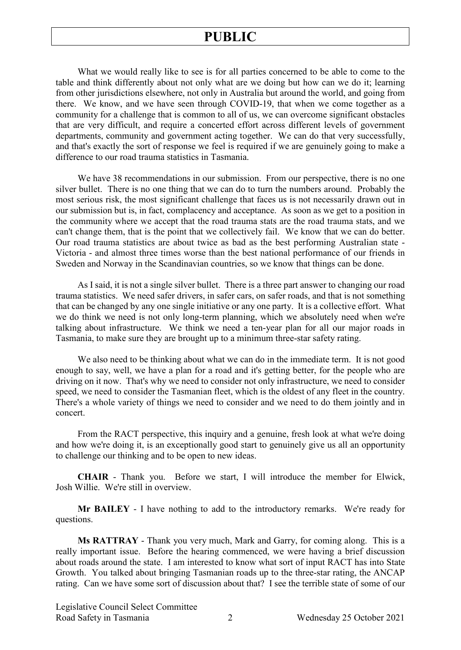What we would really like to see is for all parties concerned to be able to come to the table and think differently about not only what are we doing but how can we do it; learning from other jurisdictions elsewhere, not only in Australia but around the world, and going from there. We know, and we have seen through COVID-19, that when we come together as a community for a challenge that is common to all of us, we can overcome significant obstacles that are very difficult, and require a concerted effort across different levels of government departments, community and government acting together. We can do that very successfully, and that's exactly the sort of response we feel is required if we are genuinely going to make a difference to our road trauma statistics in Tasmania.

We have 38 recommendations in our submission. From our perspective, there is no one silver bullet. There is no one thing that we can do to turn the numbers around. Probably the most serious risk, the most significant challenge that faces us is not necessarily drawn out in our submission but is, in fact, complacency and acceptance. As soon as we get to a position in the community where we accept that the road trauma stats are the road trauma stats, and we can't change them, that is the point that we collectively fail. We know that we can do better. Our road trauma statistics are about twice as bad as the best performing Australian state - Victoria - and almost three times worse than the best national performance of our friends in Sweden and Norway in the Scandinavian countries, so we know that things can be done.

As I said, it is not a single silver bullet. There is a three part answer to changing our road trauma statistics. We need safer drivers, in safer cars, on safer roads, and that is not something that can be changed by any one single initiative or any one party. It is a collective effort. What we do think we need is not only long-term planning, which we absolutely need when we're talking about infrastructure. We think we need a ten-year plan for all our major roads in Tasmania, to make sure they are brought up to a minimum three-star safety rating.

We also need to be thinking about what we can do in the immediate term. It is not good enough to say, well, we have a plan for a road and it's getting better, for the people who are driving on it now. That's why we need to consider not only infrastructure, we need to consider speed, we need to consider the Tasmanian fleet, which is the oldest of any fleet in the country. There's a whole variety of things we need to consider and we need to do them jointly and in concert.

From the RACT perspective, this inquiry and a genuine, fresh look at what we're doing and how we're doing it, is an exceptionally good start to genuinely give us all an opportunity to challenge our thinking and to be open to new ideas.

**CHAIR** - Thank you. Before we start, I will introduce the member for Elwick, Josh Willie. We're still in overview.

**Mr BAILEY** - I have nothing to add to the introductory remarks. We're ready for questions.

**Ms RATTRAY** - Thank you very much, Mark and Garry, for coming along. This is a really important issue. Before the hearing commenced, we were having a brief discussion about roads around the state. I am interested to know what sort of input RACT has into State Growth. You talked about bringing Tasmanian roads up to the three-star rating, the ANCAP rating. Can we have some sort of discussion about that? I see the terrible state of some of our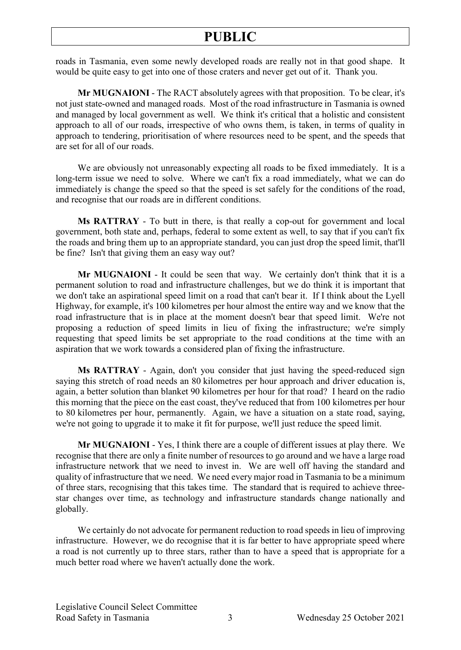roads in Tasmania, even some newly developed roads are really not in that good shape. It would be quite easy to get into one of those craters and never get out of it. Thank you.

**Mr MUGNAIONI** - The RACT absolutely agrees with that proposition. To be clear, it's not just state-owned and managed roads. Most of the road infrastructure in Tasmania is owned and managed by local government as well. We think it's critical that a holistic and consistent approach to all of our roads, irrespective of who owns them, is taken, in terms of quality in approach to tendering, prioritisation of where resources need to be spent, and the speeds that are set for all of our roads.

We are obviously not unreasonably expecting all roads to be fixed immediately. It is a long-term issue we need to solve. Where we can't fix a road immediately, what we can do immediately is change the speed so that the speed is set safely for the conditions of the road, and recognise that our roads are in different conditions.

**Ms RATTRAY** - To butt in there, is that really a cop-out for government and local government, both state and, perhaps, federal to some extent as well, to say that if you can't fix the roads and bring them up to an appropriate standard, you can just drop the speed limit, that'll be fine? Isn't that giving them an easy way out?

**Mr MUGNAIONI** - It could be seen that way. We certainly don't think that it is a permanent solution to road and infrastructure challenges, but we do think it is important that we don't take an aspirational speed limit on a road that can't bear it. If I think about the Lyell Highway, for example, it's 100 kilometres per hour almost the entire way and we know that the road infrastructure that is in place at the moment doesn't bear that speed limit. We're not proposing a reduction of speed limits in lieu of fixing the infrastructure; we're simply requesting that speed limits be set appropriate to the road conditions at the time with an aspiration that we work towards a considered plan of fixing the infrastructure.

**Ms RATTRAY** - Again, don't you consider that just having the speed-reduced sign saying this stretch of road needs an 80 kilometres per hour approach and driver education is, again, a better solution than blanket 90 kilometres per hour for that road? I heard on the radio this morning that the piece on the east coast, they've reduced that from 100 kilometres per hour to 80 kilometres per hour, permanently. Again, we have a situation on a state road, saying, we're not going to upgrade it to make it fit for purpose, we'll just reduce the speed limit.

**Mr MUGNAIONI** - Yes, I think there are a couple of different issues at play there. We recognise that there are only a finite number of resources to go around and we have a large road infrastructure network that we need to invest in. We are well off having the standard and quality of infrastructure that we need. We need every major road in Tasmania to be a minimum of three stars, recognising that this takes time. The standard that is required to achieve threestar changes over time, as technology and infrastructure standards change nationally and globally.

We certainly do not advocate for permanent reduction to road speeds in lieu of improving infrastructure. However, we do recognise that it is far better to have appropriate speed where a road is not currently up to three stars, rather than to have a speed that is appropriate for a much better road where we haven't actually done the work.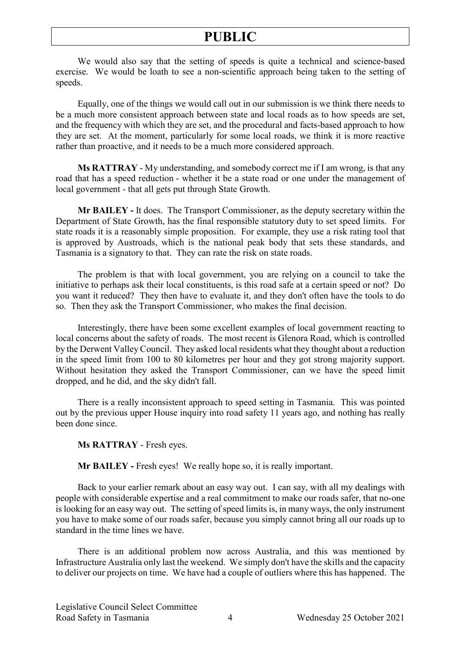We would also say that the setting of speeds is quite a technical and science-based exercise. We would be loath to see a non-scientific approach being taken to the setting of speeds.

Equally, one of the things we would call out in our submission is we think there needs to be a much more consistent approach between state and local roads as to how speeds are set, and the frequency with which they are set, and the procedural and facts-based approach to how they are set. At the moment, particularly for some local roads, we think it is more reactive rather than proactive, and it needs to be a much more considered approach.

**Ms RATTRAY** - My understanding, and somebody correct me if I am wrong, is that any road that has a speed reduction - whether it be a state road or one under the management of local government - that all gets put through State Growth.

**Mr BAILEY -** It does. The Transport Commissioner, as the deputy secretary within the Department of State Growth, has the final responsible statutory duty to set speed limits. For state roads it is a reasonably simple proposition. For example, they use a risk rating tool that is approved by Austroads, which is the national peak body that sets these standards, and Tasmania is a signatory to that. They can rate the risk on state roads.

The problem is that with local government, you are relying on a council to take the initiative to perhaps ask their local constituents, is this road safe at a certain speed or not? Do you want it reduced? They then have to evaluate it, and they don't often have the tools to do so. Then they ask the Transport Commissioner, who makes the final decision.

Interestingly, there have been some excellent examples of local government reacting to local concerns about the safety of roads. The most recent is Glenora Road, which is controlled by the Derwent Valley Council. They asked local residents what they thought about a reduction in the speed limit from 100 to 80 kilometres per hour and they got strong majority support. Without hesitation they asked the Transport Commissioner, can we have the speed limit dropped, and he did, and the sky didn't fall.

There is a really inconsistent approach to speed setting in Tasmania. This was pointed out by the previous upper House inquiry into road safety 11 years ago, and nothing has really been done since.

**Ms RATTRAY** - Fresh eyes.

**Mr BAILEY -** Fresh eyes! We really hope so, it is really important.

Back to your earlier remark about an easy way out. I can say, with all my dealings with people with considerable expertise and a real commitment to make our roads safer, that no-one is looking for an easy way out. The setting of speed limits is, in many ways, the only instrument you have to make some of our roads safer, because you simply cannot bring all our roads up to standard in the time lines we have.

There is an additional problem now across Australia, and this was mentioned by Infrastructure Australia only last the weekend. We simply don't have the skills and the capacity to deliver our projects on time. We have had a couple of outliers where this has happened. The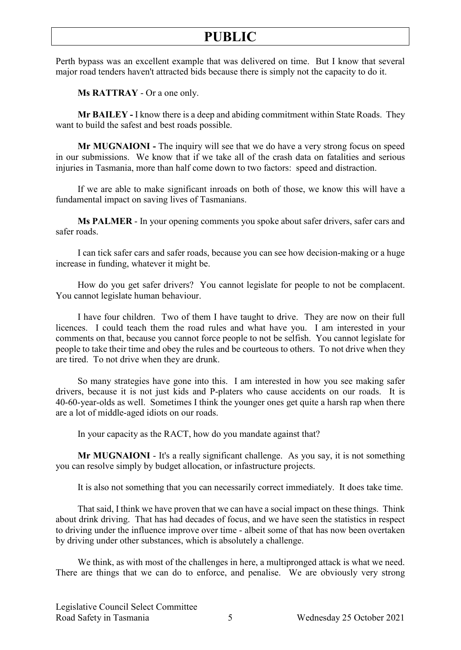Perth bypass was an excellent example that was delivered on time. But I know that several major road tenders haven't attracted bids because there is simply not the capacity to do it.

**Ms RATTRAY** - Or a one only.

**Mr BAILEY -** I know there is a deep and abiding commitment within State Roads. They want to build the safest and best roads possible.

**Mr MUGNAIONI -** The inquiry will see that we do have a very strong focus on speed in our submissions. We know that if we take all of the crash data on fatalities and serious injuries in Tasmania, more than half come down to two factors: speed and distraction.

If we are able to make significant inroads on both of those, we know this will have a fundamental impact on saving lives of Tasmanians.

**Ms PALMER** - In your opening comments you spoke about safer drivers, safer cars and safer roads.

I can tick safer cars and safer roads, because you can see how decision-making or a huge increase in funding, whatever it might be.

How do you get safer drivers? You cannot legislate for people to not be complacent. You cannot legislate human behaviour.

I have four children. Two of them I have taught to drive. They are now on their full licences. I could teach them the road rules and what have you. I am interested in your comments on that, because you cannot force people to not be selfish. You cannot legislate for people to take their time and obey the rules and be courteous to others. To not drive when they are tired. To not drive when they are drunk.

So many strategies have gone into this. I am interested in how you see making safer drivers, because it is not just kids and P-platers who cause accidents on our roads. It is 40-60-year-olds as well. Sometimes I think the younger ones get quite a harsh rap when there are a lot of middle-aged idiots on our roads.

In your capacity as the RACT, how do you mandate against that?

**Mr MUGNAIONI** - It's a really significant challenge. As you say, it is not something you can resolve simply by budget allocation, or infastructure projects.

It is also not something that you can necessarily correct immediately. It does take time.

That said, I think we have proven that we can have a social impact on these things. Think about drink driving. That has had decades of focus, and we have seen the statistics in respect to driving under the influence improve over time - albeit some of that has now been overtaken by driving under other substances, which is absolutely a challenge.

We think, as with most of the challenges in here, a multipronged attack is what we need. There are things that we can do to enforce, and penalise. We are obviously very strong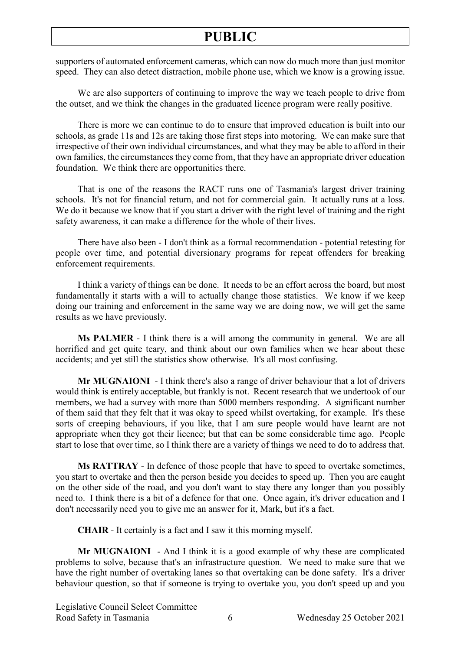supporters of automated enforcement cameras, which can now do much more than just monitor speed. They can also detect distraction, mobile phone use, which we know is a growing issue.

We are also supporters of continuing to improve the way we teach people to drive from the outset, and we think the changes in the graduated licence program were really positive.

There is more we can continue to do to ensure that improved education is built into our schools, as grade 11s and 12s are taking those first steps into motoring. We can make sure that irrespective of their own individual circumstances, and what they may be able to afford in their own families, the circumstances they come from, that they have an appropriate driver education foundation. We think there are opportunities there.

That is one of the reasons the RACT runs one of Tasmania's largest driver training schools. It's not for financial return, and not for commercial gain. It actually runs at a loss. We do it because we know that if you start a driver with the right level of training and the right safety awareness, it can make a difference for the whole of their lives.

There have also been - I don't think as a formal recommendation - potential retesting for people over time, and potential diversionary programs for repeat offenders for breaking enforcement requirements.

I think a variety of things can be done. It needs to be an effort across the board, but most fundamentally it starts with a will to actually change those statistics. We know if we keep doing our training and enforcement in the same way we are doing now, we will get the same results as we have previously.

**Ms PALMER** - I think there is a will among the community in general. We are all horrified and get quite teary, and think about our own families when we hear about these accidents; and yet still the statistics show otherwise. It's all most confusing.

**Mr MUGNAIONI** - I think there's also a range of driver behaviour that a lot of drivers would think is entirely acceptable, but frankly is not. Recent research that we undertook of our members, we had a survey with more than 5000 members responding. A significant number of them said that they felt that it was okay to speed whilst overtaking, for example. It's these sorts of creeping behaviours, if you like, that I am sure people would have learnt are not appropriate when they got their licence; but that can be some considerable time ago. People start to lose that over time, so I think there are a variety of things we need to do to address that.

**Ms RATTRAY** - In defence of those people that have to speed to overtake sometimes, you start to overtake and then the person beside you decides to speed up. Then you are caught on the other side of the road, and you don't want to stay there any longer than you possibly need to. I think there is a bit of a defence for that one. Once again, it's driver education and I don't necessarily need you to give me an answer for it, Mark, but it's a fact.

**CHAIR** - It certainly is a fact and I saw it this morning myself.

**Mr MUGNAIONI** - And I think it is a good example of why these are complicated problems to solve, because that's an infrastructure question. We need to make sure that we have the right number of overtaking lanes so that overtaking can be done safety. It's a driver behaviour question, so that if someone is trying to overtake you, you don't speed up and you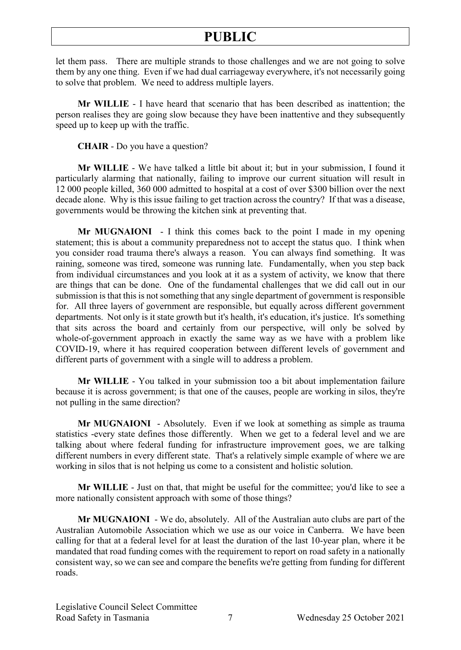let them pass. There are multiple strands to those challenges and we are not going to solve them by any one thing. Even if we had dual carriageway everywhere, it's not necessarily going to solve that problem. We need to address multiple layers.

**Mr WILLIE** - I have heard that scenario that has been described as inattention; the person realises they are going slow because they have been inattentive and they subsequently speed up to keep up with the traffic.

**CHAIR** - Do you have a question?

**Mr WILLIE** - We have talked a little bit about it; but in your submission, I found it particularly alarming that nationally, failing to improve our current situation will result in 12 000 people killed, 360 000 admitted to hospital at a cost of over \$300 billion over the next decade alone. Why is this issue failing to get traction across the country? If that was a disease, governments would be throwing the kitchen sink at preventing that.

**Mr MUGNAIONI** - I think this comes back to the point I made in my opening statement; this is about a community preparedness not to accept the status quo. I think when you consider road trauma there's always a reason. You can always find something. It was raining, someone was tired, someone was running late. Fundamentally, when you step back from individual circumstances and you look at it as a system of activity, we know that there are things that can be done. One of the fundamental challenges that we did call out in our submission is that this is not something that any single department of government is responsible for. All three layers of government are responsible, but equally across different government departments. Not only is it state growth but it's health, it's education, it's justice. It's something that sits across the board and certainly from our perspective, will only be solved by whole-of-government approach in exactly the same way as we have with a problem like COVID-19, where it has required cooperation between different levels of government and different parts of government with a single will to address a problem.

**Mr WILLIE** - You talked in your submission too a bit about implementation failure because it is across government; is that one of the causes, people are working in silos, they're not pulling in the same direction?

**Mr MUGNAIONI** - Absolutely. Even if we look at something as simple as trauma statistics -every state defines those differently. When we get to a federal level and we are talking about where federal funding for infrastructure improvement goes, we are talking different numbers in every different state. That's a relatively simple example of where we are working in silos that is not helping us come to a consistent and holistic solution.

**Mr WILLIE** - Just on that, that might be useful for the committee; you'd like to see a more nationally consistent approach with some of those things?

**Mr MUGNAIONI** - We do, absolutely. All of the Australian auto clubs are part of the Australian Automobile Association which we use as our voice in Canberra. We have been calling for that at a federal level for at least the duration of the last 10-year plan, where it be mandated that road funding comes with the requirement to report on road safety in a nationally consistent way, so we can see and compare the benefits we're getting from funding for different roads.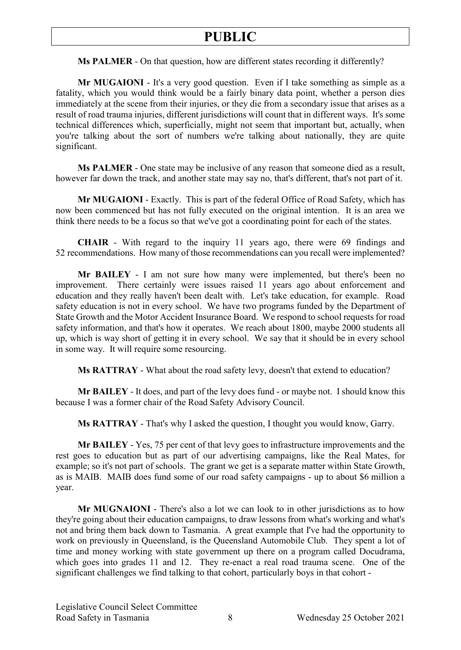**Ms PALMER** - On that question, how are different states recording it differently?

**Mr MUGAIONI** - It's a very good question. Even if I take something as simple as a fatality, which you would think would be a fairly binary data point, whether a person dies immediately at the scene from their injuries, or they die from a secondary issue that arises as a result of road trauma injuries, different jurisdictions will count that in different ways. It's some technical differences which, superficially, might not seem that important but, actually, when you're talking about the sort of numbers we're talking about nationally, they are quite significant.

**Ms PALMER** - One state may be inclusive of any reason that someone died as a result, however far down the track, and another state may say no, that's different, that's not part of it.

**Mr MUGAIONI** - Exactly. This is part of the federal Office of Road Safety, which has now been commenced but has not fully executed on the original intention. It is an area we think there needs to be a focus so that we've got a coordinating point for each of the states.

**CHAIR** - With regard to the inquiry 11 years ago, there were 69 findings and 52 recommendations. How many of those recommendations can you recall were implemented?

**Mr BAILEY** - I am not sure how many were implemented, but there's been no improvement. There certainly were issues raised 11 years ago about enforcement and education and they really haven't been dealt with. Let's take education, for example. Road safety education is not in every school. We have two programs funded by the Department of State Growth and the Motor Accident Insurance Board. We respond to school requests for road safety information, and that's how it operates. We reach about 1800, maybe 2000 students all up, which is way short of getting it in every school. We say that it should be in every school in some way. It will require some resourcing.

**Ms RATTRAY** - What about the road safety levy, doesn't that extend to education?

**Mr BAILEY** - It does, and part of the levy does fund - or maybe not. I should know this because I was a former chair of the Road Safety Advisory Council.

**Ms RATTRAY** - That's why I asked the question, I thought you would know, Garry.

**Mr BAILEY** - Yes, 75 per cent of that levy goes to infrastructure improvements and the rest goes to education but as part of our advertising campaigns, like the Real Mates, for example; so it's not part of schools. The grant we get is a separate matter within State Growth, as is MAIB. MAIB does fund some of our road safety campaigns - up to about \$6 million a year.

**Mr MUGNAIONI** - There's also a lot we can look to in other jurisdictions as to how they're going about their education campaigns, to draw lessons from what's working and what's not and bring them back down to Tasmania. A great example that I've had the opportunity to work on previously in Queensland, is the Queensland Automobile Club. They spent a lot of time and money working with state government up there on a program called Docudrama, which goes into grades 11 and 12. They re-enact a real road trauma scene. One of the significant challenges we find talking to that cohort, particularly boys in that cohort -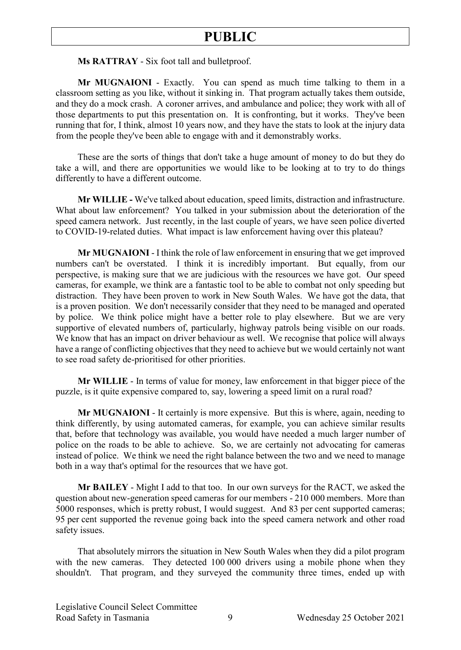**Ms RATTRAY** - Six foot tall and bulletproof.

**Mr MUGNAIONI** - Exactly. You can spend as much time talking to them in a classroom setting as you like, without it sinking in. That program actually takes them outside, and they do a mock crash. A coroner arrives, and ambulance and police; they work with all of those departments to put this presentation on. It is confronting, but it works. They've been running that for, I think, almost 10 years now, and they have the stats to look at the injury data from the people they've been able to engage with and it demonstrably works.

These are the sorts of things that don't take a huge amount of money to do but they do take a will, and there are opportunities we would like to be looking at to try to do things differently to have a different outcome.

**Mr WILLIE -** We've talked about education, speed limits, distraction and infrastructure. What about law enforcement? You talked in your submission about the deterioration of the speed camera network. Just recently, in the last couple of years, we have seen police diverted to COVID-19-related duties. What impact is law enforcement having over this plateau?

**Mr MUGNAIONI** - I think the role of law enforcement in ensuring that we get improved numbers can't be overstated. I think it is incredibly important. But equally, from our perspective, is making sure that we are judicious with the resources we have got. Our speed cameras, for example, we think are a fantastic tool to be able to combat not only speeding but distraction. They have been proven to work in New South Wales. We have got the data, that is a proven position. We don't necessarily consider that they need to be managed and operated by police. We think police might have a better role to play elsewhere. But we are very supportive of elevated numbers of, particularly, highway patrols being visible on our roads. We know that has an impact on driver behaviour as well. We recognise that police will always have a range of conflicting objectives that they need to achieve but we would certainly not want to see road safety de-prioritised for other priorities.

**Mr WILLIE** - In terms of value for money, law enforcement in that bigger piece of the puzzle, is it quite expensive compared to, say, lowering a speed limit on a rural road?

**Mr MUGNAIONI** - It certainly is more expensive. But this is where, again, needing to think differently, by using automated cameras, for example, you can achieve similar results that, before that technology was available, you would have needed a much larger number of police on the roads to be able to achieve. So, we are certainly not advocating for cameras instead of police. We think we need the right balance between the two and we need to manage both in a way that's optimal for the resources that we have got.

**Mr BAILEY** - Might I add to that too. In our own surveys for the RACT, we asked the question about new-generation speed cameras for our members - 210 000 members. More than 5000 responses, which is pretty robust, I would suggest. And 83 per cent supported cameras; 95 per cent supported the revenue going back into the speed camera network and other road safety issues.

That absolutely mirrors the situation in New South Wales when they did a pilot program with the new cameras. They detected 100 000 drivers using a mobile phone when they shouldn't. That program, and they surveyed the community three times, ended up with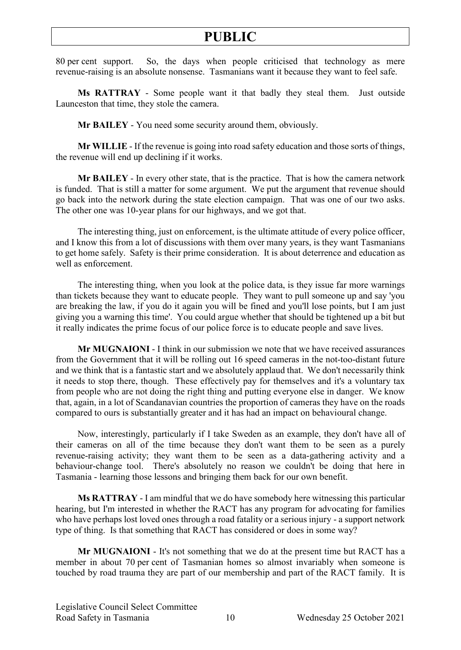80 per cent support. So, the days when people criticised that technology as mere revenue-raising is an absolute nonsense. Tasmanians want it because they want to feel safe.

**Ms RATTRAY** - Some people want it that badly they steal them. Just outside Launceston that time, they stole the camera.

**Mr BAILEY** - You need some security around them, obviously.

**Mr WILLIE** - If the revenue is going into road safety education and those sorts of things, the revenue will end up declining if it works.

**Mr BAILEY** - In every other state, that is the practice. That is how the camera network is funded. That is still a matter for some argument. We put the argument that revenue should go back into the network during the state election campaign. That was one of our two asks. The other one was 10-year plans for our highways, and we got that.

The interesting thing, just on enforcement, is the ultimate attitude of every police officer, and I know this from a lot of discussions with them over many years, is they want Tasmanians to get home safely. Safety is their prime consideration. It is about deterrence and education as well as enforcement.

The interesting thing, when you look at the police data, is they issue far more warnings than tickets because they want to educate people. They want to pull someone up and say 'you are breaking the law, if you do it again you will be fined and you'll lose points, but I am just giving you a warning this time'. You could argue whether that should be tightened up a bit but it really indicates the prime focus of our police force is to educate people and save lives.

**Mr MUGNAIONI** - I think in our submission we note that we have received assurances from the Government that it will be rolling out 16 speed cameras in the not-too-distant future and we think that is a fantastic start and we absolutely applaud that. We don't necessarily think it needs to stop there, though. These effectively pay for themselves and it's a voluntary tax from people who are not doing the right thing and putting everyone else in danger. We know that, again, in a lot of Scandanavian countries the proportion of cameras they have on the roads compared to ours is substantially greater and it has had an impact on behavioural change.

Now, interestingly, particularly if I take Sweden as an example, they don't have all of their cameras on all of the time because they don't want them to be seen as a purely revenue-raising activity; they want them to be seen as a data-gathering activity and a behaviour-change tool. There's absolutely no reason we couldn't be doing that here in Tasmania - learning those lessons and bringing them back for our own benefit.

**Ms RATTRAY** - I am mindful that we do have somebody here witnessing this particular hearing, but I'm interested in whether the RACT has any program for advocating for families who have perhaps lost loved ones through a road fatality or a serious injury - a support network type of thing. Is that something that RACT has considered or does in some way?

**Mr MUGNAIONI** - It's not something that we do at the present time but RACT has a member in about 70 per cent of Tasmanian homes so almost invariably when someone is touched by road trauma they are part of our membership and part of the RACT family. It is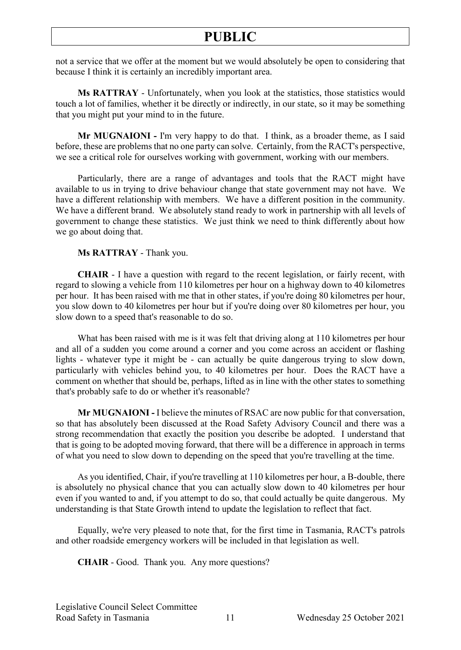not a service that we offer at the moment but we would absolutely be open to considering that because I think it is certainly an incredibly important area.

**Ms RATTRAY** - Unfortunately, when you look at the statistics, those statistics would touch a lot of families, whether it be directly or indirectly, in our state, so it may be something that you might put your mind to in the future.

**Mr MUGNAIONI -** I'm very happy to do that. I think, as a broader theme, as I said before, these are problems that no one party can solve. Certainly, from the RACT's perspective, we see a critical role for ourselves working with government, working with our members.

Particularly, there are a range of advantages and tools that the RACT might have available to us in trying to drive behaviour change that state government may not have. We have a different relationship with members. We have a different position in the community. We have a different brand. We absolutely stand ready to work in partnership with all levels of government to change these statistics. We just think we need to think differently about how we go about doing that.

**Ms RATTRAY** - Thank you.

**CHAIR** - I have a question with regard to the recent legislation, or fairly recent, with regard to slowing a vehicle from 110 kilometres per hour on a highway down to 40 kilometres per hour. It has been raised with me that in other states, if you're doing 80 kilometres per hour, you slow down to 40 kilometres per hour but if you're doing over 80 kilometres per hour, you slow down to a speed that's reasonable to do so.

What has been raised with me is it was felt that driving along at 110 kilometres per hour and all of a sudden you come around a corner and you come across an accident or flashing lights - whatever type it might be - can actually be quite dangerous trying to slow down, particularly with vehicles behind you, to 40 kilometres per hour. Does the RACT have a comment on whether that should be, perhaps, lifted as in line with the other states to something that's probably safe to do or whether it's reasonable?

**Mr MUGNAIONI -** I believe the minutes of RSAC are now public for that conversation, so that has absolutely been discussed at the Road Safety Advisory Council and there was a strong recommendation that exactly the position you describe be adopted. I understand that that is going to be adopted moving forward, that there will be a difference in approach in terms of what you need to slow down to depending on the speed that you're travelling at the time.

As you identified, Chair, if you're travelling at 110 kilometres per hour, a B-double, there is absolutely no physical chance that you can actually slow down to 40 kilometres per hour even if you wanted to and, if you attempt to do so, that could actually be quite dangerous. My understanding is that State Growth intend to update the legislation to reflect that fact.

Equally, we're very pleased to note that, for the first time in Tasmania, RACT's patrols and other roadside emergency workers will be included in that legislation as well.

**CHAIR** - Good. Thank you. Any more questions?

Legislative Council Select Committee Road Safety in Tasmania 11 Wednesday 25 October 2021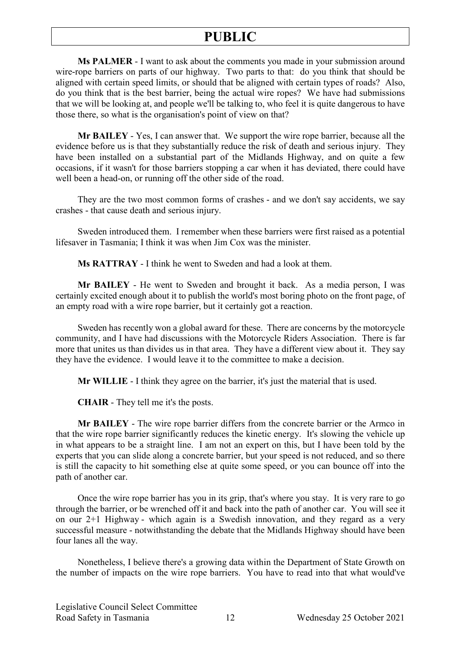**Ms PALMER** - I want to ask about the comments you made in your submission around wire-rope barriers on parts of our highway. Two parts to that: do you think that should be aligned with certain speed limits, or should that be aligned with certain types of roads? Also, do you think that is the best barrier, being the actual wire ropes? We have had submissions that we will be looking at, and people we'll be talking to, who feel it is quite dangerous to have those there, so what is the organisation's point of view on that?

**Mr BAILEY** - Yes, I can answer that. We support the wire rope barrier, because all the evidence before us is that they substantially reduce the risk of death and serious injury. They have been installed on a substantial part of the Midlands Highway, and on quite a few occasions, if it wasn't for those barriers stopping a car when it has deviated, there could have well been a head-on, or running off the other side of the road.

They are the two most common forms of crashes - and we don't say accidents, we say crashes - that cause death and serious injury.

Sweden introduced them. I remember when these barriers were first raised as a potential lifesaver in Tasmania; I think it was when Jim Cox was the minister.

**Ms RATTRAY** - I think he went to Sweden and had a look at them.

**Mr BAILEY** - He went to Sweden and brought it back. As a media person, I was certainly excited enough about it to publish the world's most boring photo on the front page, of an empty road with a wire rope barrier, but it certainly got a reaction.

Sweden has recently won a global award for these. There are concerns by the motorcycle community, and I have had discussions with the Motorcycle Riders Association. There is far more that unites us than divides us in that area. They have a different view about it. They say they have the evidence. I would leave it to the committee to make a decision.

**Mr WILLIE** - I think they agree on the barrier, it's just the material that is used.

**CHAIR** - They tell me it's the posts.

**Mr BAILEY** - The wire rope barrier differs from the concrete barrier or the Armco in that the wire rope barrier significantly reduces the kinetic energy. It's slowing the vehicle up in what appears to be a straight line. I am not an expert on this, but I have been told by the experts that you can slide along a concrete barrier, but your speed is not reduced, and so there is still the capacity to hit something else at quite some speed, or you can bounce off into the path of another car.

Once the wire rope barrier has you in its grip, that's where you stay. It is very rare to go through the barrier, or be wrenched off it and back into the path of another car. You will see it on our 2+1 Highway - which again is a Swedish innovation, and they regard as a very successful measure - notwithstanding the debate that the Midlands Highway should have been four lanes all the way.

Nonetheless, I believe there's a growing data within the Department of State Growth on the number of impacts on the wire rope barriers. You have to read into that what would've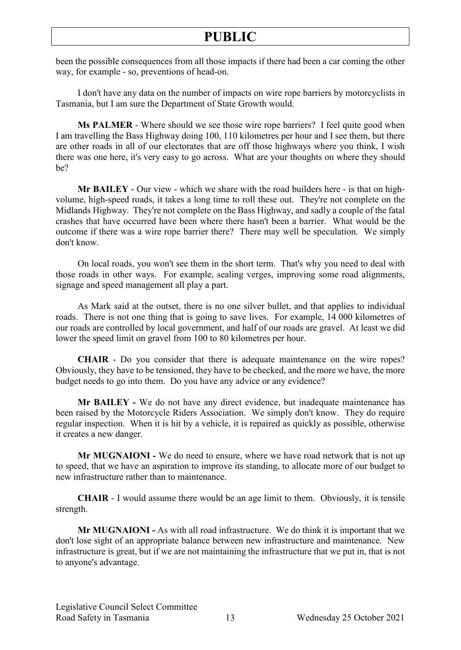been the possible consequences from all those impacts if there had been a car coming the other way, for example - so, preventions of head-on.

I don't have any data on the number of impacts on wire rope barriers by motorcyclists in Tasmania, but I am sure the Department of State Growth would.

**Ms PALMER** - Where should we see those wire rope barriers? I feel quite good when I am travelling the Bass Highway doing 100, 110 kilometres per hour and I see them, but there are other roads in all of our electorates that are off those highways where you think, I wish there was one here, it's very easy to go across. What are your thoughts on where they should be?

**Mr BAILEY** - Our view - which we share with the road builders here - is that on highvolume, high-speed roads, it takes a long time to roll these out. They're not complete on the Midlands Highway. They're not complete on the Bass Highway, and sadly a couple of the fatal crashes that have occurred have been where there hasn't been a barrier. What would be the outcome if there was a wire rope barrier there? There may well be speculation. We simply don't know.

On local roads, you won't see them in the short term. That's why you need to deal with those roads in other ways. For example, sealing verges, improving some road alignments, signage and speed management all play a part.

As Mark said at the outset, there is no one silver bullet, and that applies to individual roads. There is not one thing that is going to save lives. For example, 14 000 kilometres of our roads are controlled by local government, and half of our roads are gravel. At least we did lower the speed limit on gravel from 100 to 80 kilometres per hour.

**CHAIR** - Do you consider that there is adequate maintenance on the wire ropes? Obviously, they have to be tensioned, they have to be checked, and the more we have, the more budget needs to go into them. Do you have any advice or any evidence?

**Mr BAILEY -** We do not have any direct evidence, but inadequate maintenance has been raised by the Motorcycle Riders Association. We simply don't know. They do require regular inspection. When it is hit by a vehicle, it is repaired as quickly as possible, otherwise it creates a new danger.

**Mr MUGNAIONI -** We do need to ensure, where we have road network that is not up to speed, that we have an aspiration to improve its standing, to allocate more of our budget to new infrastructure rather than to maintenance.

**CHAIR** - I would assume there would be an age limit to them. Obviously, it is tensile strength.

**Mr MUGNAIONI -** As with all road infrastructure. We do think it is important that we don't lose sight of an appropriate balance between new infrastructure and maintenance. New infrastructure is great, but if we are not maintaining the infrastructure that we put in, that is not to anyone's advantage.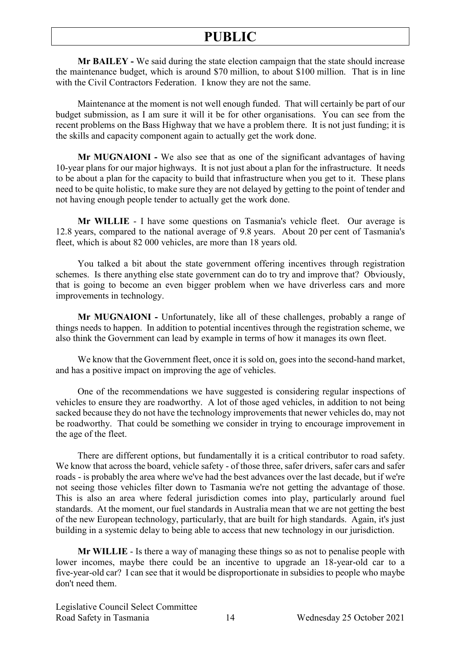**Mr BAILEY -** We said during the state election campaign that the state should increase the maintenance budget, which is around \$70 million, to about \$100 million. That is in line with the Civil Contractors Federation. I know they are not the same.

Maintenance at the moment is not well enough funded. That will certainly be part of our budget submission, as I am sure it will it be for other organisations. You can see from the recent problems on the Bass Highway that we have a problem there. It is not just funding; it is the skills and capacity component again to actually get the work done.

**Mr MUGNAIONI -** We also see that as one of the significant advantages of having 10-year plans for our major highways. It is not just about a plan for the infrastructure. It needs to be about a plan for the capacity to build that infrastructure when you get to it. These plans need to be quite holistic, to make sure they are not delayed by getting to the point of tender and not having enough people tender to actually get the work done.

**Mr WILLIE** - I have some questions on Tasmania's vehicle fleet. Our average is 12.8 years, compared to the national average of 9.8 years. About 20 per cent of Tasmania's fleet, which is about 82 000 vehicles, are more than 18 years old.

You talked a bit about the state government offering incentives through registration schemes. Is there anything else state government can do to try and improve that? Obviously, that is going to become an even bigger problem when we have driverless cars and more improvements in technology.

**Mr MUGNAIONI -** Unfortunately, like all of these challenges, probably a range of things needs to happen. In addition to potential incentives through the registration scheme, we also think the Government can lead by example in terms of how it manages its own fleet.

We know that the Government fleet, once it is sold on, goes into the second-hand market, and has a positive impact on improving the age of vehicles.

One of the recommendations we have suggested is considering regular inspections of vehicles to ensure they are roadworthy. A lot of those aged vehicles, in addition to not being sacked because they do not have the technology improvements that newer vehicles do, may not be roadworthy. That could be something we consider in trying to encourage improvement in the age of the fleet.

There are different options, but fundamentally it is a critical contributor to road safety. We know that across the board, vehicle safety - of those three, safer drivers, safer cars and safer roads - is probably the area where we've had the best advances over the last decade, but if we're not seeing those vehicles filter down to Tasmania we're not getting the advantage of those. This is also an area where federal jurisdiction comes into play, particularly around fuel standards. At the moment, our fuel standards in Australia mean that we are not getting the best of the new European technology, particularly, that are built for high standards. Again, it's just building in a systemic delay to being able to access that new technology in our jurisdiction.

**Mr WILLIE** - Is there a way of managing these things so as not to penalise people with lower incomes, maybe there could be an incentive to upgrade an 18-year-old car to a five-year-old car? I can see that it would be disproportionate in subsidies to people who maybe don't need them.

Legislative Council Select Committee Road Safety in Tasmania 14 Wednesday 25 October 2021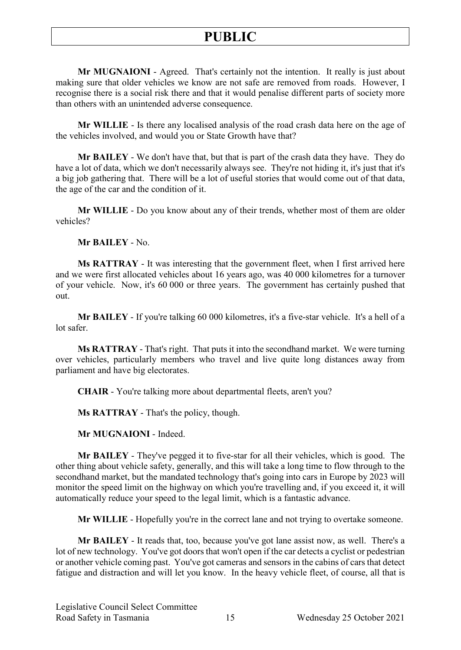**Mr MUGNAIONI** - Agreed. That's certainly not the intention. It really is just about making sure that older vehicles we know are not safe are removed from roads. However, I recognise there is a social risk there and that it would penalise different parts of society more than others with an unintended adverse consequence.

**Mr WILLIE** - Is there any localised analysis of the road crash data here on the age of the vehicles involved, and would you or State Growth have that?

**Mr BAILEY** - We don't have that, but that is part of the crash data they have. They do have a lot of data, which we don't necessarily always see. They're not hiding it, it's just that it's a big job gathering that. There will be a lot of useful stories that would come out of that data, the age of the car and the condition of it.

**Mr WILLIE** - Do you know about any of their trends, whether most of them are older vehicles?

**Mr BAILEY** - No.

**Ms RATTRAY** - It was interesting that the government fleet, when I first arrived here and we were first allocated vehicles about 16 years ago, was 40 000 kilometres for a turnover of your vehicle. Now, it's 60 000 or three years. The government has certainly pushed that out.

**Mr BAILEY** - If you're talking 60 000 kilometres, it's a five-star vehicle. It's a hell of a lot safer.

**Ms RATTRAY** - That's right. That puts it into the secondhand market. We were turning over vehicles, particularly members who travel and live quite long distances away from parliament and have big electorates.

**CHAIR** - You're talking more about departmental fleets, aren't you?

**Ms RATTRAY** - That's the policy, though.

**Mr MUGNAIONI** - Indeed.

**Mr BAILEY** - They've pegged it to five-star for all their vehicles, which is good. The other thing about vehicle safety, generally, and this will take a long time to flow through to the secondhand market, but the mandated technology that's going into cars in Europe by 2023 will monitor the speed limit on the highway on which you're travelling and, if you exceed it, it will automatically reduce your speed to the legal limit, which is a fantastic advance.

**Mr WILLIE** - Hopefully you're in the correct lane and not trying to overtake someone.

**Mr BAILEY** - It reads that, too, because you've got lane assist now, as well. There's a lot of new technology. You've got doors that won't open if the car detects a cyclist or pedestrian or another vehicle coming past. You've got cameras and sensors in the cabins of cars that detect fatigue and distraction and will let you know. In the heavy vehicle fleet, of course, all that is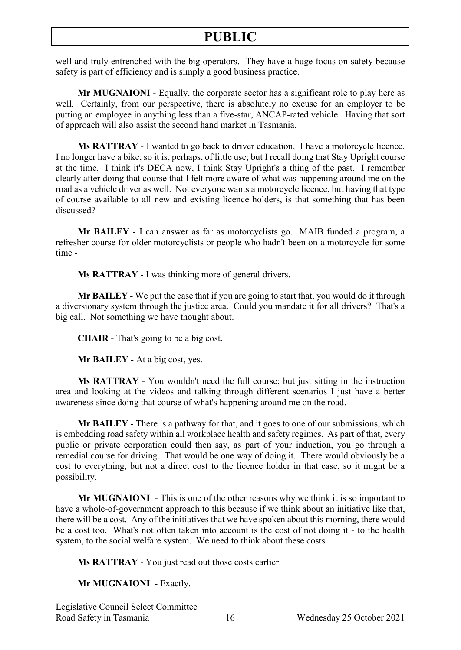well and truly entrenched with the big operators. They have a huge focus on safety because safety is part of efficiency and is simply a good business practice.

**Mr MUGNAIONI** - Equally, the corporate sector has a significant role to play here as well. Certainly, from our perspective, there is absolutely no excuse for an employer to be putting an employee in anything less than a five-star, ANCAP-rated vehicle. Having that sort of approach will also assist the second hand market in Tasmania.

**Ms RATTRAY** - I wanted to go back to driver education. I have a motorcycle licence. I no longer have a bike, so it is, perhaps, of little use; but I recall doing that Stay Upright course at the time. I think it's DECA now, I think Stay Upright's a thing of the past. I remember clearly after doing that course that I felt more aware of what was happening around me on the road as a vehicle driver as well. Not everyone wants a motorcycle licence, but having that type of course available to all new and existing licence holders, is that something that has been discussed?

**Mr BAILEY** - I can answer as far as motorcyclists go. MAIB funded a program, a refresher course for older motorcyclists or people who hadn't been on a motorcycle for some time -

**Ms RATTRAY** - I was thinking more of general drivers.

**Mr BAILEY** - We put the case that if you are going to start that, you would do it through a diversionary system through the justice area. Could you mandate it for all drivers? That's a big call. Not something we have thought about.

**CHAIR** - That's going to be a big cost.

**Mr BAILEY** - At a big cost, yes.

**Ms RATTRAY** - You wouldn't need the full course; but just sitting in the instruction area and looking at the videos and talking through different scenarios I just have a better awareness since doing that course of what's happening around me on the road.

**Mr BAILEY** - There is a pathway for that, and it goes to one of our submissions, which is embedding road safety within all workplace health and safety regimes. As part of that, every public or private corporation could then say, as part of your induction, you go through a remedial course for driving. That would be one way of doing it. There would obviously be a cost to everything, but not a direct cost to the licence holder in that case, so it might be a possibility.

**Mr MUGNAIONI** - This is one of the other reasons why we think it is so important to have a whole-of-government approach to this because if we think about an initiative like that, there will be a cost. Any of the initiatives that we have spoken about this morning, there would be a cost too. What's not often taken into account is the cost of not doing it - to the health system, to the social welfare system. We need to think about these costs.

**Ms RATTRAY** - You just read out those costs earlier.

**Mr MUGNAIONI** - Exactly.

Legislative Council Select Committee Road Safety in Tasmania 16 Wednesday 25 October 2021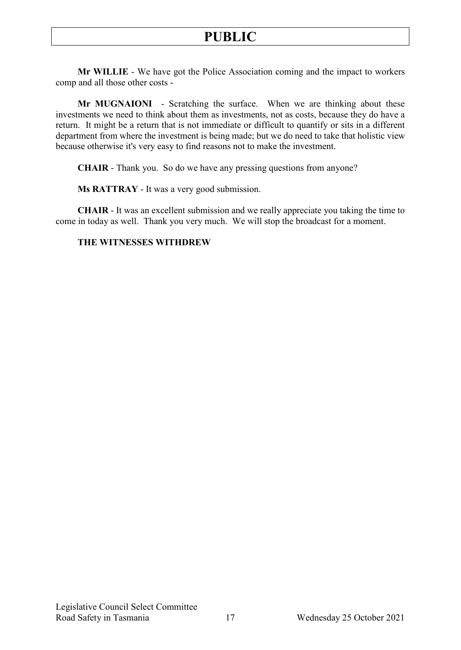**Mr WILLIE** - We have got the Police Association coming and the impact to workers comp and all those other costs -

**Mr MUGNAIONI** - Scratching the surface. When we are thinking about these investments we need to think about them as investments, not as costs, because they do have a return. It might be a return that is not immediate or difficult to quantify or sits in a different department from where the investment is being made; but we do need to take that holistic view because otherwise it's very easy to find reasons not to make the investment.

**CHAIR** - Thank you. So do we have any pressing questions from anyone?

**Ms RATTRAY** - It was a very good submission.

**CHAIR** - It was an excellent submission and we really appreciate you taking the time to come in today as well. Thank you very much. We will stop the broadcast for a moment.

#### **THE WITNESSES WITHDREW**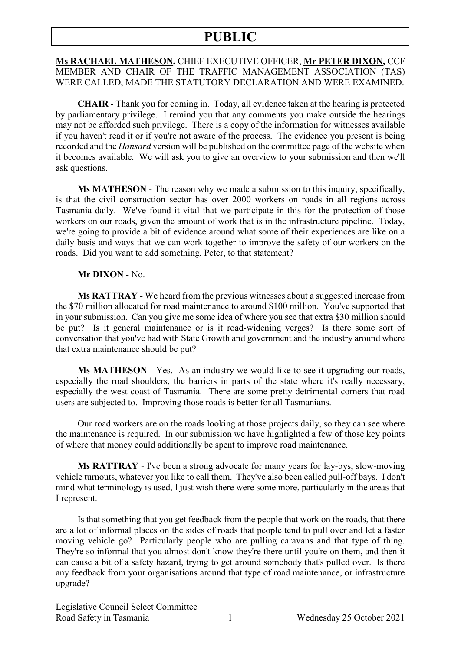#### **Ms RACHAEL MATHESON,** CHIEF EXECUTIVE OFFICER, **Mr PETER DIXON,** CCF MEMBER AND CHAIR OF THE TRAFFIC MANAGEMENT ASSOCIATION (TAS) WERE CALLED, MADE THE STATUTORY DECLARATION AND WERE EXAMINED.

**CHAIR** - Thank you for coming in. Today, all evidence taken at the hearing is protected by parliamentary privilege. I remind you that any comments you make outside the hearings may not be afforded such privilege. There is a copy of the information for witnesses available if you haven't read it or if you're not aware of the process. The evidence you present is being recorded and the *Hansard* version will be published on the committee page of the website when it becomes available. We will ask you to give an overview to your submission and then we'll ask questions.

**Ms MATHESON** - The reason why we made a submission to this inquiry, specifically, is that the civil construction sector has over 2000 workers on roads in all regions across Tasmania daily. We've found it vital that we participate in this for the protection of those workers on our roads, given the amount of work that is in the infrastructure pipeline. Today, we're going to provide a bit of evidence around what some of their experiences are like on a daily basis and ways that we can work together to improve the safety of our workers on the roads. Did you want to add something, Peter, to that statement?

#### **Mr DIXON** - No.

**Ms RATTRAY** - We heard from the previous witnesses about a suggested increase from the \$70 million allocated for road maintenance to around \$100 million. You've supported that in your submission. Can you give me some idea of where you see that extra \$30 million should be put? Is it general maintenance or is it road-widening verges? Is there some sort of conversation that you've had with State Growth and government and the industry around where that extra maintenance should be put?

**Ms MATHESON** - Yes. As an industry we would like to see it upgrading our roads, especially the road shoulders, the barriers in parts of the state where it's really necessary, especially the west coast of Tasmania. There are some pretty detrimental corners that road users are subjected to. Improving those roads is better for all Tasmanians.

Our road workers are on the roads looking at those projects daily, so they can see where the maintenance is required. In our submission we have highlighted a few of those key points of where that money could additionally be spent to improve road maintenance.

**Ms RATTRAY** - I've been a strong advocate for many years for lay-bys, slow-moving vehicle turnouts, whatever you like to call them. They've also been called pull-off bays. I don't mind what terminology is used, I just wish there were some more, particularly in the areas that I represent.

Is that something that you get feedback from the people that work on the roads, that there are a lot of informal places on the sides of roads that people tend to pull over and let a faster moving vehicle go? Particularly people who are pulling caravans and that type of thing. They're so informal that you almost don't know they're there until you're on them, and then it can cause a bit of a safety hazard, trying to get around somebody that's pulled over. Is there any feedback from your organisations around that type of road maintenance, or infrastructure upgrade?

Legislative Council Select Committee Road Safety in Tasmania 1 Wednesday 25 October 2021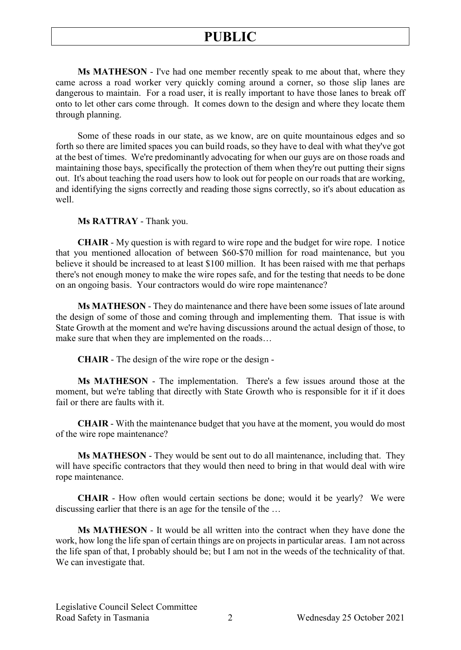**Ms MATHESON** - I've had one member recently speak to me about that, where they came across a road worker very quickly coming around a corner, so those slip lanes are dangerous to maintain. For a road user, it is really important to have those lanes to break off onto to let other cars come through. It comes down to the design and where they locate them through planning.

Some of these roads in our state, as we know, are on quite mountainous edges and so forth so there are limited spaces you can build roads, so they have to deal with what they've got at the best of times. We're predominantly advocating for when our guys are on those roads and maintaining those bays, specifically the protection of them when they're out putting their signs out. It's about teaching the road users how to look out for people on our roads that are working, and identifying the signs correctly and reading those signs correctly, so it's about education as well.

**Ms RATTRAY** - Thank you.

**CHAIR** - My question is with regard to wire rope and the budget for wire rope. I notice that you mentioned allocation of between \$60-\$70 million for road maintenance, but you believe it should be increased to at least \$100 million. It has been raised with me that perhaps there's not enough money to make the wire ropes safe, and for the testing that needs to be done on an ongoing basis. Your contractors would do wire rope maintenance?

**Ms MATHESON** - They do maintenance and there have been some issues of late around the design of some of those and coming through and implementing them. That issue is with State Growth at the moment and we're having discussions around the actual design of those, to make sure that when they are implemented on the roads…

**CHAIR** - The design of the wire rope or the design -

**Ms MATHESON** - The implementation. There's a few issues around those at the moment, but we're tabling that directly with State Growth who is responsible for it if it does fail or there are faults with it.

**CHAIR** - With the maintenance budget that you have at the moment, you would do most of the wire rope maintenance?

**Ms MATHESON** - They would be sent out to do all maintenance, including that. They will have specific contractors that they would then need to bring in that would deal with wire rope maintenance.

**CHAIR** - How often would certain sections be done; would it be yearly? We were discussing earlier that there is an age for the tensile of the …

**Ms MATHESON** - It would be all written into the contract when they have done the work, how long the life span of certain things are on projects in particular areas. I am not across the life span of that, I probably should be; but I am not in the weeds of the technicality of that. We can investigate that.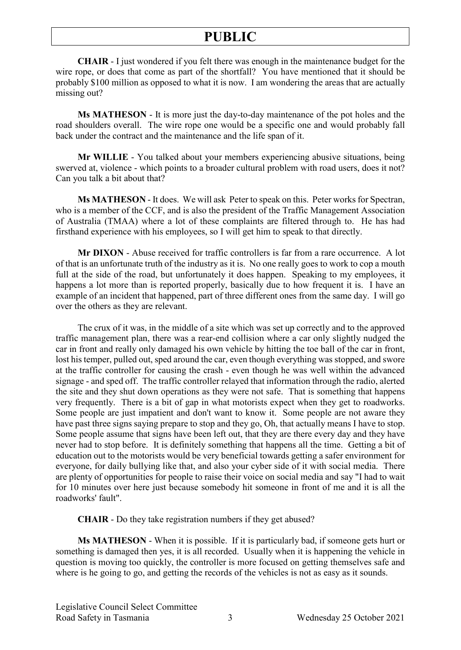**CHAIR** - I just wondered if you felt there was enough in the maintenance budget for the wire rope, or does that come as part of the shortfall? You have mentioned that it should be probably \$100 million as opposed to what it is now. I am wondering the areas that are actually missing out?

**Ms MATHESON** - It is more just the day-to-day maintenance of the pot holes and the road shoulders overall. The wire rope one would be a specific one and would probably fall back under the contract and the maintenance and the life span of it.

**Mr WILLIE** - You talked about your members experiencing abusive situations, being swerved at, violence - which points to a broader cultural problem with road users, does it not? Can you talk a bit about that?

**Ms MATHESON** - It does. We will ask Peter to speak on this. Peter works for Spectran, who is a member of the CCF, and is also the president of the Traffic Management Association of Australia (TMAA) where a lot of these complaints are filtered through to. He has had firsthand experience with his employees, so I will get him to speak to that directly.

**Mr DIXON** - Abuse received for traffic controllers is far from a rare occurrence. A lot of that is an unfortunate truth of the industry as it is. No one really goes to work to cop a mouth full at the side of the road, but unfortunately it does happen. Speaking to my employees, it happens a lot more than is reported properly, basically due to how frequent it is. I have an example of an incident that happened, part of three different ones from the same day. I will go over the others as they are relevant.

The crux of it was, in the middle of a site which was set up correctly and to the approved traffic management plan, there was a rear-end collision where a car only slightly nudged the car in front and really only damaged his own vehicle by hitting the toe ball of the car in front, lost his temper, pulled out, sped around the car, even though everything was stopped, and swore at the traffic controller for causing the crash - even though he was well within the advanced signage - and sped off. The traffic controller relayed that information through the radio, alerted the site and they shut down operations as they were not safe. That is something that happens very frequently. There is a bit of gap in what motorists expect when they get to roadworks. Some people are just impatient and don't want to know it. Some people are not aware they have past three signs saying prepare to stop and they go, Oh, that actually means I have to stop. Some people assume that signs have been left out, that they are there every day and they have never had to stop before. It is definitely something that happens all the time. Getting a bit of education out to the motorists would be very beneficial towards getting a safer environment for everyone, for daily bullying like that, and also your cyber side of it with social media. There are plenty of opportunities for people to raise their voice on social media and say "I had to wait for 10 minutes over here just because somebody hit someone in front of me and it is all the roadworks' fault".

**CHAIR** - Do they take registration numbers if they get abused?

**Ms MATHESON** - When it is possible. If it is particularly bad, if someone gets hurt or something is damaged then yes, it is all recorded. Usually when it is happening the vehicle in question is moving too quickly, the controller is more focused on getting themselves safe and where is he going to go, and getting the records of the vehicles is not as easy as it sounds.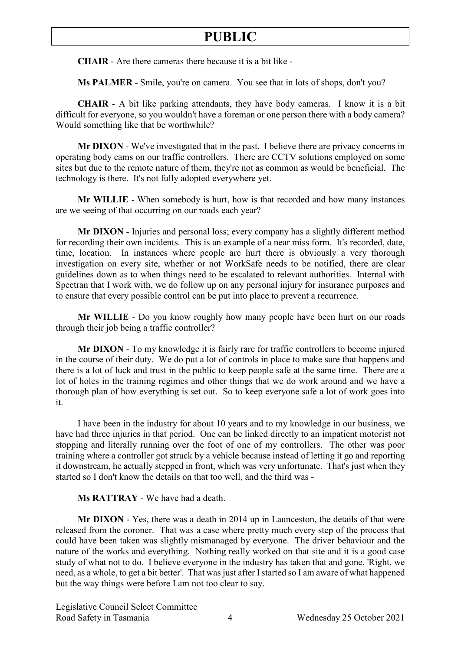**CHAIR** - Are there cameras there because it is a bit like -

**Ms PALMER** - Smile, you're on camera. You see that in lots of shops, don't you?

**CHAIR** - A bit like parking attendants, they have body cameras. I know it is a bit difficult for everyone, so you wouldn't have a foreman or one person there with a body camera? Would something like that be worthwhile?

**Mr DIXON** - We've investigated that in the past. I believe there are privacy concerns in operating body cams on our traffic controllers. There are CCTV solutions employed on some sites but due to the remote nature of them, they're not as common as would be beneficial. The technology is there. It's not fully adopted everywhere yet.

**Mr WILLIE** - When somebody is hurt, how is that recorded and how many instances are we seeing of that occurring on our roads each year?

**Mr DIXON** - Injuries and personal loss; every company has a slightly different method for recording their own incidents. This is an example of a near miss form. It's recorded, date, time, location. In instances where people are hurt there is obviously a very thorough investigation on every site, whether or not WorkSafe needs to be notified, there are clear guidelines down as to when things need to be escalated to relevant authorities. Internal with Spectran that I work with, we do follow up on any personal injury for insurance purposes and to ensure that every possible control can be put into place to prevent a recurrence.

**Mr WILLIE** - Do you know roughly how many people have been hurt on our roads through their job being a traffic controller?

**Mr DIXON** - To my knowledge it is fairly rare for traffic controllers to become injured in the course of their duty. We do put a lot of controls in place to make sure that happens and there is a lot of luck and trust in the public to keep people safe at the same time. There are a lot of holes in the training regimes and other things that we do work around and we have a thorough plan of how everything is set out. So to keep everyone safe a lot of work goes into it.

I have been in the industry for about 10 years and to my knowledge in our business, we have had three injuries in that period. One can be linked directly to an impatient motorist not stopping and literally running over the foot of one of my controllers. The other was poor training where a controller got struck by a vehicle because instead of letting it go and reporting it downstream, he actually stepped in front, which was very unfortunate. That's just when they started so I don't know the details on that too well, and the third was -

**Ms RATTRAY** - We have had a death.

**Mr DIXON** - Yes, there was a death in 2014 up in Launceston, the details of that were released from the coroner. That was a case where pretty much every step of the process that could have been taken was slightly mismanaged by everyone. The driver behaviour and the nature of the works and everything. Nothing really worked on that site and it is a good case study of what not to do. I believe everyone in the industry has taken that and gone, 'Right, we need, as a whole, to get a bit better'. That was just after I started so I am aware of what happened but the way things were before I am not too clear to say.

Legislative Council Select Committee Road Safety in Tasmania  $\overline{4}$  Wednesday 25 October 2021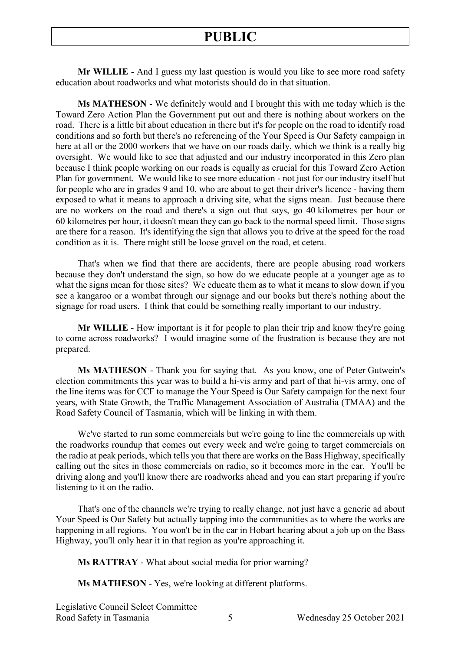**Mr WILLIE** - And I guess my last question is would you like to see more road safety education about roadworks and what motorists should do in that situation.

**Ms MATHESON** - We definitely would and I brought this with me today which is the Toward Zero Action Plan the Government put out and there is nothing about workers on the road. There is a little bit about education in there but it's for people on the road to identify road conditions and so forth but there's no referencing of the Your Speed is Our Safety campaign in here at all or the 2000 workers that we have on our roads daily, which we think is a really big oversight. We would like to see that adjusted and our industry incorporated in this Zero plan because I think people working on our roads is equally as crucial for this Toward Zero Action Plan for government. We would like to see more education - not just for our industry itself but for people who are in grades 9 and 10, who are about to get their driver's licence - having them exposed to what it means to approach a driving site, what the signs mean. Just because there are no workers on the road and there's a sign out that says, go 40 kilometres per hour or 60 kilometres per hour, it doesn't mean they can go back to the normal speed limit. Those signs are there for a reason. It's identifying the sign that allows you to drive at the speed for the road condition as it is. There might still be loose gravel on the road, et cetera.

That's when we find that there are accidents, there are people abusing road workers because they don't understand the sign, so how do we educate people at a younger age as to what the signs mean for those sites? We educate them as to what it means to slow down if you see a kangaroo or a wombat through our signage and our books but there's nothing about the signage for road users. I think that could be something really important to our industry.

**Mr WILLIE** - How important is it for people to plan their trip and know they're going to come across roadworks? I would imagine some of the frustration is because they are not prepared.

**Ms MATHESON** - Thank you for saying that. As you know, one of Peter Gutwein's election commitments this year was to build a hi-vis army and part of that hi-vis army, one of the line items was for CCF to manage the Your Speed is Our Safety campaign for the next four years, with State Growth, the Traffic Management Association of Australia (TMAA) and the Road Safety Council of Tasmania, which will be linking in with them.

We've started to run some commercials but we're going to line the commercials up with the roadworks roundup that comes out every week and we're going to target commercials on the radio at peak periods, which tells you that there are works on the Bass Highway, specifically calling out the sites in those commercials on radio, so it becomes more in the ear. You'll be driving along and you'll know there are roadworks ahead and you can start preparing if you're listening to it on the radio.

That's one of the channels we're trying to really change, not just have a generic ad about Your Speed is Our Safety but actually tapping into the communities as to where the works are happening in all regions. You won't be in the car in Hobart hearing about a job up on the Bass Highway, you'll only hear it in that region as you're approaching it.

**Ms RATTRAY** - What about social media for prior warning?

**Ms MATHESON** - Yes, we're looking at different platforms.

Legislative Council Select Committee Road Safety in Tasmania 5 Wednesday 25 October 2021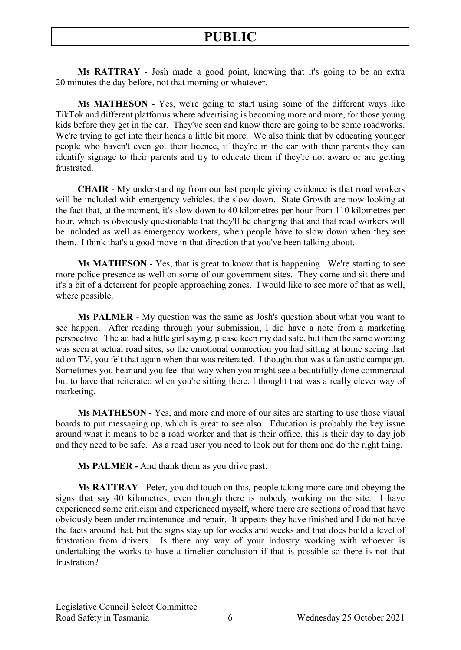**Ms RATTRAY** - Josh made a good point, knowing that it's going to be an extra 20 minutes the day before, not that morning or whatever.

**Ms MATHESON** - Yes, we're going to start using some of the different ways like TikTok and different platforms where advertising is becoming more and more, for those young kids before they get in the car. They've seen and know there are going to be some roadworks. We're trying to get into their heads a little bit more. We also think that by educating younger people who haven't even got their licence, if they're in the car with their parents they can identify signage to their parents and try to educate them if they're not aware or are getting frustrated.

**CHAIR** - My understanding from our last people giving evidence is that road workers will be included with emergency vehicles, the slow down. State Growth are now looking at the fact that, at the moment, it's slow down to 40 kilometres per hour from 110 kilometres per hour, which is obviously questionable that they'll be changing that and that road workers will be included as well as emergency workers, when people have to slow down when they see them. I think that's a good move in that direction that you've been talking about.

**Ms MATHESON** - Yes, that is great to know that is happening. We're starting to see more police presence as well on some of our government sites. They come and sit there and it's a bit of a deterrent for people approaching zones. I would like to see more of that as well, where possible.

**Ms PALMER** - My question was the same as Josh's question about what you want to see happen. After reading through your submission, I did have a note from a marketing perspective. The ad had a little girl saying, please keep my dad safe, but then the same wording was seen at actual road sites, so the emotional connection you had sitting at home seeing that ad on TV, you felt that again when that was reiterated. I thought that was a fantastic campaign. Sometimes you hear and you feel that way when you might see a beautifully done commercial but to have that reiterated when you're sitting there, I thought that was a really clever way of marketing.

**Ms MATHESON** - Yes, and more and more of our sites are starting to use those visual boards to put messaging up, which is great to see also. Education is probably the key issue around what it means to be a road worker and that is their office, this is their day to day job and they need to be safe. As a road user you need to look out for them and do the right thing.

**Ms PALMER -** And thank them as you drive past.

**Ms RATTRAY** - Peter, you did touch on this, people taking more care and obeying the signs that say 40 kilometres, even though there is nobody working on the site. I have experienced some criticism and experienced myself, where there are sections of road that have obviously been under maintenance and repair. It appears they have finished and I do not have the facts around that, but the signs stay up for weeks and weeks and that does build a level of frustration from drivers. Is there any way of your industry working with whoever is undertaking the works to have a timelier conclusion if that is possible so there is not that frustration?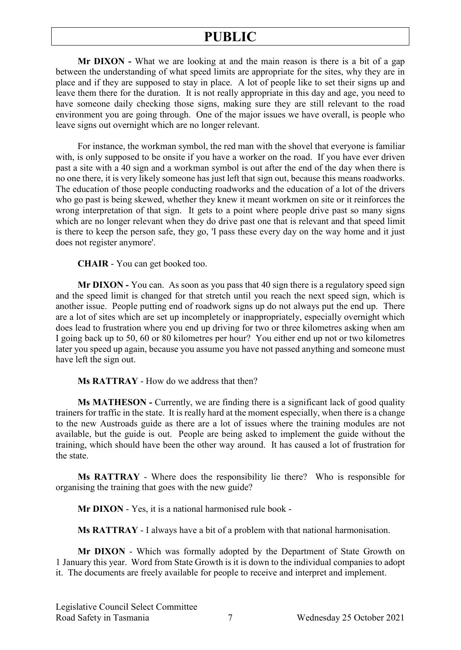**Mr DIXON -** What we are looking at and the main reason is there is a bit of a gap between the understanding of what speed limits are appropriate for the sites, why they are in place and if they are supposed to stay in place. A lot of people like to set their signs up and leave them there for the duration. It is not really appropriate in this day and age, you need to have someone daily checking those signs, making sure they are still relevant to the road environment you are going through. One of the major issues we have overall, is people who leave signs out overnight which are no longer relevant.

For instance, the workman symbol, the red man with the shovel that everyone is familiar with, is only supposed to be onsite if you have a worker on the road. If you have ever driven past a site with a 40 sign and a workman symbol is out after the end of the day when there is no one there, it is very likely someone has just left that sign out, because this means roadworks. The education of those people conducting roadworks and the education of a lot of the drivers who go past is being skewed, whether they knew it meant workmen on site or it reinforces the wrong interpretation of that sign. It gets to a point where people drive past so many signs which are no longer relevant when they do drive past one that is relevant and that speed limit is there to keep the person safe, they go, 'I pass these every day on the way home and it just does not register anymore'.

**CHAIR** - You can get booked too.

**Mr DIXON -** You can. As soon as you pass that 40 sign there is a regulatory speed sign and the speed limit is changed for that stretch until you reach the next speed sign, which is another issue. People putting end of roadwork signs up do not always put the end up. There are a lot of sites which are set up incompletely or inappropriately, especially overnight which does lead to frustration where you end up driving for two or three kilometres asking when am I going back up to 50, 60 or 80 kilometres per hour? You either end up not or two kilometres later you speed up again, because you assume you have not passed anything and someone must have left the sign out.

**Ms RATTRAY** - How do we address that then?

**Ms MATHESON -** Currently, we are finding there is a significant lack of good quality trainers for traffic in the state. It is really hard at the moment especially, when there is a change to the new Austroads guide as there are a lot of issues where the training modules are not available, but the guide is out. People are being asked to implement the guide without the training, which should have been the other way around. It has caused a lot of frustration for the state.

**Ms RATTRAY** - Where does the responsibility lie there? Who is responsible for organising the training that goes with the new guide?

**Mr DIXON** - Yes, it is a national harmonised rule book -

**Ms RATTRAY** - I always have a bit of a problem with that national harmonisation.

**Mr DIXON** - Which was formally adopted by the Department of State Growth on 1 January this year. Word from State Growth is it is down to the individual companies to adopt it. The documents are freely available for people to receive and interpret and implement.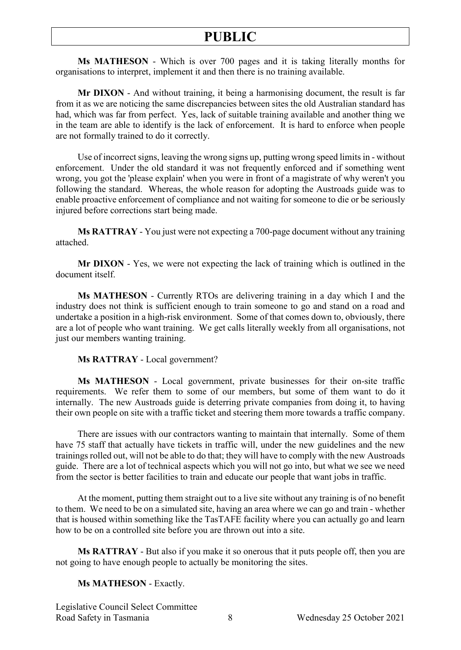**Ms MATHESON** - Which is over 700 pages and it is taking literally months for organisations to interpret, implement it and then there is no training available.

**Mr DIXON** - And without training, it being a harmonising document, the result is far from it as we are noticing the same discrepancies between sites the old Australian standard has had, which was far from perfect. Yes, lack of suitable training available and another thing we in the team are able to identify is the lack of enforcement. It is hard to enforce when people are not formally trained to do it correctly.

Use of incorrect signs, leaving the wrong signs up, putting wrong speed limits in - without enforcement. Under the old standard it was not frequently enforced and if something went wrong, you got the 'please explain' when you were in front of a magistrate of why weren't you following the standard. Whereas, the whole reason for adopting the Austroads guide was to enable proactive enforcement of compliance and not waiting for someone to die or be seriously injured before corrections start being made.

**Ms RATTRAY** - You just were not expecting a 700-page document without any training attached.

**Mr DIXON** - Yes, we were not expecting the lack of training which is outlined in the document itself.

**Ms MATHESON** - Currently RTOs are delivering training in a day which I and the industry does not think is sufficient enough to train someone to go and stand on a road and undertake a position in a high-risk environment. Some of that comes down to, obviously, there are a lot of people who want training. We get calls literally weekly from all organisations, not just our members wanting training.

#### **Ms RATTRAY** - Local government?

**Ms MATHESON** - Local government, private businesses for their on-site traffic requirements. We refer them to some of our members, but some of them want to do it internally. The new Austroads guide is deterring private companies from doing it, to having their own people on site with a traffic ticket and steering them more towards a traffic company.

There are issues with our contractors wanting to maintain that internally. Some of them have 75 staff that actually have tickets in traffic will, under the new guidelines and the new trainings rolled out, will not be able to do that; they will have to comply with the new Austroads guide. There are a lot of technical aspects which you will not go into, but what we see we need from the sector is better facilities to train and educate our people that want jobs in traffic.

At the moment, putting them straight out to a live site without any training is of no benefit to them. We need to be on a simulated site, having an area where we can go and train - whether that is housed within something like the TasTAFE facility where you can actually go and learn how to be on a controlled site before you are thrown out into a site.

**Ms RATTRAY** - But also if you make it so onerous that it puts people off, then you are not going to have enough people to actually be monitoring the sites.

#### **Ms MATHESON** - Exactly.

Legislative Council Select Committee Road Safety in Tasmania 8 Wednesday 25 October 2021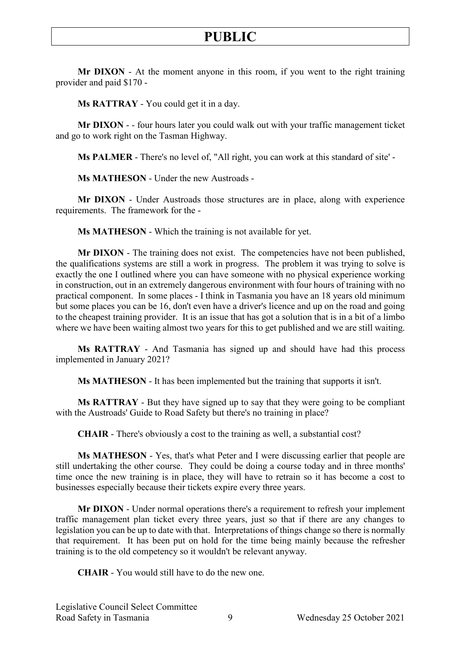**Mr DIXON** - At the moment anyone in this room, if you went to the right training provider and paid \$170 -

**Ms RATTRAY** - You could get it in a day.

**Mr DIXON** - - four hours later you could walk out with your traffic management ticket and go to work right on the Tasman Highway.

**Ms PALMER** - There's no level of, "All right, you can work at this standard of site' -

**Ms MATHESON** - Under the new Austroads -

**Mr DIXON** - Under Austroads those structures are in place, along with experience requirements. The framework for the -

**Ms MATHESON** - Which the training is not available for yet.

**Mr DIXON** - The training does not exist. The competencies have not been published, the qualifications systems are still a work in progress. The problem it was trying to solve is exactly the one I outlined where you can have someone with no physical experience working in construction, out in an extremely dangerous environment with four hours of training with no practical component. In some places - I think in Tasmania you have an 18 years old minimum but some places you can be 16, don't even have a driver's licence and up on the road and going to the cheapest training provider. It is an issue that has got a solution that is in a bit of a limbo where we have been waiting almost two years for this to get published and we are still waiting.

**Ms RATTRAY** - And Tasmania has signed up and should have had this process implemented in January 2021?

**Ms MATHESON** - It has been implemented but the training that supports it isn't.

**Ms RATTRAY** - But they have signed up to say that they were going to be compliant with the Austroads' Guide to Road Safety but there's no training in place?

**CHAIR** - There's obviously a cost to the training as well, a substantial cost?

**Ms MATHESON** - Yes, that's what Peter and I were discussing earlier that people are still undertaking the other course. They could be doing a course today and in three months' time once the new training is in place, they will have to retrain so it has become a cost to businesses especially because their tickets expire every three years.

**Mr DIXON** - Under normal operations there's a requirement to refresh your implement traffic management plan ticket every three years, just so that if there are any changes to legislation you can be up to date with that. Interpretations of things change so there is normally that requirement. It has been put on hold for the time being mainly because the refresher training is to the old competency so it wouldn't be relevant anyway.

**CHAIR** - You would still have to do the new one.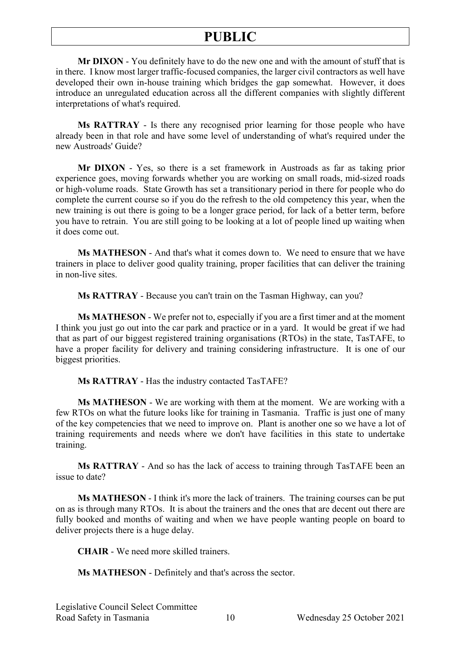**Mr DIXON** - You definitely have to do the new one and with the amount of stuff that is in there. I know most larger traffic-focused companies, the larger civil contractors as well have developed their own in-house training which bridges the gap somewhat. However, it does introduce an unregulated education across all the different companies with slightly different interpretations of what's required.

**Ms RATTRAY** - Is there any recognised prior learning for those people who have already been in that role and have some level of understanding of what's required under the new Austroads' Guide?

**Mr DIXON** - Yes, so there is a set framework in Austroads as far as taking prior experience goes, moving forwards whether you are working on small roads, mid-sized roads or high-volume roads. State Growth has set a transitionary period in there for people who do complete the current course so if you do the refresh to the old competency this year, when the new training is out there is going to be a longer grace period, for lack of a better term, before you have to retrain. You are still going to be looking at a lot of people lined up waiting when it does come out.

**Ms MATHESON** - And that's what it comes down to. We need to ensure that we have trainers in place to deliver good quality training, proper facilities that can deliver the training in non-live sites.

**Ms RATTRAY** - Because you can't train on the Tasman Highway, can you?

**Ms MATHESON** - We prefer not to, especially if you are a first timer and at the moment I think you just go out into the car park and practice or in a yard. It would be great if we had that as part of our biggest registered training organisations (RTOs) in the state, TasTAFE, to have a proper facility for delivery and training considering infrastructure. It is one of our biggest priorities.

**Ms RATTRAY** - Has the industry contacted TasTAFE?

**Ms MATHESON** - We are working with them at the moment. We are working with a few RTOs on what the future looks like for training in Tasmania. Traffic is just one of many of the key competencies that we need to improve on. Plant is another one so we have a lot of training requirements and needs where we don't have facilities in this state to undertake training.

**Ms RATTRAY** - And so has the lack of access to training through TasTAFE been an issue to date?

**Ms MATHESON** - I think it's more the lack of trainers. The training courses can be put on as is through many RTOs. It is about the trainers and the ones that are decent out there are fully booked and months of waiting and when we have people wanting people on board to deliver projects there is a huge delay.

**CHAIR** - We need more skilled trainers.

**Ms MATHESON** - Definitely and that's across the sector.

Legislative Council Select Committee Road Safety in Tasmania 10 Wednesday 25 October 2021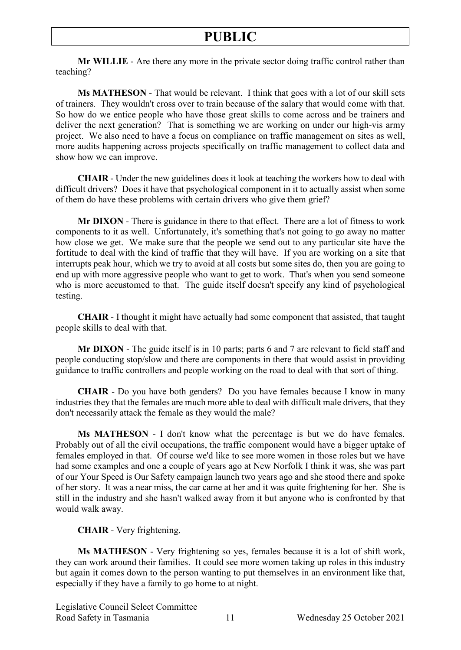**Mr WILLIE** - Are there any more in the private sector doing traffic control rather than teaching?

**Ms MATHESON** - That would be relevant. I think that goes with a lot of our skill sets of trainers. They wouldn't cross over to train because of the salary that would come with that. So how do we entice people who have those great skills to come across and be trainers and deliver the next generation? That is something we are working on under our high-vis army project. We also need to have a focus on compliance on traffic management on sites as well, more audits happening across projects specifically on traffic management to collect data and show how we can improve.

**CHAIR** - Under the new guidelines does it look at teaching the workers how to deal with difficult drivers? Does it have that psychological component in it to actually assist when some of them do have these problems with certain drivers who give them grief?

**Mr DIXON** - There is guidance in there to that effect. There are a lot of fitness to work components to it as well. Unfortunately, it's something that's not going to go away no matter how close we get. We make sure that the people we send out to any particular site have the fortitude to deal with the kind of traffic that they will have. If you are working on a site that interrupts peak hour, which we try to avoid at all costs but some sites do, then you are going to end up with more aggressive people who want to get to work. That's when you send someone who is more accustomed to that. The guide itself doesn't specify any kind of psychological testing.

**CHAIR** - I thought it might have actually had some component that assisted, that taught people skills to deal with that.

**Mr DIXON** - The guide itself is in 10 parts; parts 6 and 7 are relevant to field staff and people conducting stop/slow and there are components in there that would assist in providing guidance to traffic controllers and people working on the road to deal with that sort of thing.

**CHAIR** - Do you have both genders? Do you have females because I know in many industries they that the females are much more able to deal with difficult male drivers, that they don't necessarily attack the female as they would the male?

**Ms MATHESON** - I don't know what the percentage is but we do have females. Probably out of all the civil occupations, the traffic component would have a bigger uptake of females employed in that. Of course we'd like to see more women in those roles but we have had some examples and one a couple of years ago at New Norfolk I think it was, she was part of our Your Speed is Our Safety campaign launch two years ago and she stood there and spoke of her story. It was a near miss, the car came at her and it was quite frightening for her. She is still in the industry and she hasn't walked away from it but anyone who is confronted by that would walk away.

#### **CHAIR** - Very frightening.

**Ms MATHESON** - Very frightening so yes, females because it is a lot of shift work, they can work around their families. It could see more women taking up roles in this industry but again it comes down to the person wanting to put themselves in an environment like that, especially if they have a family to go home to at night.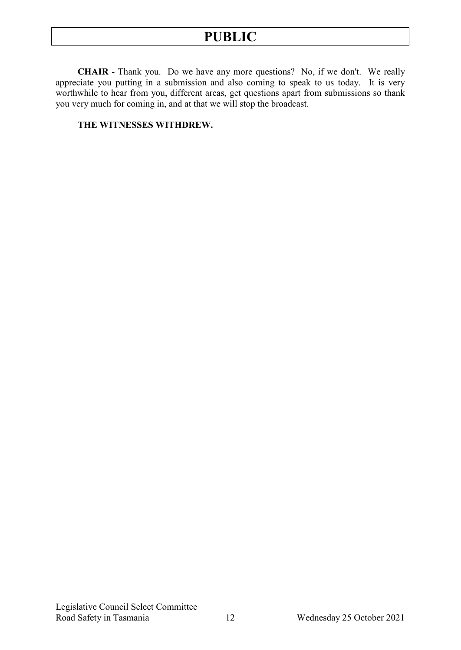**CHAIR** - Thank you. Do we have any more questions? No, if we don't. We really appreciate you putting in a submission and also coming to speak to us today. It is very worthwhile to hear from you, different areas, get questions apart from submissions so thank you very much for coming in, and at that we will stop the broadcast.

#### **THE WITNESSES WITHDREW.**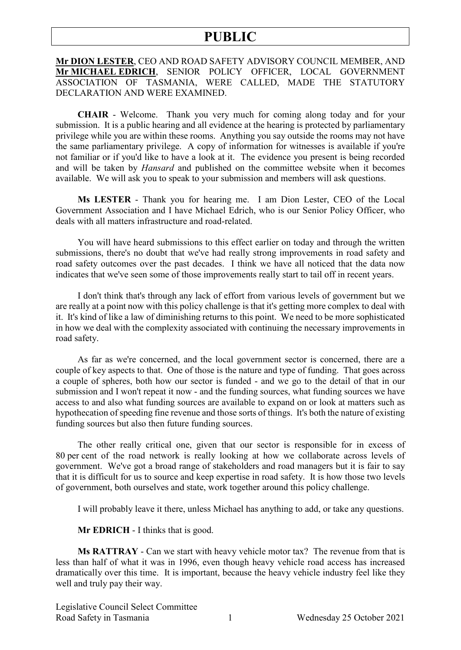#### **Mr DION LESTER**, CEO AND ROAD SAFETY ADVISORY COUNCIL MEMBER, AND **Mr MICHAEL EDRICH**, SENIOR POLICY OFFICER, LOCAL GOVERNMENT ASSOCIATION OF TASMANIA, WERE CALLED, MADE THE STATUTORY DECLARATION AND WERE EXAMINED.

**CHAIR** - Welcome. Thank you very much for coming along today and for your submission. It is a public hearing and all evidence at the hearing is protected by parliamentary privilege while you are within these rooms. Anything you say outside the rooms may not have the same parliamentary privilege. A copy of information for witnesses is available if you're not familiar or if you'd like to have a look at it. The evidence you present is being recorded and will be taken by *Hansard* and published on the committee website when it becomes available. We will ask you to speak to your submission and members will ask questions.

**Ms LESTER** - Thank you for hearing me. I am Dion Lester, CEO of the Local Government Association and I have Michael Edrich, who is our Senior Policy Officer, who deals with all matters infrastructure and road-related.

You will have heard submissions to this effect earlier on today and through the written submissions, there's no doubt that we've had really strong improvements in road safety and road safety outcomes over the past decades. I think we have all noticed that the data now indicates that we've seen some of those improvements really start to tail off in recent years.

I don't think that's through any lack of effort from various levels of government but we are really at a point now with this policy challenge is that it's getting more complex to deal with it. It's kind of like a law of diminishing returns to this point. We need to be more sophisticated in how we deal with the complexity associated with continuing the necessary improvements in road safety.

As far as we're concerned, and the local government sector is concerned, there are a couple of key aspects to that. One of those is the nature and type of funding. That goes across a couple of spheres, both how our sector is funded - and we go to the detail of that in our submission and I won't repeat it now - and the funding sources, what funding sources we have access to and also what funding sources are available to expand on or look at matters such as hypothecation of speeding fine revenue and those sorts of things. It's both the nature of existing funding sources but also then future funding sources.

The other really critical one, given that our sector is responsible for in excess of 80 per cent of the road network is really looking at how we collaborate across levels of government. We've got a broad range of stakeholders and road managers but it is fair to say that it is difficult for us to source and keep expertise in road safety. It is how those two levels of government, both ourselves and state, work together around this policy challenge.

I will probably leave it there, unless Michael has anything to add, or take any questions.

**Mr EDRICH** - I thinks that is good.

**Ms RATTRAY** - Can we start with heavy vehicle motor tax? The revenue from that is less than half of what it was in 1996, even though heavy vehicle road access has increased dramatically over this time. It is important, because the heavy vehicle industry feel like they well and truly pay their way.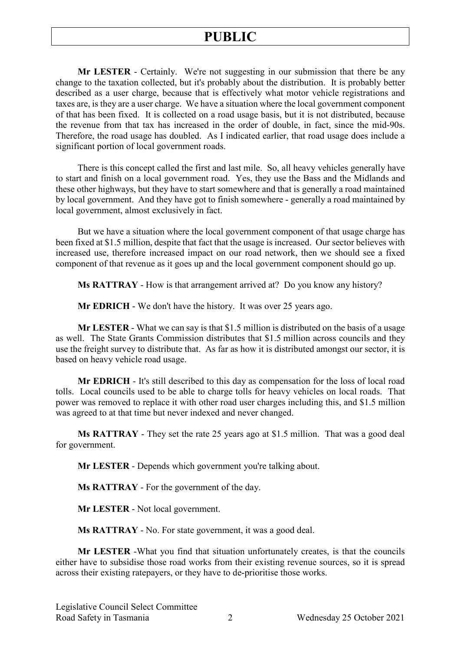**Mr LESTER** - Certainly. We're not suggesting in our submission that there be any change to the taxation collected, but it's probably about the distribution. It is probably better described as a user charge, because that is effectively what motor vehicle registrations and taxes are, is they are a user charge. We have a situation where the local government component of that has been fixed. It is collected on a road usage basis, but it is not distributed, because the revenue from that tax has increased in the order of double, in fact, since the mid-90s. Therefore, the road usage has doubled. As I indicated earlier, that road usage does include a significant portion of local government roads.

There is this concept called the first and last mile. So, all heavy vehicles generally have to start and finish on a local government road. Yes, they use the Bass and the Midlands and these other highways, but they have to start somewhere and that is generally a road maintained by local government. And they have got to finish somewhere - generally a road maintained by local government, almost exclusively in fact.

But we have a situation where the local government component of that usage charge has been fixed at \$1.5 million, despite that fact that the usage is increased. Our sector believes with increased use, therefore increased impact on our road network, then we should see a fixed component of that revenue as it goes up and the local government component should go up.

**Ms RATTRAY** - How is that arrangement arrived at? Do you know any history?

**Mr EDRICH** - We don't have the history. It was over 25 years ago.

**Mr LESTER** - What we can say is that \$1.5 million is distributed on the basis of a usage as well. The State Grants Commission distributes that \$1.5 million across councils and they use the freight survey to distribute that. As far as how it is distributed amongst our sector, it is based on heavy vehicle road usage.

**Mr EDRICH** - It's still described to this day as compensation for the loss of local road tolls. Local councils used to be able to charge tolls for heavy vehicles on local roads. That power was removed to replace it with other road user charges including this, and \$1.5 million was agreed to at that time but never indexed and never changed.

**Ms RATTRAY** - They set the rate 25 years ago at \$1.5 million. That was a good deal for government.

**Mr LESTER** - Depends which government you're talking about.

**Ms RATTRAY** - For the government of the day.

**Mr LESTER** - Not local government.

**Ms RATTRAY** - No. For state government, it was a good deal.

**Mr LESTER** -What you find that situation unfortunately creates, is that the councils either have to subsidise those road works from their existing revenue sources, so it is spread across their existing ratepayers, or they have to de-prioritise those works.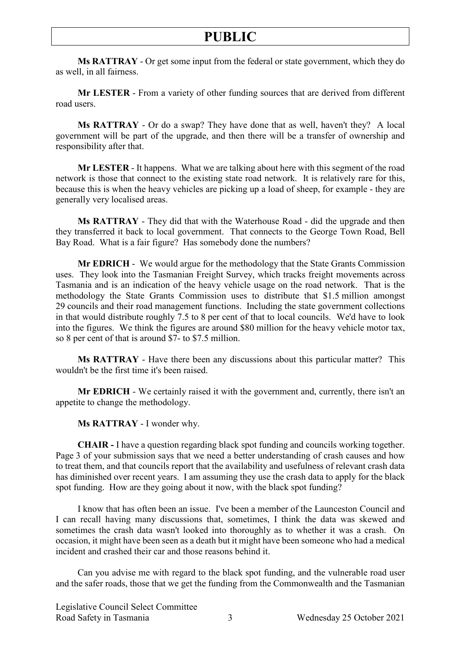**Ms RATTRAY** - Or get some input from the federal or state government, which they do as well, in all fairness.

**Mr LESTER** - From a variety of other funding sources that are derived from different road users.

**Ms RATTRAY** - Or do a swap? They have done that as well, haven't they? A local government will be part of the upgrade, and then there will be a transfer of ownership and responsibility after that.

**Mr LESTER** - It happens. What we are talking about here with this segment of the road network is those that connect to the existing state road network. It is relatively rare for this, because this is when the heavy vehicles are picking up a load of sheep, for example - they are generally very localised areas.

**Ms RATTRAY** - They did that with the Waterhouse Road - did the upgrade and then they transferred it back to local government. That connects to the George Town Road, Bell Bay Road. What is a fair figure? Has somebody done the numbers?

**Mr EDRICH** - We would argue for the methodology that the State Grants Commission uses. They look into the Tasmanian Freight Survey, which tracks freight movements across Tasmania and is an indication of the heavy vehicle usage on the road network. That is the methodology the State Grants Commission uses to distribute that \$1.5 million amongst 29 councils and their road management functions. Including the state government collections in that would distribute roughly 7.5 to 8 per cent of that to local councils. We'd have to look into the figures. We think the figures are around \$80 million for the heavy vehicle motor tax, so 8 per cent of that is around \$7- to \$7.5 million.

**Ms RATTRAY** - Have there been any discussions about this particular matter? This wouldn't be the first time it's been raised.

**Mr EDRICH** - We certainly raised it with the government and, currently, there isn't an appetite to change the methodology.

**Ms RATTRAY** - I wonder why.

**CHAIR -** I have a question regarding black spot funding and councils working together. Page 3 of your submission says that we need a better understanding of crash causes and how to treat them, and that councils report that the availability and usefulness of relevant crash data has diminished over recent years. I am assuming they use the crash data to apply for the black spot funding. How are they going about it now, with the black spot funding?

I know that has often been an issue. I've been a member of the Launceston Council and I can recall having many discussions that, sometimes, I think the data was skewed and sometimes the crash data wasn't looked into thoroughly as to whether it was a crash. On occasion, it might have been seen as a death but it might have been someone who had a medical incident and crashed their car and those reasons behind it.

Can you advise me with regard to the black spot funding, and the vulnerable road user and the safer roads, those that we get the funding from the Commonwealth and the Tasmanian

Legislative Council Select Committee Road Safety in Tasmania 3 Wednesday 25 October 2021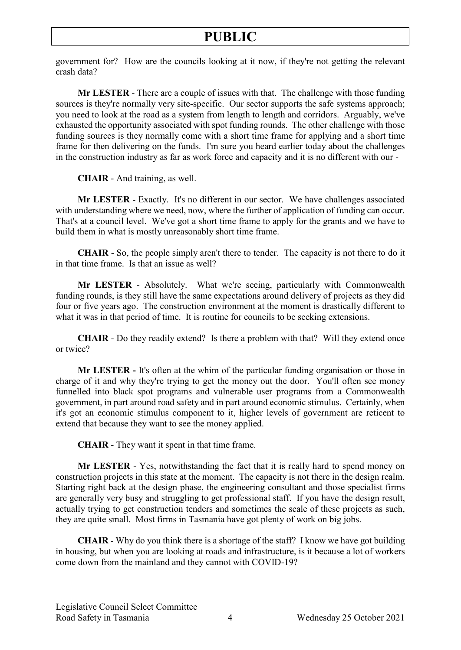government for? How are the councils looking at it now, if they're not getting the relevant crash data?

**Mr LESTER** - There are a couple of issues with that. The challenge with those funding sources is they're normally very site-specific. Our sector supports the safe systems approach; you need to look at the road as a system from length to length and corridors. Arguably, we've exhausted the opportunity associated with spot funding rounds. The other challenge with those funding sources is they normally come with a short time frame for applying and a short time frame for then delivering on the funds. I'm sure you heard earlier today about the challenges in the construction industry as far as work force and capacity and it is no different with our -

**CHAIR** - And training, as well.

**Mr LESTER** - Exactly. It's no different in our sector. We have challenges associated with understanding where we need, now, where the further of application of funding can occur. That's at a council level. We've got a short time frame to apply for the grants and we have to build them in what is mostly unreasonably short time frame.

**CHAIR** - So, the people simply aren't there to tender. The capacity is not there to do it in that time frame. Is that an issue as well?

**Mr LESTER** - Absolutely. What we're seeing, particularly with Commonwealth funding rounds, is they still have the same expectations around delivery of projects as they did four or five years ago. The construction environment at the moment is drastically different to what it was in that period of time. It is routine for councils to be seeking extensions.

**CHAIR** - Do they readily extend? Is there a problem with that? Will they extend once or twice?

**Mr LESTER -** It's often at the whim of the particular funding organisation or those in charge of it and why they're trying to get the money out the door. You'll often see money funnelled into black spot programs and vulnerable user programs from a Commonwealth government, in part around road safety and in part around economic stimulus. Certainly, when it's got an economic stimulus component to it, higher levels of government are reticent to extend that because they want to see the money applied.

**CHAIR** - They want it spent in that time frame.

**Mr LESTER** - Yes, notwithstanding the fact that it is really hard to spend money on construction projects in this state at the moment. The capacity is not there in the design realm. Starting right back at the design phase, the engineering consultant and those specialist firms are generally very busy and struggling to get professional staff. If you have the design result, actually trying to get construction tenders and sometimes the scale of these projects as such, they are quite small. Most firms in Tasmania have got plenty of work on big jobs.

**CHAIR** - Why do you think there is a shortage of the staff? I know we have got building in housing, but when you are looking at roads and infrastructure, is it because a lot of workers come down from the mainland and they cannot with COVID-19?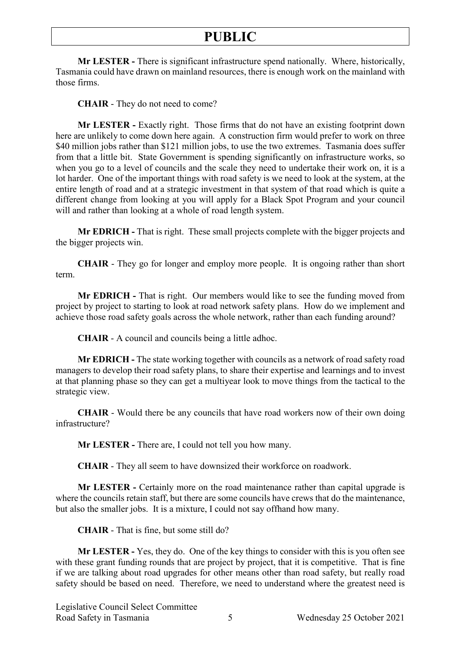**Mr LESTER -** There is significant infrastructure spend nationally. Where, historically, Tasmania could have drawn on mainland resources, there is enough work on the mainland with those firms.

**CHAIR** - They do not need to come?

**Mr LESTER -** Exactly right. Those firms that do not have an existing footprint down here are unlikely to come down here again. A construction firm would prefer to work on three \$40 million jobs rather than \$121 million jobs, to use the two extremes. Tasmania does suffer from that a little bit. State Government is spending significantly on infrastructure works, so when you go to a level of councils and the scale they need to undertake their work on, it is a lot harder. One of the important things with road safety is we need to look at the system, at the entire length of road and at a strategic investment in that system of that road which is quite a different change from looking at you will apply for a Black Spot Program and your council will and rather than looking at a whole of road length system.

**Mr EDRICH -** That is right. These small projects complete with the bigger projects and the bigger projects win.

**CHAIR** - They go for longer and employ more people. It is ongoing rather than short term.

**Mr EDRICH -** That is right. Our members would like to see the funding moved from project by project to starting to look at road network safety plans. How do we implement and achieve those road safety goals across the whole network, rather than each funding around?

**CHAIR** - A council and councils being a little adhoc.

**Mr EDRICH -** The state working together with councils as a network of road safety road managers to develop their road safety plans, to share their expertise and learnings and to invest at that planning phase so they can get a multiyear look to move things from the tactical to the strategic view.

**CHAIR** - Would there be any councils that have road workers now of their own doing infrastructure?

**Mr LESTER -** There are, I could not tell you how many.

**CHAIR** - They all seem to have downsized their workforce on roadwork.

**Mr LESTER -** Certainly more on the road maintenance rather than capital upgrade is where the councils retain staff, but there are some councils have crews that do the maintenance, but also the smaller jobs. It is a mixture, I could not say offhand how many.

**CHAIR** - That is fine, but some still do?

**Mr LESTER -** Yes, they do. One of the key things to consider with this is you often see with these grant funding rounds that are project by project, that it is competitive. That is fine if we are talking about road upgrades for other means other than road safety, but really road safety should be based on need. Therefore, we need to understand where the greatest need is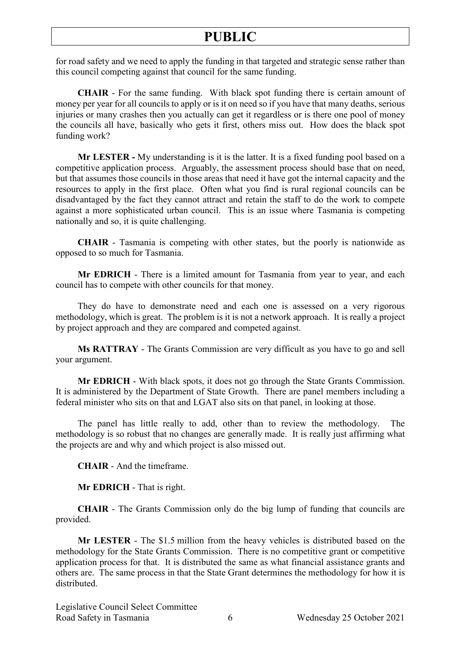for road safety and we need to apply the funding in that targeted and strategic sense rather than this council competing against that council for the same funding.

**CHAIR** - For the same funding. With black spot funding there is certain amount of money per year for all councils to apply or is it on need so if you have that many deaths, serious injuries or many crashes then you actually can get it regardless or is there one pool of money the councils all have, basically who gets it first, others miss out. How does the black spot funding work?

**Mr LESTER -** My understanding is it is the latter. It is a fixed funding pool based on a competitive application process. Arguably, the assessment process should base that on need, but that assumes those councils in those areas that need it have got the internal capacity and the resources to apply in the first place. Often what you find is rural regional councils can be disadvantaged by the fact they cannot attract and retain the staff to do the work to compete against a more sophisticated urban council. This is an issue where Tasmania is competing nationally and so, it is quite challenging.

**CHAIR** - Tasmania is competing with other states, but the poorly is nationwide as opposed to so much for Tasmania.

**Mr EDRICH** - There is a limited amount for Tasmania from year to year, and each council has to compete with other councils for that money.

They do have to demonstrate need and each one is assessed on a very rigorous methodology, which is great. The problem is it is not a network approach. It is really a project by project approach and they are compared and competed against.

**Ms RATTRAY** - The Grants Commission are very difficult as you have to go and sell your argument.

**Mr EDRICH** - With black spots, it does not go through the State Grants Commission. It is administered by the Department of State Growth. There are panel members including a federal minister who sits on that and LGAT also sits on that panel, in looking at those.

The panel has little really to add, other than to review the methodology. The methodology is so robust that no changes are generally made. It is really just affirming what the projects are and why and which project is also missed out.

**CHAIR** - And the timeframe.

**Mr EDRICH** - That is right.

**CHAIR** - The Grants Commission only do the big lump of funding that councils are provided.

**Mr LESTER** - The \$1.5 million from the heavy vehicles is distributed based on the methodology for the State Grants Commission. There is no competitive grant or competitive application process for that. It is distributed the same as what financial assistance grants and others are. The same process in that the State Grant determines the methodology for how it is distributed.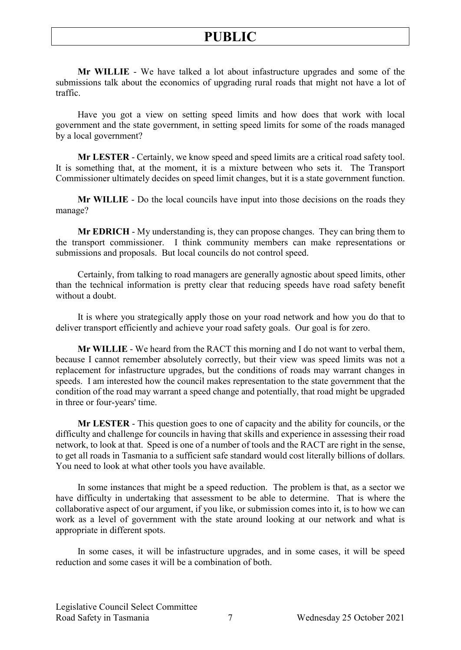**Mr WILLIE** - We have talked a lot about infastructure upgrades and some of the submissions talk about the economics of upgrading rural roads that might not have a lot of traffic.

Have you got a view on setting speed limits and how does that work with local government and the state government, in setting speed limits for some of the roads managed by a local government?

**Mr LESTER** - Certainly, we know speed and speed limits are a critical road safety tool. It is something that, at the moment, it is a mixture between who sets it. The Transport Commissioner ultimately decides on speed limit changes, but it is a state government function.

**Mr WILLIE** - Do the local councils have input into those decisions on the roads they manage?

**Mr EDRICH** - My understanding is, they can propose changes. They can bring them to the transport commissioner. I think community members can make representations or submissions and proposals. But local councils do not control speed.

Certainly, from talking to road managers are generally agnostic about speed limits, other than the technical information is pretty clear that reducing speeds have road safety benefit without a doubt.

It is where you strategically apply those on your road network and how you do that to deliver transport efficiently and achieve your road safety goals. Our goal is for zero.

**Mr WILLIE** - We heard from the RACT this morning and I do not want to verbal them, because I cannot remember absolutely correctly, but their view was speed limits was not a replacement for infastructure upgrades, but the conditions of roads may warrant changes in speeds. I am interested how the council makes representation to the state government that the condition of the road may warrant a speed change and potentially, that road might be upgraded in three or four-years' time.

**Mr LESTER** - This question goes to one of capacity and the ability for councils, or the difficulty and challenge for councils in having that skills and experience in assessing their road network, to look at that. Speed is one of a number of tools and the RACT are right in the sense, to get all roads in Tasmania to a sufficient safe standard would cost literally billions of dollars. You need to look at what other tools you have available.

In some instances that might be a speed reduction. The problem is that, as a sector we have difficulty in undertaking that assessment to be able to determine. That is where the collaborative aspect of our argument, if you like, or submission comes into it, is to how we can work as a level of government with the state around looking at our network and what is appropriate in different spots.

In some cases, it will be infastructure upgrades, and in some cases, it will be speed reduction and some cases it will be a combination of both.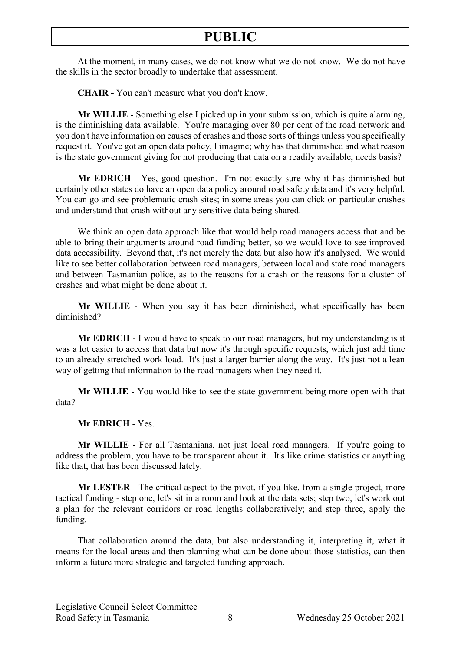At the moment, in many cases, we do not know what we do not know. We do not have the skills in the sector broadly to undertake that assessment.

**CHAIR -** You can't measure what you don't know.

**Mr WILLIE** - Something else I picked up in your submission, which is quite alarming, is the diminishing data available. You're managing over 80 per cent of the road network and you don't have information on causes of crashes and those sorts of things unless you specifically request it. You've got an open data policy, I imagine; why has that diminished and what reason is the state government giving for not producing that data on a readily available, needs basis?

**Mr EDRICH** - Yes, good question. I'm not exactly sure why it has diminished but certainly other states do have an open data policy around road safety data and it's very helpful. You can go and see problematic crash sites; in some areas you can click on particular crashes and understand that crash without any sensitive data being shared.

We think an open data approach like that would help road managers access that and be able to bring their arguments around road funding better, so we would love to see improved data accessibility. Beyond that, it's not merely the data but also how it's analysed. We would like to see better collaboration between road managers, between local and state road managers and between Tasmanian police, as to the reasons for a crash or the reasons for a cluster of crashes and what might be done about it.

**Mr WILLIE** - When you say it has been diminished, what specifically has been diminished?

**Mr EDRICH** - I would have to speak to our road managers, but my understanding is it was a lot easier to access that data but now it's through specific requests, which just add time to an already stretched work load. It's just a larger barrier along the way. It's just not a lean way of getting that information to the road managers when they need it.

**Mr WILLIE** - You would like to see the state government being more open with that data?

#### **Mr EDRICH** - Yes.

**Mr WILLIE** - For all Tasmanians, not just local road managers. If you're going to address the problem, you have to be transparent about it. It's like crime statistics or anything like that, that has been discussed lately.

**Mr LESTER** - The critical aspect to the pivot, if you like, from a single project, more tactical funding - step one, let's sit in a room and look at the data sets; step two, let's work out a plan for the relevant corridors or road lengths collaboratively; and step three, apply the funding.

That collaboration around the data, but also understanding it, interpreting it, what it means for the local areas and then planning what can be done about those statistics, can then inform a future more strategic and targeted funding approach.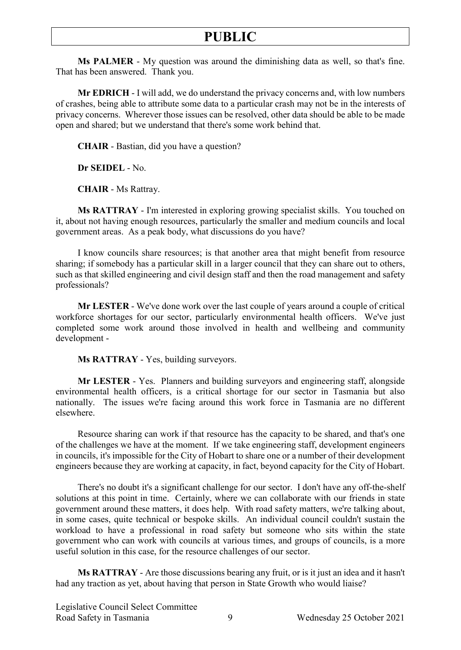**Ms PALMER** - My question was around the diminishing data as well, so that's fine. That has been answered. Thank you.

**Mr EDRICH** - I will add, we do understand the privacy concerns and, with low numbers of crashes, being able to attribute some data to a particular crash may not be in the interests of privacy concerns. Wherever those issues can be resolved, other data should be able to be made open and shared; but we understand that there's some work behind that.

**CHAIR** - Bastian, did you have a question?

**Dr SEIDEL** - No.

**CHAIR** - Ms Rattray.

**Ms RATTRAY** - I'm interested in exploring growing specialist skills. You touched on it, about not having enough resources, particularly the smaller and medium councils and local government areas. As a peak body, what discussions do you have?

I know councils share resources; is that another area that might benefit from resource sharing; if somebody has a particular skill in a larger council that they can share out to others, such as that skilled engineering and civil design staff and then the road management and safety professionals?

**Mr LESTER** - We've done work over the last couple of years around a couple of critical workforce shortages for our sector, particularly environmental health officers. We've just completed some work around those involved in health and wellbeing and community development -

**Ms RATTRAY** - Yes, building surveyors.

**Mr LESTER** - Yes. Planners and building surveyors and engineering staff, alongside environmental health officers, is a critical shortage for our sector in Tasmania but also nationally. The issues we're facing around this work force in Tasmania are no different elsewhere.

Resource sharing can work if that resource has the capacity to be shared, and that's one of the challenges we have at the moment. If we take engineering staff, development engineers in councils, it's impossible for the City of Hobart to share one or a number of their development engineers because they are working at capacity, in fact, beyond capacity for the City of Hobart.

There's no doubt it's a significant challenge for our sector. I don't have any off-the-shelf solutions at this point in time. Certainly, where we can collaborate with our friends in state government around these matters, it does help. With road safety matters, we're talking about, in some cases, quite technical or bespoke skills. An individual council couldn't sustain the workload to have a professional in road safety but someone who sits within the state government who can work with councils at various times, and groups of councils, is a more useful solution in this case, for the resource challenges of our sector.

**Ms RATTRAY** - Are those discussions bearing any fruit, or is it just an idea and it hasn't had any traction as yet, about having that person in State Growth who would liaise?

Legislative Council Select Committee Road Safety in Tasmania 9 Wednesday 25 October 2021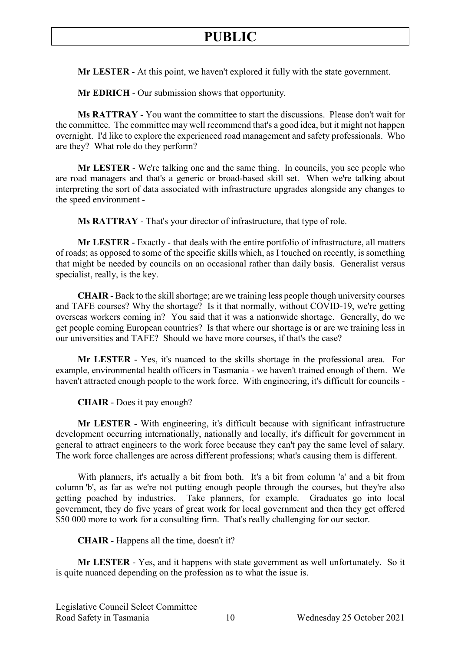**Mr LESTER** - At this point, we haven't explored it fully with the state government.

**Mr EDRICH** - Our submission shows that opportunity.

**Ms RATTRAY** - You want the committee to start the discussions. Please don't wait for the committee. The committee may well recommend that's a good idea, but it might not happen overnight. I'd like to explore the experienced road management and safety professionals. Who are they? What role do they perform?

**Mr LESTER** - We're talking one and the same thing. In councils, you see people who are road managers and that's a generic or broad-based skill set. When we're talking about interpreting the sort of data associated with infrastructure upgrades alongside any changes to the speed environment -

**Ms RATTRAY** - That's your director of infrastructure, that type of role.

**Mr LESTER** - Exactly - that deals with the entire portfolio of infrastructure, all matters of roads; as opposed to some of the specific skills which, as I touched on recently, is something that might be needed by councils on an occasional rather than daily basis. Generalist versus specialist, really, is the key.

**CHAIR** - Back to the skill shortage; are we training less people though university courses and TAFE courses? Why the shortage? Is it that normally, without COVID-19, we're getting overseas workers coming in? You said that it was a nationwide shortage. Generally, do we get people coming European countries? Is that where our shortage is or are we training less in our universities and TAFE? Should we have more courses, if that's the case?

**Mr LESTER** - Yes, it's nuanced to the skills shortage in the professional area. For example, environmental health officers in Tasmania - we haven't trained enough of them. We haven't attracted enough people to the work force. With engineering, it's difficult for councils -

**CHAIR** - Does it pay enough?

**Mr LESTER** - With engineering, it's difficult because with significant infrastructure development occurring internationally, nationally and locally, it's difficult for government in general to attract engineers to the work force because they can't pay the same level of salary. The work force challenges are across different professions; what's causing them is different.

With planners, it's actually a bit from both. It's a bit from column 'a' and a bit from column 'b', as far as we're not putting enough people through the courses, but they're also getting poached by industries. Take planners, for example. Graduates go into local government, they do five years of great work for local government and then they get offered \$50 000 more to work for a consulting firm. That's really challenging for our sector.

**CHAIR** - Happens all the time, doesn't it?

**Mr LESTER** - Yes, and it happens with state government as well unfortunately. So it is quite nuanced depending on the profession as to what the issue is.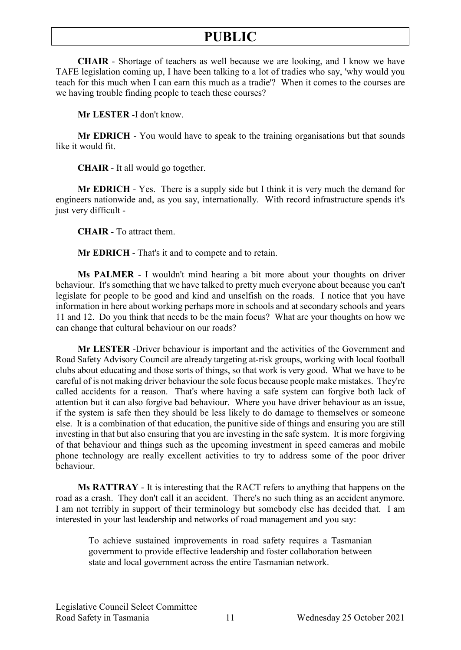**CHAIR** - Shortage of teachers as well because we are looking, and I know we have TAFE legislation coming up, I have been talking to a lot of tradies who say, 'why would you teach for this much when I can earn this much as a tradie'? When it comes to the courses are we having trouble finding people to teach these courses?

**Mr LESTER** -I don't know.

**Mr EDRICH** - You would have to speak to the training organisations but that sounds like it would fit.

**CHAIR** - It all would go together.

**Mr EDRICH** - Yes. There is a supply side but I think it is very much the demand for engineers nationwide and, as you say, internationally. With record infrastructure spends it's just very difficult -

**CHAIR** - To attract them.

**Mr EDRICH** - That's it and to compete and to retain.

**Ms PALMER** - I wouldn't mind hearing a bit more about your thoughts on driver behaviour. It's something that we have talked to pretty much everyone about because you can't legislate for people to be good and kind and unselfish on the roads. I notice that you have information in here about working perhaps more in schools and at secondary schools and years 11 and 12. Do you think that needs to be the main focus? What are your thoughts on how we can change that cultural behaviour on our roads?

**Mr LESTER** -Driver behaviour is important and the activities of the Government and Road Safety Advisory Council are already targeting at-risk groups, working with local football clubs about educating and those sorts of things, so that work is very good. What we have to be careful of is not making driver behaviour the sole focus because people make mistakes. They're called accidents for a reason. That's where having a safe system can forgive both lack of attention but it can also forgive bad behaviour. Where you have driver behaviour as an issue, if the system is safe then they should be less likely to do damage to themselves or someone else. It is a combination of that education, the punitive side of things and ensuring you are still investing in that but also ensuring that you are investing in the safe system. It is more forgiving of that behaviour and things such as the upcoming investment in speed cameras and mobile phone technology are really excellent activities to try to address some of the poor driver behaviour.

**Ms RATTRAY** - It is interesting that the RACT refers to anything that happens on the road as a crash. They don't call it an accident. There's no such thing as an accident anymore. I am not terribly in support of their terminology but somebody else has decided that. I am interested in your last leadership and networks of road management and you say:

To achieve sustained improvements in road safety requires a Tasmanian government to provide effective leadership and foster collaboration between state and local government across the entire Tasmanian network.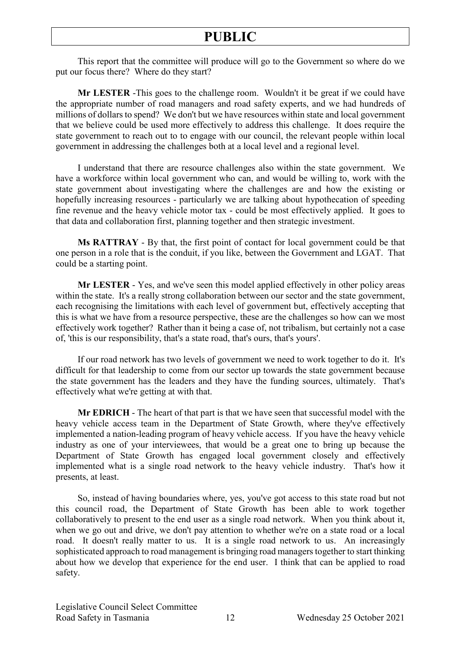This report that the committee will produce will go to the Government so where do we put our focus there? Where do they start?

**Mr LESTER** -This goes to the challenge room. Wouldn't it be great if we could have the appropriate number of road managers and road safety experts, and we had hundreds of millions of dollars to spend? We don't but we have resources within state and local government that we believe could be used more effectively to address this challenge. It does require the state government to reach out to to engage with our council, the relevant people within local government in addressing the challenges both at a local level and a regional level.

I understand that there are resource challenges also within the state government. We have a workforce within local government who can, and would be willing to, work with the state government about investigating where the challenges are and how the existing or hopefully increasing resources - particularly we are talking about hypothecation of speeding fine revenue and the heavy vehicle motor tax - could be most effectively applied. It goes to that data and collaboration first, planning together and then strategic investment.

**Ms RATTRAY** - By that, the first point of contact for local government could be that one person in a role that is the conduit, if you like, between the Government and LGAT. That could be a starting point.

**Mr LESTER** - Yes, and we've seen this model applied effectively in other policy areas within the state. It's a really strong collaboration between our sector and the state government, each recognising the limitations with each level of government but, effectively accepting that this is what we have from a resource perspective, these are the challenges so how can we most effectively work together? Rather than it being a case of, not tribalism, but certainly not a case of, 'this is our responsibility, that's a state road, that's ours, that's yours'.

If our road network has two levels of government we need to work together to do it. It's difficult for that leadership to come from our sector up towards the state government because the state government has the leaders and they have the funding sources, ultimately. That's effectively what we're getting at with that.

**Mr EDRICH** - The heart of that part is that we have seen that successful model with the heavy vehicle access team in the Department of State Growth, where they've effectively implemented a nation-leading program of heavy vehicle access. If you have the heavy vehicle industry as one of your interviewees, that would be a great one to bring up because the Department of State Growth has engaged local government closely and effectively implemented what is a single road network to the heavy vehicle industry. That's how it presents, at least.

So, instead of having boundaries where, yes, you've got access to this state road but not this council road, the Department of State Growth has been able to work together collaboratively to present to the end user as a single road network. When you think about it, when we go out and drive, we don't pay attention to whether we're on a state road or a local road. It doesn't really matter to us. It is a single road network to us. An increasingly sophisticated approach to road management is bringing road managers together to start thinking about how we develop that experience for the end user. I think that can be applied to road safety.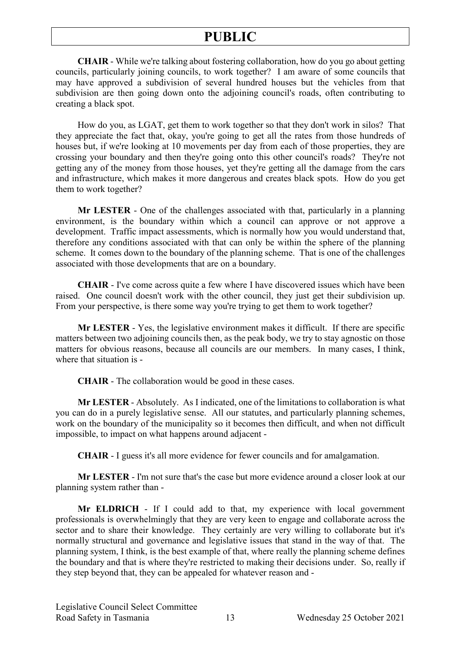**CHAIR** - While we're talking about fostering collaboration, how do you go about getting councils, particularly joining councils, to work together? I am aware of some councils that may have approved a subdivision of several hundred houses but the vehicles from that subdivision are then going down onto the adjoining council's roads, often contributing to creating a black spot.

How do you, as LGAT, get them to work together so that they don't work in silos? That they appreciate the fact that, okay, you're going to get all the rates from those hundreds of houses but, if we're looking at 10 movements per day from each of those properties, they are crossing your boundary and then they're going onto this other council's roads? They're not getting any of the money from those houses, yet they're getting all the damage from the cars and infrastructure, which makes it more dangerous and creates black spots. How do you get them to work together?

**Mr LESTER** - One of the challenges associated with that, particularly in a planning environment, is the boundary within which a council can approve or not approve a development. Traffic impact assessments, which is normally how you would understand that, therefore any conditions associated with that can only be within the sphere of the planning scheme. It comes down to the boundary of the planning scheme. That is one of the challenges associated with those developments that are on a boundary.

**CHAIR** - I've come across quite a few where I have discovered issues which have been raised. One council doesn't work with the other council, they just get their subdivision up. From your perspective, is there some way you're trying to get them to work together?

**Mr LESTER** - Yes, the legislative environment makes it difficult. If there are specific matters between two adjoining councils then, as the peak body, we try to stay agnostic on those matters for obvious reasons, because all councils are our members. In many cases, I think, where that situation is -

**CHAIR** - The collaboration would be good in these cases.

**Mr LESTER** - Absolutely. As I indicated, one of the limitations to collaboration is what you can do in a purely legislative sense. All our statutes, and particularly planning schemes, work on the boundary of the municipality so it becomes then difficult, and when not difficult impossible, to impact on what happens around adjacent -

**CHAIR** - I guess it's all more evidence for fewer councils and for amalgamation.

**Mr LESTER** - I'm not sure that's the case but more evidence around a closer look at our planning system rather than -

**Mr ELDRICH** - If I could add to that, my experience with local government professionals is overwhelmingly that they are very keen to engage and collaborate across the sector and to share their knowledge. They certainly are very willing to collaborate but it's normally structural and governance and legislative issues that stand in the way of that. The planning system, I think, is the best example of that, where really the planning scheme defines the boundary and that is where they're restricted to making their decisions under. So, really if they step beyond that, they can be appealed for whatever reason and -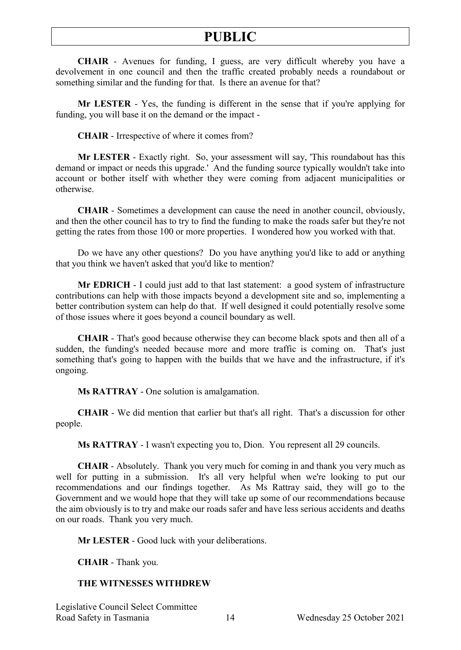**CHAIR** - Avenues for funding, I guess, are very difficult whereby you have a devolvement in one council and then the traffic created probably needs a roundabout or something similar and the funding for that. Is there an avenue for that?

**Mr LESTER** - Yes, the funding is different in the sense that if you're applying for funding, you will base it on the demand or the impact -

**CHAIR** - Irrespective of where it comes from?

**Mr LESTER** - Exactly right. So, your assessment will say, 'This roundabout has this demand or impact or needs this upgrade.' And the funding source typically wouldn't take into account or bother itself with whether they were coming from adjacent municipalities or otherwise.

**CHAIR** - Sometimes a development can cause the need in another council, obviously, and then the other council has to try to find the funding to make the roads safer but they're not getting the rates from those 100 or more properties. I wondered how you worked with that.

Do we have any other questions? Do you have anything you'd like to add or anything that you think we haven't asked that you'd like to mention?

**Mr EDRICH** - I could just add to that last statement: a good system of infrastructure contributions can help with those impacts beyond a development site and so, implementing a better contribution system can help do that. If well designed it could potentially resolve some of those issues where it goes beyond a council boundary as well.

**CHAIR** - That's good because otherwise they can become black spots and then all of a sudden, the funding's needed because more and more traffic is coming on. That's just something that's going to happen with the builds that we have and the infrastructure, if it's ongoing.

**Ms RATTRAY** - One solution is amalgamation.

**CHAIR** - We did mention that earlier but that's all right. That's a discussion for other people.

**Ms RATTRAY** - I wasn't expecting you to, Dion. You represent all 29 councils.

**CHAIR** - Absolutely. Thank you very much for coming in and thank you very much as well for putting in a submission. It's all very helpful when we're looking to put our recommendations and our findings together. As Ms Rattray said, they will go to the Government and we would hope that they will take up some of our recommendations because the aim obviously is to try and make our roads safer and have less serious accidents and deaths on our roads. Thank you very much.

**Mr LESTER** - Good luck with your deliberations.

**CHAIR** - Thank you.

#### **THE WITNESSES WITHDREW**

Legislative Council Select Committee Road Safety in Tasmania 14 Wednesday 25 October 2021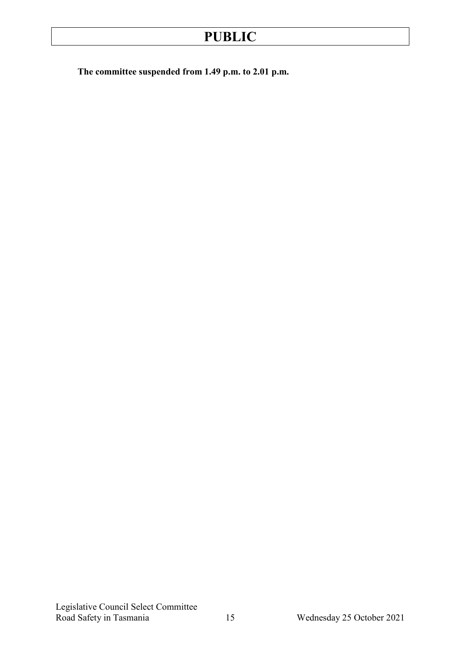**The committee suspended from 1.49 p.m. to 2.01 p.m.**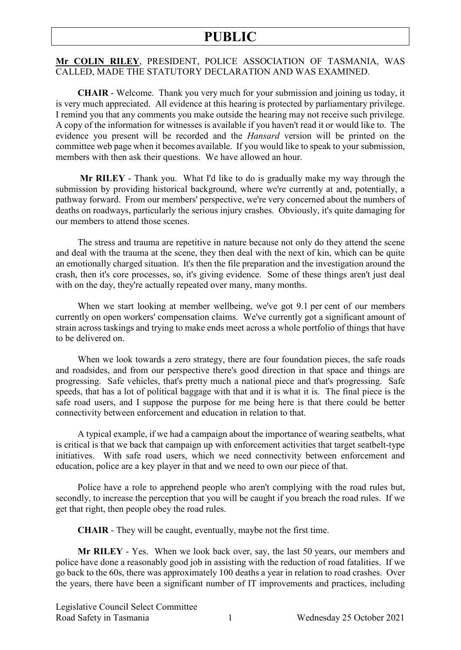#### **Mr COLIN RILEY**, PRESIDENT, POLICE ASSOCIATION OF TASMANIA, WAS CALLED, MADE THE STATUTORY DECLARATION AND WAS EXAMINED.

**CHAIR** - Welcome. Thank you very much for your submission and joining us today, it is very much appreciated. All evidence at this hearing is protected by parliamentary privilege. I remind you that any comments you make outside the hearing may not receive such privilege. A copy of the information for witnesses is available if you haven't read it or would like to. The evidence you present will be recorded and the *Hansard* version will be printed on the committee web page when it becomes available. If you would like to speak to your submission, members with then ask their questions. We have allowed an hour.

**Mr RILEY** - Thank you. What I'd like to do is gradually make my way through the submission by providing historical background, where we're currently at and, potentially, a pathway forward. From our members' perspective, we're very concerned about the numbers of deaths on roadways, particularly the serious injury crashes. Obviously, it's quite damaging for our members to attend those scenes.

The stress and trauma are repetitive in nature because not only do they attend the scene and deal with the trauma at the scene, they then deal with the next of kin, which can be quite an emotionally charged situation. It's then the file preparation and the investigation around the crash, then it's core processes, so, it's giving evidence. Some of these things aren't just deal with on the day, they're actually repeated over many, many months.

When we start looking at member wellbeing, we've got 9.1 per cent of our members currently on open workers' compensation claims. We've currently got a significant amount of strain across taskings and trying to make ends meet across a whole portfolio of things that have to be delivered on.

When we look towards a zero strategy, there are four foundation pieces, the safe roads and roadsides, and from our perspective there's good direction in that space and things are progressing. Safe vehicles, that's pretty much a national piece and that's progressing. Safe speeds, that has a lot of political baggage with that and it is what it is. The final piece is the safe road users, and I suppose the purpose for me being here is that there could be better connectivity between enforcement and education in relation to that.

A typical example, if we had a campaign about the importance of wearing seatbelts, what is critical is that we back that campaign up with enforcement activities that target seatbelt-type initiatives. With safe road users, which we need connectivity between enforcement and education, police are a key player in that and we need to own our piece of that.

Police have a role to apprehend people who aren't complying with the road rules but, secondly, to increase the perception that you will be caught if you breach the road rules. If we get that right, then people obey the road rules.

**CHAIR** - They will be caught, eventually, maybe not the first time.

**Mr RILEY** - Yes. When we look back over, say, the last 50 years, our members and police have done a reasonably good job in assisting with the reduction of road fatalities. If we go back to the 60s, there was approximately 100 deaths a year in relation to road crashes. Over the years, there have been a significant number of IT improvements and practices, including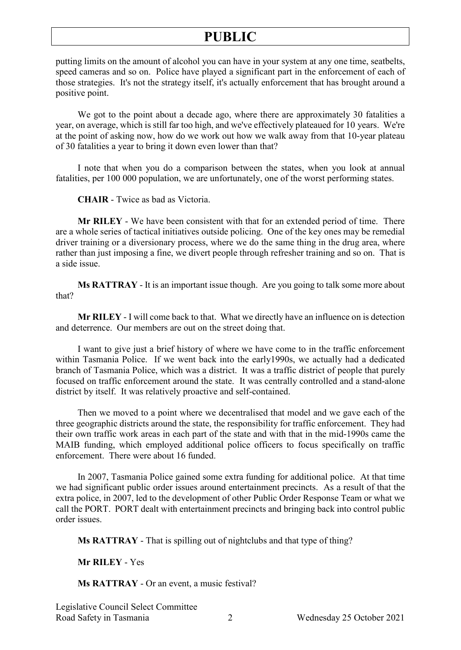putting limits on the amount of alcohol you can have in your system at any one time, seatbelts, speed cameras and so on. Police have played a significant part in the enforcement of each of those strategies. It's not the strategy itself, it's actually enforcement that has brought around a positive point.

We got to the point about a decade ago, where there are approximately 30 fatalities a year, on average, which is still far too high, and we've effectively plateaued for 10 years. We're at the point of asking now, how do we work out how we walk away from that 10-year plateau of 30 fatalities a year to bring it down even lower than that?

I note that when you do a comparison between the states, when you look at annual fatalities, per 100 000 population, we are unfortunately, one of the worst performing states.

**CHAIR** - Twice as bad as Victoria.

**Mr RILEY** - We have been consistent with that for an extended period of time. There are a whole series of tactical initiatives outside policing. One of the key ones may be remedial driver training or a diversionary process, where we do the same thing in the drug area, where rather than just imposing a fine, we divert people through refresher training and so on. That is a side issue.

**Ms RATTRAY** - It is an important issue though. Are you going to talk some more about that?

**Mr RILEY** - I will come back to that. What we directly have an influence on is detection and deterrence. Our members are out on the street doing that.

I want to give just a brief history of where we have come to in the traffic enforcement within Tasmania Police. If we went back into the early1990s, we actually had a dedicated branch of Tasmania Police, which was a district. It was a traffic district of people that purely focused on traffic enforcement around the state. It was centrally controlled and a stand-alone district by itself. It was relatively proactive and self-contained.

Then we moved to a point where we decentralised that model and we gave each of the three geographic districts around the state, the responsibility for traffic enforcement. They had their own traffic work areas in each part of the state and with that in the mid-1990s came the MAIB funding, which employed additional police officers to focus specifically on traffic enforcement. There were about 16 funded.

In 2007, Tasmania Police gained some extra funding for additional police. At that time we had significant public order issues around entertainment precincts. As a result of that the extra police, in 2007, led to the development of other Public Order Response Team or what we call the PORT. PORT dealt with entertainment precincts and bringing back into control public order issues.

**Ms RATTRAY** - That is spilling out of nightclubs and that type of thing?

**Mr RILEY** - Yes

**Ms RATTRAY** - Or an event, a music festival?

Legislative Council Select Committee Road Safety in Tasmania 2 Wednesday 25 October 2021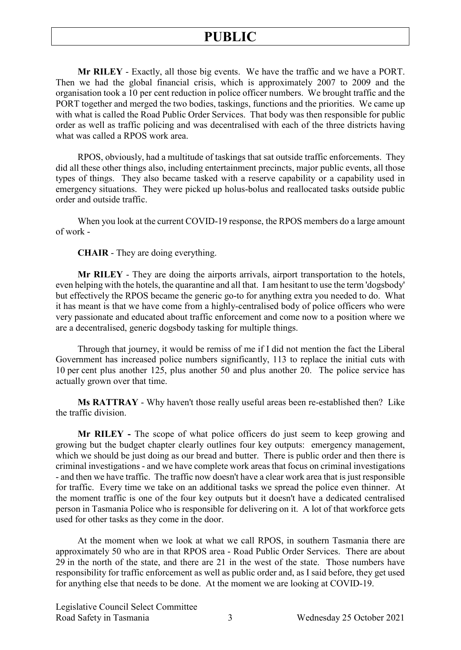**Mr RILEY** - Exactly, all those big events. We have the traffic and we have a PORT. Then we had the global financial crisis, which is approximately 2007 to 2009 and the organisation took a 10 per cent reduction in police officer numbers. We brought traffic and the PORT together and merged the two bodies, taskings, functions and the priorities. We came up with what is called the Road Public Order Services. That body was then responsible for public order as well as traffic policing and was decentralised with each of the three districts having what was called a RPOS work area.

RPOS, obviously, had a multitude of taskings that sat outside traffic enforcements. They did all these other things also, including entertainment precincts, major public events, all those types of things. They also became tasked with a reserve capability or a capability used in emergency situations. They were picked up holus-bolus and reallocated tasks outside public order and outside traffic.

When you look at the current COVID-19 response, the RPOS members do a large amount of work -

**CHAIR** - They are doing everything.

**Mr RILEY** - They are doing the airports arrivals, airport transportation to the hotels, even helping with the hotels, the quarantine and all that. I am hesitant to use the term 'dogsbody' but effectively the RPOS became the generic go-to for anything extra you needed to do. What it has meant is that we have come from a highly-centralised body of police officers who were very passionate and educated about traffic enforcement and come now to a position where we are a decentralised, generic dogsbody tasking for multiple things.

Through that journey, it would be remiss of me if I did not mention the fact the Liberal Government has increased police numbers significantly, 113 to replace the initial cuts with 10 per cent plus another 125, plus another 50 and plus another 20. The police service has actually grown over that time.

**Ms RATTRAY** - Why haven't those really useful areas been re-established then? Like the traffic division.

**Mr RILEY -** The scope of what police officers do just seem to keep growing and growing but the budget chapter clearly outlines four key outputs: emergency management, which we should be just doing as our bread and butter. There is public order and then there is criminal investigations - and we have complete work areas that focus on criminal investigations - and then we have traffic. The traffic now doesn't have a clear work area that is just responsible for traffic. Every time we take on an additional tasks we spread the police even thinner. At the moment traffic is one of the four key outputs but it doesn't have a dedicated centralised person in Tasmania Police who is responsible for delivering on it. A lot of that workforce gets used for other tasks as they come in the door.

At the moment when we look at what we call RPOS, in southern Tasmania there are approximately 50 who are in that RPOS area - Road Public Order Services. There are about 29 in the north of the state, and there are 21 in the west of the state. Those numbers have responsibility for traffic enforcement as well as public order and, as I said before, they get used for anything else that needs to be done. At the moment we are looking at COVID-19.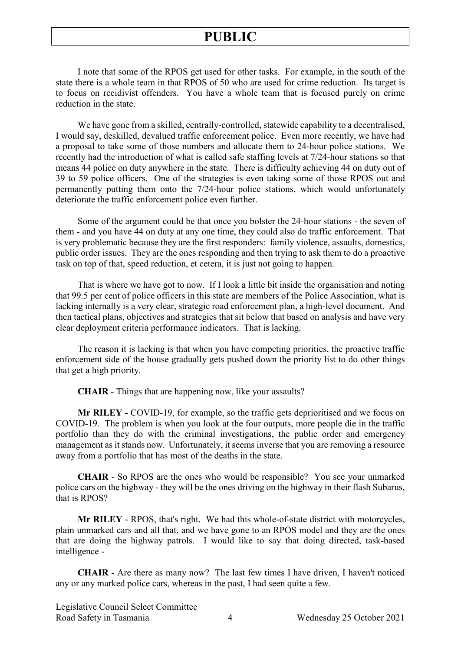I note that some of the RPOS get used for other tasks. For example, in the south of the state there is a whole team in that RPOS of 50 who are used for crime reduction. Its target is to focus on recidivist offenders. You have a whole team that is focused purely on crime reduction in the state.

We have gone from a skilled, centrally-controlled, statewide capability to a decentralised, I would say, deskilled, devalued traffic enforcement police. Even more recently, we have had a proposal to take some of those numbers and allocate them to 24-hour police stations. We recently had the introduction of what is called safe staffing levels at 7/24-hour stations so that means 44 police on duty anywhere in the state. There is difficulty achieving 44 on duty out of 39 to 59 police officers. One of the strategies is even taking some of those RPOS out and permanently putting them onto the 7/24-hour police stations, which would unfortunately deteriorate the traffic enforcement police even further.

Some of the argument could be that once you bolster the 24-hour stations - the seven of them - and you have 44 on duty at any one time, they could also do traffic enforcement. That is very problematic because they are the first responders: family violence, assaults, domestics, public order issues. They are the ones responding and then trying to ask them to do a proactive task on top of that, speed reduction, et cetera, it is just not going to happen.

That is where we have got to now. If I look a little bit inside the organisation and noting that 99.5 per cent of police officers in this state are members of the Police Association, what is lacking internally is a very clear, strategic road enforcement plan, a high-level document. And then tactical plans, objectives and strategies that sit below that based on analysis and have very clear deployment criteria performance indicators. That is lacking.

The reason it is lacking is that when you have competing priorities, the proactive traffic enforcement side of the house gradually gets pushed down the priority list to do other things that get a high priority.

**CHAIR** - Things that are happening now, like your assaults?

**Mr RILEY -** COVID-19, for example, so the traffic gets deprioritised and we focus on COVID-19. The problem is when you look at the four outputs, more people die in the traffic portfolio than they do with the criminal investigations, the public order and emergency management as it stands now. Unfortunately, it seems inverse that you are removing a resource away from a portfolio that has most of the deaths in the state.

**CHAIR** - So RPOS are the ones who would be responsible? You see your unmarked police cars on the highway - they will be the ones driving on the highway in their flash Subarus, that is RPOS?

**Mr RILEY** - RPOS, that's right. We had this whole-of-state district with motorcycles, plain unmarked cars and all that, and we have gone to an RPOS model and they are the ones that are doing the highway patrols. I would like to say that doing directed, task-based intelligence -

**CHAIR** - Are there as many now? The last few times I have driven, I haven't noticed any or any marked police cars, whereas in the past, I had seen quite a few.

Legislative Council Select Committee Road Safety in Tasmania  $\overline{4}$  Wednesday 25 October 2021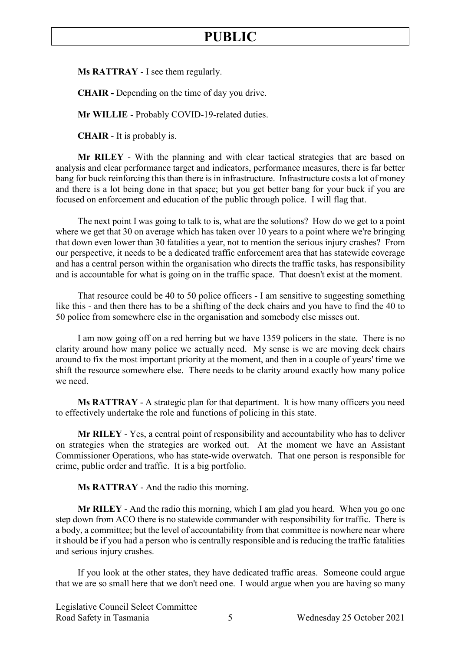**Ms RATTRAY** - I see them regularly.

**CHAIR -** Depending on the time of day you drive.

**Mr WILLIE** - Probably COVID-19-related duties.

**CHAIR** - It is probably is.

**Mr RILEY** - With the planning and with clear tactical strategies that are based on analysis and clear performance target and indicators, performance measures, there is far better bang for buck reinforcing this than there is in infrastructure. Infrastructure costs a lot of money and there is a lot being done in that space; but you get better bang for your buck if you are focused on enforcement and education of the public through police. I will flag that.

The next point I was going to talk to is, what are the solutions? How do we get to a point where we get that 30 on average which has taken over 10 years to a point where we're bringing that down even lower than 30 fatalities a year, not to mention the serious injury crashes? From our perspective, it needs to be a dedicated traffic enforcement area that has statewide coverage and has a central person within the organisation who directs the traffic tasks, has responsibility and is accountable for what is going on in the traffic space. That doesn't exist at the moment.

That resource could be 40 to 50 police officers - I am sensitive to suggesting something like this - and then there has to be a shifting of the deck chairs and you have to find the 40 to 50 police from somewhere else in the organisation and somebody else misses out.

I am now going off on a red herring but we have 1359 policers in the state. There is no clarity around how many police we actually need. My sense is we are moving deck chairs around to fix the most important priority at the moment, and then in a couple of years' time we shift the resource somewhere else. There needs to be clarity around exactly how many police we need.

**Ms RATTRAY** - A strategic plan for that department. It is how many officers you need to effectively undertake the role and functions of policing in this state.

**Mr RILEY** - Yes, a central point of responsibility and accountability who has to deliver on strategies when the strategies are worked out. At the moment we have an Assistant Commissioner Operations, who has state-wide overwatch. That one person is responsible for crime, public order and traffic. It is a big portfolio.

**Ms RATTRAY** - And the radio this morning.

**Mr RILEY** - And the radio this morning, which I am glad you heard. When you go one step down from ACO there is no statewide commander with responsibility for traffic. There is a body, a committee; but the level of accountability from that committee is nowhere near where it should be if you had a person who is centrally responsible and is reducing the traffic fatalities and serious injury crashes.

If you look at the other states, they have dedicated traffic areas. Someone could argue that we are so small here that we don't need one. I would argue when you are having so many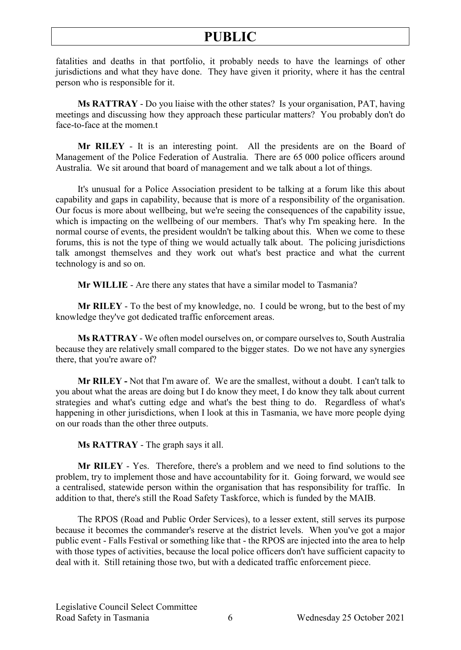fatalities and deaths in that portfolio, it probably needs to have the learnings of other jurisdictions and what they have done. They have given it priority, where it has the central person who is responsible for it.

**Ms RATTRAY** - Do you liaise with the other states? Is your organisation, PAT, having meetings and discussing how they approach these particular matters? You probably don't do face-to-face at the momen.t

**Mr RILEY** - It is an interesting point. All the presidents are on the Board of Management of the Police Federation of Australia. There are 65 000 police officers around Australia. We sit around that board of management and we talk about a lot of things.

It's unusual for a Police Association president to be talking at a forum like this about capability and gaps in capability, because that is more of a responsibility of the organisation. Our focus is more about wellbeing, but we're seeing the consequences of the capability issue, which is impacting on the wellbeing of our members. That's why I'm speaking here. In the normal course of events, the president wouldn't be talking about this. When we come to these forums, this is not the type of thing we would actually talk about. The policing jurisdictions talk amongst themselves and they work out what's best practice and what the current technology is and so on.

**Mr WILLIE** - Are there any states that have a similar model to Tasmania?

**Mr RILEY** - To the best of my knowledge, no. I could be wrong, but to the best of my knowledge they've got dedicated traffic enforcement areas.

**Ms RATTRAY** - We often model ourselves on, or compare ourselves to, South Australia because they are relatively small compared to the bigger states. Do we not have any synergies there, that you're aware of?

**Mr RILEY -** Not that I'm aware of. We are the smallest, without a doubt. I can't talk to you about what the areas are doing but I do know they meet, I do know they talk about current strategies and what's cutting edge and what's the best thing to do. Regardless of what's happening in other jurisdictions, when I look at this in Tasmania, we have more people dying on our roads than the other three outputs.

**Ms RATTRAY** - The graph says it all.

**Mr RILEY** - Yes. Therefore, there's a problem and we need to find solutions to the problem, try to implement those and have accountability for it. Going forward, we would see a centralised, statewide person within the organisation that has responsibility for traffic. In addition to that, there's still the Road Safety Taskforce, which is funded by the MAIB.

The RPOS (Road and Public Order Services), to a lesser extent, still serves its purpose because it becomes the commander's reserve at the district levels. When you've got a major public event - Falls Festival or something like that - the RPOS are injected into the area to help with those types of activities, because the local police officers don't have sufficient capacity to deal with it. Still retaining those two, but with a dedicated traffic enforcement piece.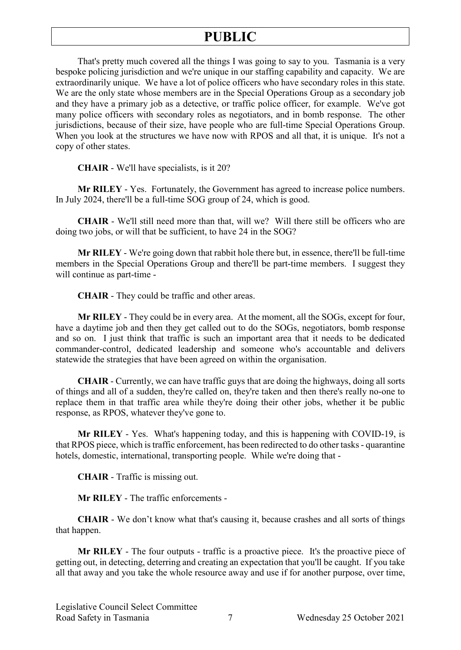That's pretty much covered all the things I was going to say to you. Tasmania is a very bespoke policing jurisdiction and we're unique in our staffing capability and capacity. We are extraordinarily unique. We have a lot of police officers who have secondary roles in this state. We are the only state whose members are in the Special Operations Group as a secondary job and they have a primary job as a detective, or traffic police officer, for example. We've got many police officers with secondary roles as negotiators, and in bomb response. The other jurisdictions, because of their size, have people who are full-time Special Operations Group. When you look at the structures we have now with RPOS and all that, it is unique. It's not a copy of other states.

**CHAIR** - We'll have specialists, is it 20?

**Mr RILEY** - Yes. Fortunately, the Government has agreed to increase police numbers. In July 2024, there'll be a full-time SOG group of 24, which is good.

**CHAIR** - We'll still need more than that, will we? Will there still be officers who are doing two jobs, or will that be sufficient, to have 24 in the SOG?

**Mr RILEY** - We're going down that rabbit hole there but, in essence, there'll be full-time members in the Special Operations Group and there'll be part-time members. I suggest they will continue as part-time -

**CHAIR** - They could be traffic and other areas.

**Mr RILEY** - They could be in every area. At the moment, all the SOGs, except for four, have a daytime job and then they get called out to do the SOGs, negotiators, bomb response and so on. I just think that traffic is such an important area that it needs to be dedicated commander-control, dedicated leadership and someone who's accountable and delivers statewide the strategies that have been agreed on within the organisation.

**CHAIR** - Currently, we can have traffic guys that are doing the highways, doing all sorts of things and all of a sudden, they're called on, they're taken and then there's really no-one to replace them in that traffic area while they're doing their other jobs, whether it be public response, as RPOS, whatever they've gone to.

**Mr RILEY** - Yes. What's happening today, and this is happening with COVID-19, is that RPOS piece, which is traffic enforcement, has been redirected to do other tasks - quarantine hotels, domestic, international, transporting people. While we're doing that -

**CHAIR** - Traffic is missing out.

**Mr RILEY** - The traffic enforcements -

**CHAIR** - We don't know what that's causing it, because crashes and all sorts of things that happen.

**Mr RILEY** - The four outputs - traffic is a proactive piece. It's the proactive piece of getting out, in detecting, deterring and creating an expectation that you'll be caught. If you take all that away and you take the whole resource away and use if for another purpose, over time,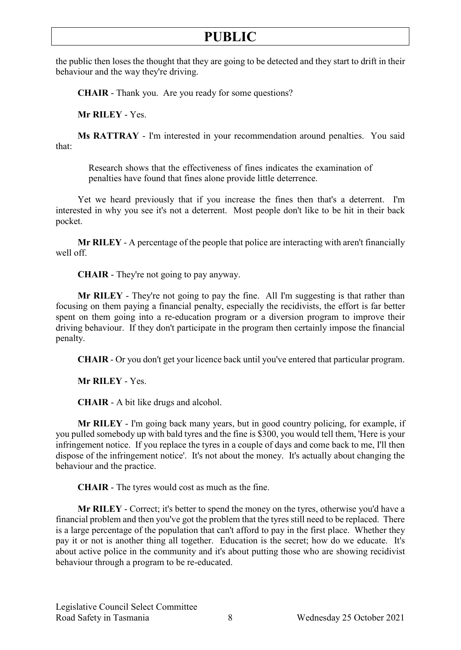the public then loses the thought that they are going to be detected and they start to drift in their behaviour and the way they're driving.

**CHAIR** - Thank you. Are you ready for some questions?

**Mr RILEY** - Yes.

**Ms RATTRAY** - I'm interested in your recommendation around penalties. You said that:

Research shows that the effectiveness of fines indicates the examination of penalties have found that fines alone provide little deterrence.

Yet we heard previously that if you increase the fines then that's a deterrent. I'm interested in why you see it's not a deterrent. Most people don't like to be hit in their back pocket.

**Mr RILEY** - A percentage of the people that police are interacting with aren't financially well off.

**CHAIR** - They're not going to pay anyway.

**Mr RILEY** - They're not going to pay the fine. All I'm suggesting is that rather than focusing on them paying a financial penalty, especially the recidivists, the effort is far better spent on them going into a re-education program or a diversion program to improve their driving behaviour. If they don't participate in the program then certainly impose the financial penalty.

**CHAIR** - Or you don't get your licence back until you've entered that particular program.

**Mr RILEY** - Yes.

**CHAIR** - A bit like drugs and alcohol.

**Mr RILEY** - I'm going back many years, but in good country policing, for example, if you pulled somebody up with bald tyres and the fine is \$300, you would tell them, 'Here is your infringement notice. If you replace the tyres in a couple of days and come back to me, I'll then dispose of the infringement notice'. It's not about the money. It's actually about changing the behaviour and the practice.

**CHAIR** - The tyres would cost as much as the fine.

**Mr RILEY** - Correct; it's better to spend the money on the tyres, otherwise you'd have a financial problem and then you've got the problem that the tyres still need to be replaced. There is a large percentage of the population that can't afford to pay in the first place. Whether they pay it or not is another thing all together. Education is the secret; how do we educate. It's about active police in the community and it's about putting those who are showing recidivist behaviour through a program to be re-educated.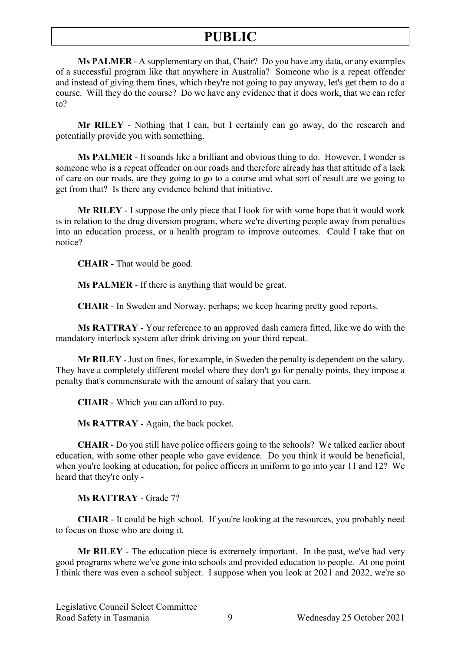**Ms PALMER** - A supplementary on that, Chair? Do you have any data, or any examples of a successful program like that anywhere in Australia? Someone who is a repeat offender and instead of giving them fines, which they're not going to pay anyway, let's get them to do a course. Will they do the course? Do we have any evidence that it does work, that we can refer to?

**Mr RILEY** - Nothing that I can, but I certainly can go away, do the research and potentially provide you with something.

**Ms PALMER** - It sounds like a brilliant and obvious thing to do. However, I wonder is someone who is a repeat offender on our roads and therefore already has that attitude of a lack of care on our roads, are they going to go to a course and what sort of result are we going to get from that? Is there any evidence behind that initiative.

**Mr RILEY** - I suppose the only piece that I look for with some hope that it would work is in relation to the drug diversion program, where we're diverting people away from penalties into an education process, or a health program to improve outcomes. Could I take that on notice?

**CHAIR** - That would be good.

**Ms PALMER** - If there is anything that would be great.

**CHAIR** - In Sweden and Norway, perhaps; we keep hearing pretty good reports.

**Ms RATTRAY** - Your reference to an approved dash camera fitted, like we do with the mandatory interlock system after drink driving on your third repeat.

**Mr RILEY** -Just on fines, for example, in Sweden the penalty is dependent on the salary. They have a completely different model where they don't go for penalty points, they impose a penalty that's commensurate with the amount of salary that you earn.

**CHAIR** - Which you can afford to pay.

**Ms RATTRAY** - Again, the back pocket.

**CHAIR** - Do you still have police officers going to the schools? We talked earlier about education, with some other people who gave evidence. Do you think it would be beneficial, when you're looking at education, for police officers in uniform to go into year 11 and 12? We heard that they're only -

**Ms RATTRAY** - Grade 7?

**CHAIR** - It could be high school. If you're looking at the resources, you probably need to focus on those who are doing it.

**Mr RILEY** - The education piece is extremely important. In the past, we've had very good programs where we've gone into schools and provided education to people. At one point I think there was even a school subject. I suppose when you look at 2021 and 2022, we're so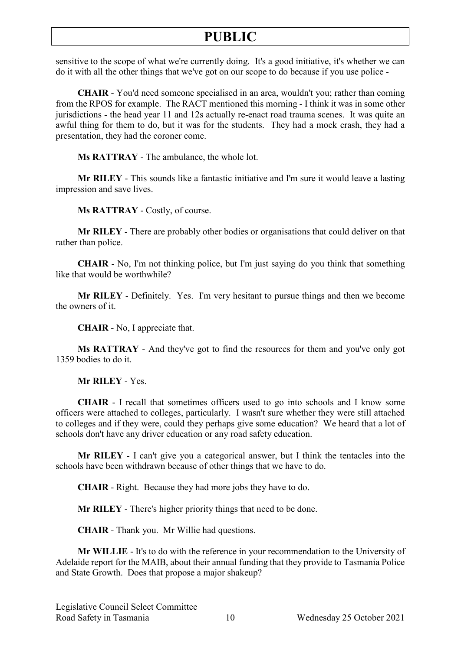sensitive to the scope of what we're currently doing. It's a good initiative, it's whether we can do it with all the other things that we've got on our scope to do because if you use police -

**CHAIR** - You'd need someone specialised in an area, wouldn't you; rather than coming from the RPOS for example. The RACT mentioned this morning - I think it was in some other jurisdictions - the head year 11 and 12s actually re-enact road trauma scenes. It was quite an awful thing for them to do, but it was for the students. They had a mock crash, they had a presentation, they had the coroner come.

**Ms RATTRAY** - The ambulance, the whole lot.

**Mr RILEY** - This sounds like a fantastic initiative and I'm sure it would leave a lasting impression and save lives.

**Ms RATTRAY** - Costly, of course.

**Mr RILEY** - There are probably other bodies or organisations that could deliver on that rather than police.

**CHAIR** - No, I'm not thinking police, but I'm just saying do you think that something like that would be worthwhile?

**Mr RILEY** - Definitely. Yes. I'm very hesitant to pursue things and then we become the owners of it.

**CHAIR** - No, I appreciate that.

**Ms RATTRAY** - And they've got to find the resources for them and you've only got 1359 bodies to do it.

**Mr RILEY** - Yes.

**CHAIR** - I recall that sometimes officers used to go into schools and I know some officers were attached to colleges, particularly. I wasn't sure whether they were still attached to colleges and if they were, could they perhaps give some education? We heard that a lot of schools don't have any driver education or any road safety education.

**Mr RILEY** - I can't give you a categorical answer, but I think the tentacles into the schools have been withdrawn because of other things that we have to do.

**CHAIR** - Right. Because they had more jobs they have to do.

**Mr RILEY** - There's higher priority things that need to be done.

**CHAIR** - Thank you. Mr Willie had questions.

**Mr WILLIE** - It's to do with the reference in your recommendation to the University of Adelaide report for the MAIB, about their annual funding that they provide to Tasmania Police and State Growth. Does that propose a major shakeup?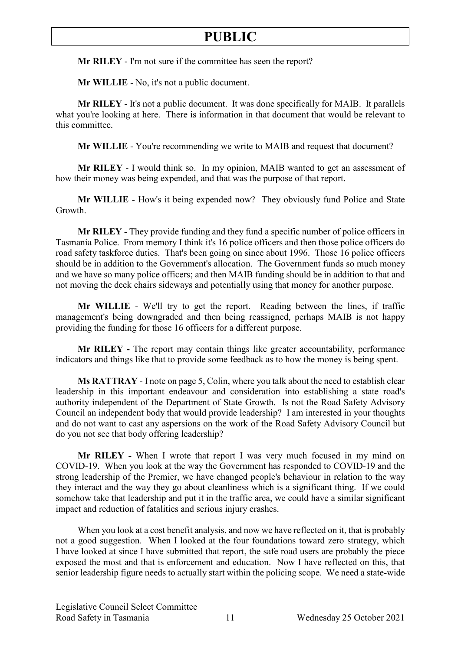**Mr RILEY** - I'm not sure if the committee has seen the report?

**Mr WILLIE** - No, it's not a public document.

**Mr RILEY** - It's not a public document. It was done specifically for MAIB. It parallels what you're looking at here. There is information in that document that would be relevant to this committee.

**Mr WILLIE** - You're recommending we write to MAIB and request that document?

**Mr RILEY** - I would think so. In my opinion, MAIB wanted to get an assessment of how their money was being expended, and that was the purpose of that report.

**Mr WILLIE** - How's it being expended now? They obviously fund Police and State Growth.

**Mr RILEY** - They provide funding and they fund a specific number of police officers in Tasmania Police. From memory I think it's 16 police officers and then those police officers do road safety taskforce duties. That's been going on since about 1996. Those 16 police officers should be in addition to the Government's allocation. The Government funds so much money and we have so many police officers; and then MAIB funding should be in addition to that and not moving the deck chairs sideways and potentially using that money for another purpose.

**Mr WILLIE** - We'll try to get the report. Reading between the lines, if traffic management's being downgraded and then being reassigned, perhaps MAIB is not happy providing the funding for those 16 officers for a different purpose.

**Mr RILEY -** The report may contain things like greater accountability, performance indicators and things like that to provide some feedback as to how the money is being spent.

**Ms RATTRAY** - I note on page 5, Colin, where you talk about the need to establish clear leadership in this important endeavour and consideration into establishing a state road's authority independent of the Department of State Growth. Is not the Road Safety Advisory Council an independent body that would provide leadership? I am interested in your thoughts and do not want to cast any aspersions on the work of the Road Safety Advisory Council but do you not see that body offering leadership?

**Mr RILEY -** When I wrote that report I was very much focused in my mind on COVID-19. When you look at the way the Government has responded to COVID-19 and the strong leadership of the Premier, we have changed people's behaviour in relation to the way they interact and the way they go about cleanliness which is a significant thing. If we could somehow take that leadership and put it in the traffic area, we could have a similar significant impact and reduction of fatalities and serious injury crashes.

When you look at a cost benefit analysis, and now we have reflected on it, that is probably not a good suggestion. When I looked at the four foundations toward zero strategy, which I have looked at since I have submitted that report, the safe road users are probably the piece exposed the most and that is enforcement and education. Now I have reflected on this, that senior leadership figure needs to actually start within the policing scope. We need a state-wide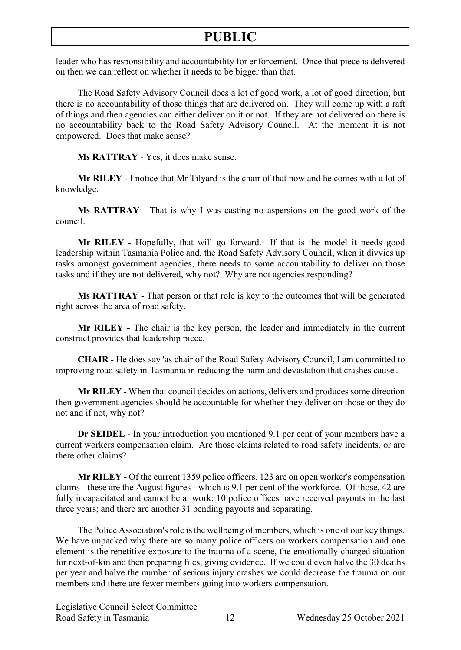leader who has responsibility and accountability for enforcement. Once that piece is delivered on then we can reflect on whether it needs to be bigger than that.

The Road Safety Advisory Council does a lot of good work, a lot of good direction, but there is no accountability of those things that are delivered on. They will come up with a raft of things and then agencies can either deliver on it or not. If they are not delivered on there is no accountability back to the Road Safety Advisory Council. At the moment it is not empowered. Does that make sense?

**Ms RATTRAY** - Yes, it does make sense.

**Mr RILEY -** I notice that Mr Tilyard is the chair of that now and he comes with a lot of knowledge.

**Ms RATTRAY** - That is why I was casting no aspersions on the good work of the council.

**Mr RILEY -** Hopefully, that will go forward. If that is the model it needs good leadership within Tasmania Police and, the Road Safety Advisory Council, when it divvies up tasks amongst government agencies, there needs to some accountability to deliver on those tasks and if they are not delivered, why not? Why are not agencies responding?

**Ms RATTRAY** - That person or that role is key to the outcomes that will be generated right across the area of road safety.

**Mr RILEY -** The chair is the key person, the leader and immediately in the current construct provides that leadership piece.

**CHAIR** - He does say 'as chair of the Road Safety Advisory Council, I am committed to improving road safety in Tasmania in reducing the harm and devastation that crashes cause'.

**Mr RILEY -** When that council decides on actions, delivers and produces some direction then government agencies should be accountable for whether they deliver on those or they do not and if not, why not?

**Dr SEIDEL** - In your introduction you mentioned 9.1 per cent of your members have a current workers compensation claim. Are those claims related to road safety incidents, or are there other claims?

**Mr RILEY -** Of the current 1359 police officers, 123 are on open worker's compensation claims - these are the August figures - which is 9.1 per cent of the workforce. Of those, 42 are fully incapacitated and cannot be at work; 10 police offices have received payouts in the last three years; and there are another 31 pending payouts and separating.

The Police Association's role is the wellbeing of members, which is one of our key things. We have unpacked why there are so many police officers on workers compensation and one element is the repetitive exposure to the trauma of a scene, the emotionally-charged situation for next-of-kin and then preparing files, giving evidence. If we could even halve the 30 deaths per year and halve the number of serious injury crashes we could decrease the trauma on our members and there are fewer members going into workers compensation.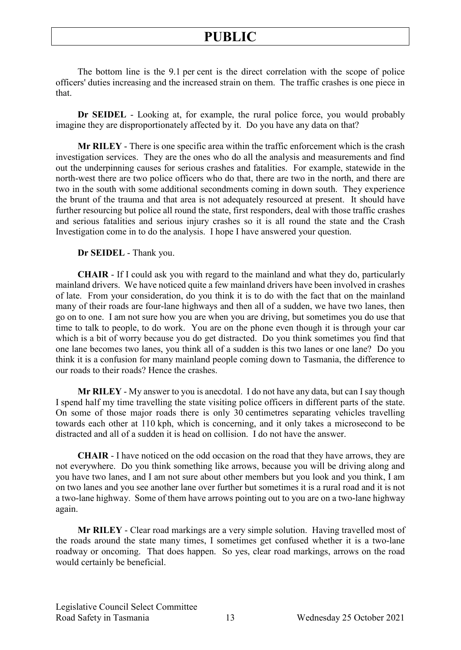The bottom line is the 9.1 per cent is the direct correlation with the scope of police officers' duties increasing and the increased strain on them. The traffic crashes is one piece in that.

**Dr SEIDEL** - Looking at, for example, the rural police force, you would probably imagine they are disproportionately affected by it. Do you have any data on that?

**Mr RILEY** - There is one specific area within the traffic enforcement which is the crash investigation services. They are the ones who do all the analysis and measurements and find out the underpinning causes for serious crashes and fatalities. For example, statewide in the north-west there are two police officers who do that, there are two in the north, and there are two in the south with some additional secondments coming in down south. They experience the brunt of the trauma and that area is not adequately resourced at present. It should have further resourcing but police all round the state, first responders, deal with those traffic crashes and serious fatalities and serious injury crashes so it is all round the state and the Crash Investigation come in to do the analysis. I hope I have answered your question.

**Dr SEIDEL** - Thank you.

**CHAIR** - If I could ask you with regard to the mainland and what they do, particularly mainland drivers. We have noticed quite a few mainland drivers have been involved in crashes of late. From your consideration, do you think it is to do with the fact that on the mainland many of their roads are four-lane highways and then all of a sudden, we have two lanes, then go on to one. I am not sure how you are when you are driving, but sometimes you do use that time to talk to people, to do work. You are on the phone even though it is through your car which is a bit of worry because you do get distracted. Do you think sometimes you find that one lane becomes two lanes, you think all of a sudden is this two lanes or one lane? Do you think it is a confusion for many mainland people coming down to Tasmania, the difference to our roads to their roads? Hence the crashes.

**Mr RILEY** - My answer to you is anecdotal. I do not have any data, but can I say though I spend half my time travelling the state visiting police officers in different parts of the state. On some of those major roads there is only 30 centimetres separating vehicles travelling towards each other at 110 kph, which is concerning, and it only takes a microsecond to be distracted and all of a sudden it is head on collision. I do not have the answer.

**CHAIR** - I have noticed on the odd occasion on the road that they have arrows, they are not everywhere. Do you think something like arrows, because you will be driving along and you have two lanes, and I am not sure about other members but you look and you think, I am on two lanes and you see another lane over further but sometimes it is a rural road and it is not a two-lane highway. Some of them have arrows pointing out to you are on a two-lane highway again.

**Mr RILEY** - Clear road markings are a very simple solution. Having travelled most of the roads around the state many times, I sometimes get confused whether it is a two-lane roadway or oncoming. That does happen. So yes, clear road markings, arrows on the road would certainly be beneficial.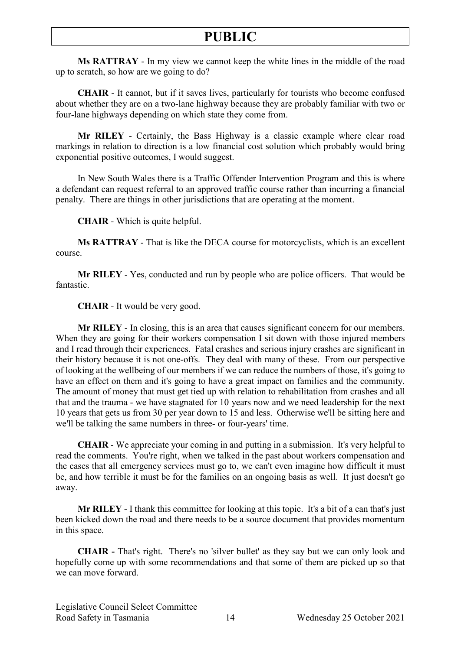**Ms RATTRAY** - In my view we cannot keep the white lines in the middle of the road up to scratch, so how are we going to do?

**CHAIR** - It cannot, but if it saves lives, particularly for tourists who become confused about whether they are on a two-lane highway because they are probably familiar with two or four-lane highways depending on which state they come from.

**Mr RILEY** - Certainly, the Bass Highway is a classic example where clear road markings in relation to direction is a low financial cost solution which probably would bring exponential positive outcomes, I would suggest.

In New South Wales there is a Traffic Offender Intervention Program and this is where a defendant can request referral to an approved traffic course rather than incurring a financial penalty. There are things in other jurisdictions that are operating at the moment.

**CHAIR** - Which is quite helpful.

**Ms RATTRAY** - That is like the DECA course for motorcyclists, which is an excellent course.

**Mr RILEY** - Yes, conducted and run by people who are police officers. That would be fantastic.

**CHAIR** - It would be very good.

**Mr RILEY** - In closing, this is an area that causes significant concern for our members. When they are going for their workers compensation I sit down with those injured members and I read through their experiences. Fatal crashes and serious injury crashes are significant in their history because it is not one-offs. They deal with many of these. From our perspective of looking at the wellbeing of our members if we can reduce the numbers of those, it's going to have an effect on them and it's going to have a great impact on families and the community. The amount of money that must get tied up with relation to rehabilitation from crashes and all that and the trauma - we have stagnated for 10 years now and we need leadership for the next 10 years that gets us from 30 per year down to 15 and less. Otherwise we'll be sitting here and we'll be talking the same numbers in three- or four-years' time.

**CHAIR** - We appreciate your coming in and putting in a submission. It's very helpful to read the comments. You're right, when we talked in the past about workers compensation and the cases that all emergency services must go to, we can't even imagine how difficult it must be, and how terrible it must be for the families on an ongoing basis as well. It just doesn't go away.

**Mr RILEY** - I thank this committee for looking at this topic. It's a bit of a can that's just been kicked down the road and there needs to be a source document that provides momentum in this space.

**CHAIR -** That's right. There's no 'silver bullet' as they say but we can only look and hopefully come up with some recommendations and that some of them are picked up so that we can move forward.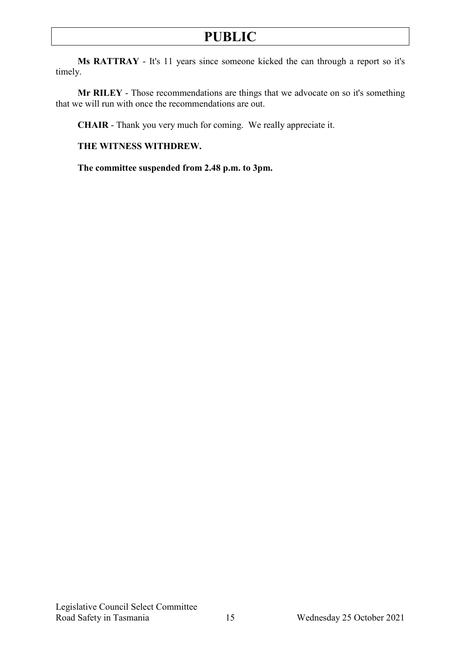**Ms RATTRAY** - It's 11 years since someone kicked the can through a report so it's timely.

**Mr RILEY** - Those recommendations are things that we advocate on so it's something that we will run with once the recommendations are out.

**CHAIR** - Thank you very much for coming. We really appreciate it.

**THE WITNESS WITHDREW.**

**The committee suspended from 2.48 p.m. to 3pm.**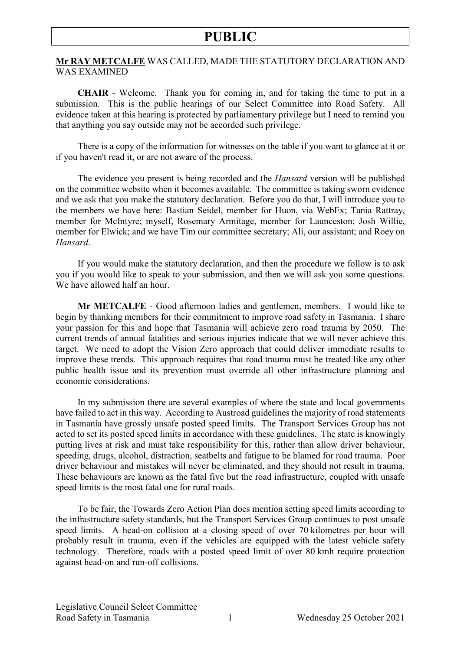#### **Mr RAY METCALFE** WAS CALLED, MADE THE STATUTORY DECLARATION AND WAS EXAMINED

**CHAIR** - Welcome. Thank you for coming in, and for taking the time to put in a submission. This is the public hearings of our Select Committee into Road Safety. All evidence taken at this hearing is protected by parliamentary privilege but I need to remind you that anything you say outside may not be accorded such privilege.

There is a copy of the information for witnesses on the table if you want to glance at it or if you haven't read it, or are not aware of the process.

The evidence you present is being recorded and the *Hansard* version will be published on the committee website when it becomes available. The committee is taking sworn evidence and we ask that you make the statutory declaration. Before you do that, I will introduce you to the members we have here: Bastian Seidel, member for Huon, via WebEx; Tania Rattray, member for McIntyre; myself, Rosemary Armitage, member for Launceston; Josh Willie, member for Elwick; and we have Tim our committee secretary; Ali, our assistant; and Roey on *Hansard*.

If you would make the statutory declaration, and then the procedure we follow is to ask you if you would like to speak to your submission, and then we will ask you some questions. We have allowed half an hour.

**Mr METCALFE** - Good afternoon ladies and gentlemen, members. I would like to begin by thanking members for their commitment to improve road safety in Tasmania. I share your passion for this and hope that Tasmania will achieve zero road trauma by 2050. The current trends of annual fatalities and serious injuries indicate that we will never achieve this target. We need to adopt the Vision Zero approach that could deliver immediate results to improve these trends. This approach requires that road trauma must be treated like any other public health issue and its prevention must override all other infrastructure planning and economic considerations.

In my submission there are several examples of where the state and local governments have failed to act in this way. According to Austroad guidelines the majority of road statements in Tasmania have grossly unsafe posted speed limits. The Transport Services Group has not acted to set its posted speed limits in accordance with these guidelines. The state is knowingly putting lives at risk and must take responsibility for this, rather than allow driver behaviour, speeding, drugs, alcohol, distraction, seatbelts and fatigue to be blamed for road trauma. Poor driver behaviour and mistakes will never be eliminated, and they should not result in trauma. These behaviours are known as the fatal five but the road infrastructure, coupled with unsafe speed limits is the most fatal one for rural roads.

To be fair, the Towards Zero Action Plan does mention setting speed limits according to the infrastructure safety standards, but the Transport Services Group continues to post unsafe speed limits. A head-on collision at a closing speed of over 70 kilometres per hour will probably result in trauma, even if the vehicles are equipped with the latest vehicle safety technology. Therefore, roads with a posted speed limit of over 80 kmh require protection against head-on and run-off collisions.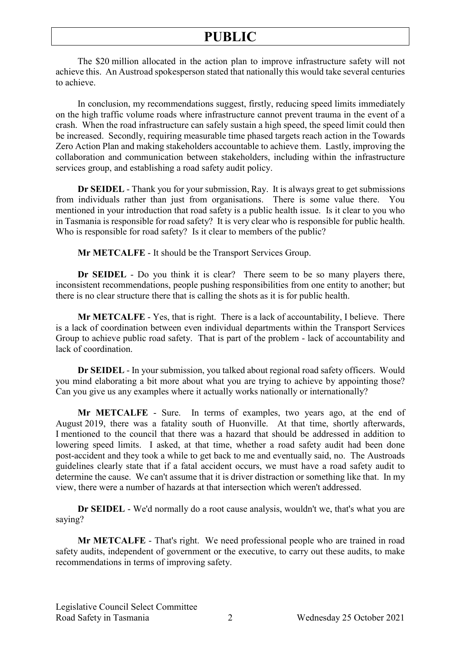The \$20 million allocated in the action plan to improve infrastructure safety will not achieve this. An Austroad spokesperson stated that nationally this would take several centuries to achieve.

In conclusion, my recommendations suggest, firstly, reducing speed limits immediately on the high traffic volume roads where infrastructure cannot prevent trauma in the event of a crash. When the road infrastructure can safely sustain a high speed, the speed limit could then be increased. Secondly, requiring measurable time phased targets reach action in the Towards Zero Action Plan and making stakeholders accountable to achieve them. Lastly, improving the collaboration and communication between stakeholders, including within the infrastructure services group, and establishing a road safety audit policy.

**Dr SEIDEL** - Thank you for your submission, Ray. It is always great to get submissions from individuals rather than just from organisations. There is some value there. You mentioned in your introduction that road safety is a public health issue. Is it clear to you who in Tasmania is responsible for road safety? It is very clear who is responsible for public health. Who is responsible for road safety? Is it clear to members of the public?

**Mr METCALFE** - It should be the Transport Services Group.

**Dr SEIDEL** - Do you think it is clear? There seem to be so many players there, inconsistent recommendations, people pushing responsibilities from one entity to another; but there is no clear structure there that is calling the shots as it is for public health.

**Mr METCALFE** - Yes, that is right. There is a lack of accountability, I believe. There is a lack of coordination between even individual departments within the Transport Services Group to achieve public road safety. That is part of the problem - lack of accountability and lack of coordination.

**Dr SEIDEL** - In your submission, you talked about regional road safety officers. Would you mind elaborating a bit more about what you are trying to achieve by appointing those? Can you give us any examples where it actually works nationally or internationally?

**Mr METCALFE** - Sure. In terms of examples, two years ago, at the end of August 2019, there was a fatality south of Huonville. At that time, shortly afterwards, I mentioned to the council that there was a hazard that should be addressed in addition to lowering speed limits. I asked, at that time, whether a road safety audit had been done post-accident and they took a while to get back to me and eventually said, no. The Austroads guidelines clearly state that if a fatal accident occurs, we must have a road safety audit to determine the cause. We can't assume that it is driver distraction or something like that. In my view, there were a number of hazards at that intersection which weren't addressed.

**Dr SEIDEL** - We'd normally do a root cause analysis, wouldn't we, that's what you are saying?

**Mr METCALFE** - That's right. We need professional people who are trained in road safety audits, independent of government or the executive, to carry out these audits, to make recommendations in terms of improving safety.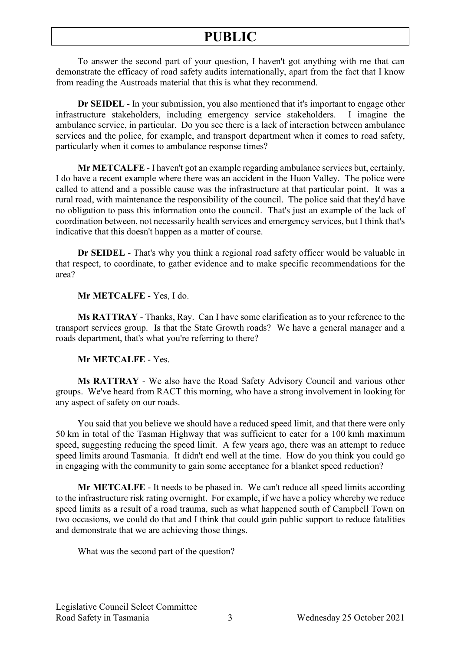To answer the second part of your question, I haven't got anything with me that can demonstrate the efficacy of road safety audits internationally, apart from the fact that I know from reading the Austroads material that this is what they recommend.

**Dr SEIDEL** - In your submission, you also mentioned that it's important to engage other infrastructure stakeholders, including emergency service stakeholders. I imagine the ambulance service, in particular. Do you see there is a lack of interaction between ambulance services and the police, for example, and transport department when it comes to road safety, particularly when it comes to ambulance response times?

**Mr METCALFE** - I haven't got an example regarding ambulance services but, certainly, I do have a recent example where there was an accident in the Huon Valley. The police were called to attend and a possible cause was the infrastructure at that particular point. It was a rural road, with maintenance the responsibility of the council. The police said that they'd have no obligation to pass this information onto the council. That's just an example of the lack of coordination between, not necessarily health services and emergency services, but I think that's indicative that this doesn't happen as a matter of course.

**Dr SEIDEL** - That's why you think a regional road safety officer would be valuable in that respect, to coordinate, to gather evidence and to make specific recommendations for the area?

#### **Mr METCALFE** - Yes, I do.

**Ms RATTRAY** - Thanks, Ray. Can I have some clarification as to your reference to the transport services group. Is that the State Growth roads? We have a general manager and a roads department, that's what you're referring to there?

#### **Mr METCALFE** - Yes.

**Ms RATTRAY** - We also have the Road Safety Advisory Council and various other groups. We've heard from RACT this morning, who have a strong involvement in looking for any aspect of safety on our roads.

You said that you believe we should have a reduced speed limit, and that there were only 50 km in total of the Tasman Highway that was sufficient to cater for a 100 kmh maximum speed, suggesting reducing the speed limit. A few years ago, there was an attempt to reduce speed limits around Tasmania. It didn't end well at the time. How do you think you could go in engaging with the community to gain some acceptance for a blanket speed reduction?

**Mr METCALFE** - It needs to be phased in. We can't reduce all speed limits according to the infrastructure risk rating overnight. For example, if we have a policy whereby we reduce speed limits as a result of a road trauma, such as what happened south of Campbell Town on two occasions, we could do that and I think that could gain public support to reduce fatalities and demonstrate that we are achieving those things.

What was the second part of the question?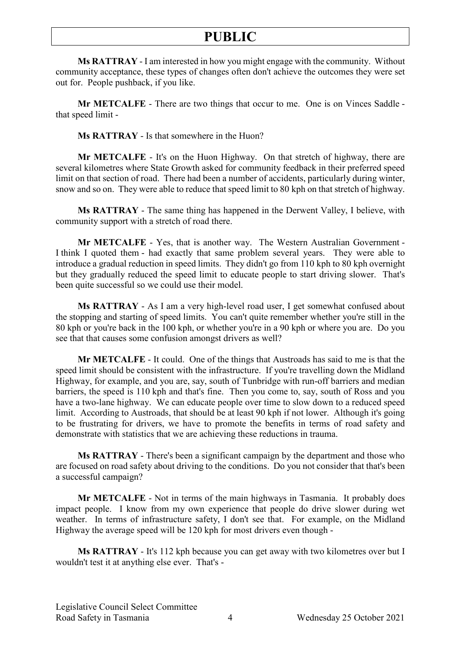**Ms RATTRAY** - I am interested in how you might engage with the community. Without community acceptance, these types of changes often don't achieve the outcomes they were set out for. People pushback, if you like.

**Mr METCALFE** - There are two things that occur to me. One is on Vinces Saddle that speed limit -

**Ms RATTRAY** - Is that somewhere in the Huon?

**Mr METCALFE** - It's on the Huon Highway. On that stretch of highway, there are several kilometres where State Growth asked for community feedback in their preferred speed limit on that section of road. There had been a number of accidents, particularly during winter, snow and so on. They were able to reduce that speed limit to 80 kph on that stretch of highway.

**Ms RATTRAY** - The same thing has happened in the Derwent Valley, I believe, with community support with a stretch of road there.

**Mr METCALFE** - Yes, that is another way. The Western Australian Government - I think I quoted them - had exactly that same problem several years. They were able to introduce a gradual reduction in speed limits. They didn't go from 110 kph to 80 kph overnight but they gradually reduced the speed limit to educate people to start driving slower. That's been quite successful so we could use their model.

**Ms RATTRAY** - As I am a very high-level road user, I get somewhat confused about the stopping and starting of speed limits. You can't quite remember whether you're still in the 80 kph or you're back in the 100 kph, or whether you're in a 90 kph or where you are. Do you see that that causes some confusion amongst drivers as well?

**Mr METCALFE** - It could. One of the things that Austroads has said to me is that the speed limit should be consistent with the infrastructure. If you're travelling down the Midland Highway, for example, and you are, say, south of Tunbridge with run-off barriers and median barriers, the speed is 110 kph and that's fine. Then you come to, say, south of Ross and you have a two-lane highway. We can educate people over time to slow down to a reduced speed limit. According to Austroads, that should be at least 90 kph if not lower. Although it's going to be frustrating for drivers, we have to promote the benefits in terms of road safety and demonstrate with statistics that we are achieving these reductions in trauma.

**Ms RATTRAY** - There's been a significant campaign by the department and those who are focused on road safety about driving to the conditions. Do you not consider that that's been a successful campaign?

**Mr METCALFE** - Not in terms of the main highways in Tasmania. It probably does impact people. I know from my own experience that people do drive slower during wet weather. In terms of infrastructure safety, I don't see that. For example, on the Midland Highway the average speed will be 120 kph for most drivers even though -

**Ms RATTRAY** - It's 112 kph because you can get away with two kilometres over but I wouldn't test it at anything else ever. That's -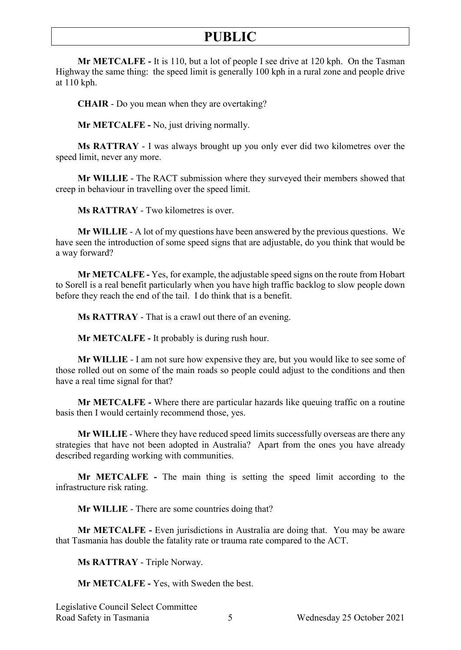**Mr METCALFE -** It is 110, but a lot of people I see drive at 120 kph. On the Tasman Highway the same thing: the speed limit is generally 100 kph in a rural zone and people drive at 110 kph.

**CHAIR** - Do you mean when they are overtaking?

**Mr METCALFE -** No, just driving normally.

**Ms RATTRAY** - I was always brought up you only ever did two kilometres over the speed limit, never any more.

**Mr WILLIE** - The RACT submission where they surveyed their members showed that creep in behaviour in travelling over the speed limit.

**Ms RATTRAY** - Two kilometres is over.

**Mr WILLIE** - A lot of my questions have been answered by the previous questions. We have seen the introduction of some speed signs that are adjustable, do you think that would be a way forward?

**Mr METCALFE -** Yes, for example, the adjustable speed signs on the route from Hobart to Sorell is a real benefit particularly when you have high traffic backlog to slow people down before they reach the end of the tail. I do think that is a benefit.

**Ms RATTRAY** - That is a crawl out there of an evening.

**Mr METCALFE -** It probably is during rush hour.

**Mr WILLIE** - I am not sure how expensive they are, but you would like to see some of those rolled out on some of the main roads so people could adjust to the conditions and then have a real time signal for that?

**Mr METCALFE -** Where there are particular hazards like queuing traffic on a routine basis then I would certainly recommend those, yes.

**Mr WILLIE** - Where they have reduced speed limits successfully overseas are there any strategies that have not been adopted in Australia? Apart from the ones you have already described regarding working with communities.

**Mr METCALFE -** The main thing is setting the speed limit according to the infrastructure risk rating.

**Mr WILLIE** - There are some countries doing that?

**Mr METCALFE -** Even jurisdictions in Australia are doing that. You may be aware that Tasmania has double the fatality rate or trauma rate compared to the ACT.

**Ms RATTRAY** - Triple Norway.

**Mr METCALFE -** Yes, with Sweden the best.

Legislative Council Select Committee Road Safety in Tasmania 5 Wednesday 25 October 2021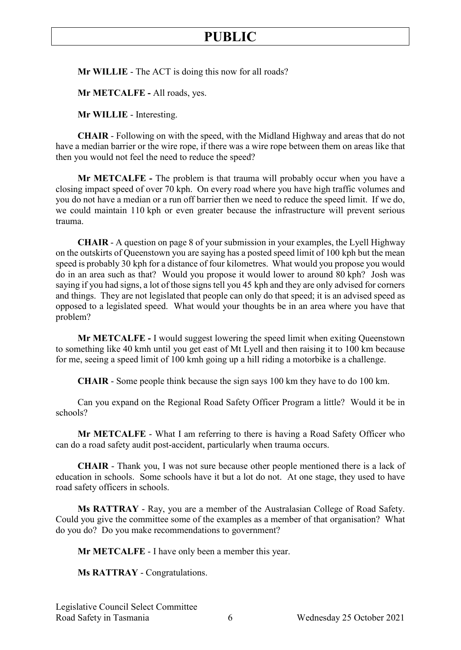**Mr WILLIE** - The ACT is doing this now for all roads?

**Mr METCALFE -** All roads, yes.

**Mr WILLIE** - Interesting.

**CHAIR** - Following on with the speed, with the Midland Highway and areas that do not have a median barrier or the wire rope, if there was a wire rope between them on areas like that then you would not feel the need to reduce the speed?

**Mr METCALFE -** The problem is that trauma will probably occur when you have a closing impact speed of over 70 kph. On every road where you have high traffic volumes and you do not have a median or a run off barrier then we need to reduce the speed limit. If we do, we could maintain 110 kph or even greater because the infrastructure will prevent serious trauma.

**CHAIR** - A question on page 8 of your submission in your examples, the Lyell Highway on the outskirts of Queenstown you are saying has a posted speed limit of 100 kph but the mean speed is probably 30 kph for a distance of four kilometres. What would you propose you would do in an area such as that? Would you propose it would lower to around 80 kph? Josh was saying if you had signs, a lot of those signs tell you 45 kph and they are only advised for corners and things. They are not legislated that people can only do that speed; it is an advised speed as opposed to a legislated speed. What would your thoughts be in an area where you have that problem?

**Mr METCALFE -** I would suggest lowering the speed limit when exiting Queenstown to something like 40 kmh until you get east of Mt Lyell and then raising it to 100 km because for me, seeing a speed limit of 100 kmh going up a hill riding a motorbike is a challenge.

**CHAIR** - Some people think because the sign says 100 km they have to do 100 km.

Can you expand on the Regional Road Safety Officer Program a little? Would it be in schools?

**Mr METCALFE** - What I am referring to there is having a Road Safety Officer who can do a road safety audit post-accident, particularly when trauma occurs.

**CHAIR** - Thank you, I was not sure because other people mentioned there is a lack of education in schools. Some schools have it but a lot do not. At one stage, they used to have road safety officers in schools.

**Ms RATTRAY** - Ray, you are a member of the Australasian College of Road Safety. Could you give the committee some of the examples as a member of that organisation? What do you do? Do you make recommendations to government?

**Mr METCALFE** - I have only been a member this year.

**Ms RATTRAY** - Congratulations.

Legislative Council Select Committee Road Safety in Tasmania  $\overline{6}$  Wednesday 25 October 2021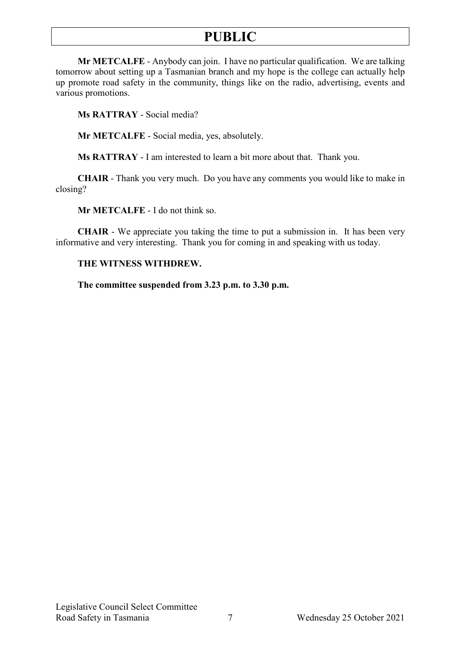**Mr METCALFE** - Anybody can join. I have no particular qualification. We are talking tomorrow about setting up a Tasmanian branch and my hope is the college can actually help up promote road safety in the community, things like on the radio, advertising, events and various promotions.

**Ms RATTRAY** - Social media?

**Mr METCALFE** - Social media, yes, absolutely.

**Ms RATTRAY** - I am interested to learn a bit more about that. Thank you.

**CHAIR** - Thank you very much. Do you have any comments you would like to make in closing?

**Mr METCALFE** - I do not think so.

**CHAIR** - We appreciate you taking the time to put a submission in. It has been very informative and very interesting. Thank you for coming in and speaking with us today.

#### **THE WITNESS WITHDREW.**

**The committee suspended from 3.23 p.m. to 3.30 p.m.**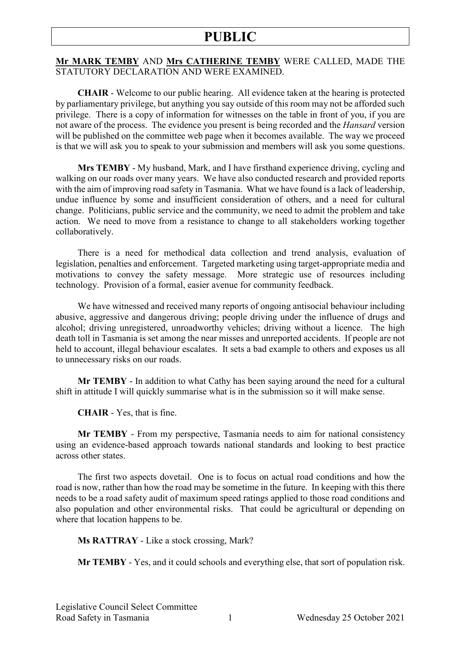#### **Mr MARK TEMBY** AND **Mrs CATHERINE TEMBY** WERE CALLED, MADE THE STATUTORY DECLARATION AND WERE EXAMINED.

**CHAIR** - Welcome to our public hearing. All evidence taken at the hearing is protected by parliamentary privilege, but anything you say outside of this room may not be afforded such privilege. There is a copy of information for witnesses on the table in front of you, if you are not aware of the process. The evidence you present is being recorded and the *Hansard* version will be published on the committee web page when it becomes available. The way we proceed is that we will ask you to speak to your submission and members will ask you some questions.

**Mrs TEMBY** - My husband, Mark, and I have firsthand experience driving, cycling and walking on our roads over many years. We have also conducted research and provided reports with the aim of improving road safety in Tasmania. What we have found is a lack of leadership, undue influence by some and insufficient consideration of others, and a need for cultural change. Politicians, public service and the community, we need to admit the problem and take action. We need to move from a resistance to change to all stakeholders working together collaboratively.

There is a need for methodical data collection and trend analysis, evaluation of legislation, penalties and enforcement. Targeted marketing using target-appropriate media and motivations to convey the safety message. More strategic use of resources including technology. Provision of a formal, easier avenue for community feedback.

We have witnessed and received many reports of ongoing antisocial behaviour including abusive, aggressive and dangerous driving; people driving under the influence of drugs and alcohol; driving unregistered, unroadworthy vehicles; driving without a licence. The high death toll in Tasmania is set among the near misses and unreported accidents. If people are not held to account, illegal behaviour escalates. It sets a bad example to others and exposes us all to unnecessary risks on our roads.

**Mr TEMBY** - In addition to what Cathy has been saying around the need for a cultural shift in attitude I will quickly summarise what is in the submission so it will make sense.

**CHAIR** - Yes, that is fine.

**Mr TEMBY** - From my perspective, Tasmania needs to aim for national consistency using an evidence-based approach towards national standards and looking to best practice across other states.

The first two aspects dovetail. One is to focus on actual road conditions and how the road is now, rather than how the road may be sometime in the future. In keeping with this there needs to be a road safety audit of maximum speed ratings applied to those road conditions and also population and other environmental risks. That could be agricultural or depending on where that location happens to be.

**Ms RATTRAY** - Like a stock crossing, Mark?

**Mr TEMBY** - Yes, and it could schools and everything else, that sort of population risk.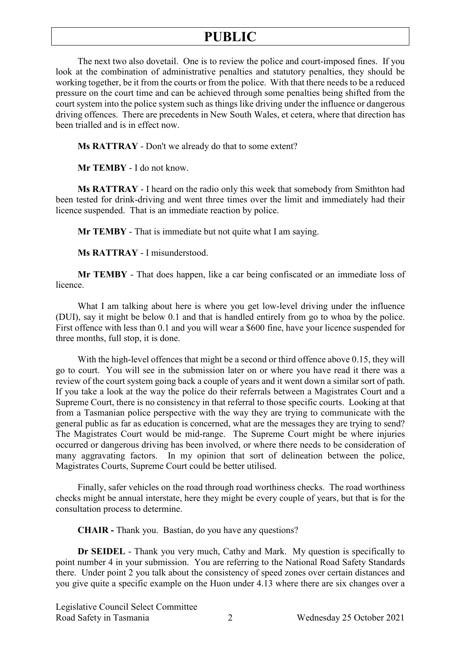The next two also dovetail. One is to review the police and court-imposed fines. If you look at the combination of administrative penalties and statutory penalties, they should be working together, be it from the courts or from the police. With that there needs to be a reduced pressure on the court time and can be achieved through some penalties being shifted from the court system into the police system such as things like driving under the influence or dangerous driving offences. There are precedents in New South Wales, et cetera, where that direction has been trialled and is in effect now.

**Ms RATTRAY** - Don't we already do that to some extent?

**Mr TEMBY** - I do not know.

**Ms RATTRAY** - I heard on the radio only this week that somebody from Smithton had been tested for drink-driving and went three times over the limit and immediately had their licence suspended. That is an immediate reaction by police.

**Mr TEMBY** - That is immediate but not quite what I am saying.

**Ms RATTRAY** - I misunderstood.

**Mr TEMBY** - That does happen, like a car being confiscated or an immediate loss of licence.

What I am talking about here is where you get low-level driving under the influence (DUI), say it might be below 0.1 and that is handled entirely from go to whoa by the police. First offence with less than 0.1 and you will wear a \$600 fine, have your licence suspended for three months, full stop, it is done.

With the high-level offences that might be a second or third offence above 0.15, they will go to court. You will see in the submission later on or where you have read it there was a review of the court system going back a couple of years and it went down a similar sort of path. If you take a look at the way the police do their referrals between a Magistrates Court and a Supreme Court, there is no consistency in that referral to those specific courts. Looking at that from a Tasmanian police perspective with the way they are trying to communicate with the general public as far as education is concerned, what are the messages they are trying to send? The Magistrates Court would be mid-range. The Supreme Court might be where injuries occurred or dangerous driving has been involved, or where there needs to be consideration of many aggravating factors. In my opinion that sort of delineation between the police, Magistrates Courts, Supreme Court could be better utilised.

Finally, safer vehicles on the road through road worthiness checks. The road worthiness checks might be annual interstate, here they might be every couple of years, but that is for the consultation process to determine.

**CHAIR -** Thank you. Bastian, do you have any questions?

**Dr SEIDEL** - Thank you very much, Cathy and Mark. My question is specifically to point number 4 in your submission. You are referring to the National Road Safety Standards there. Under point 2 you talk about the consistency of speed zones over certain distances and you give quite a specific example on the Huon under 4.13 where there are six changes over a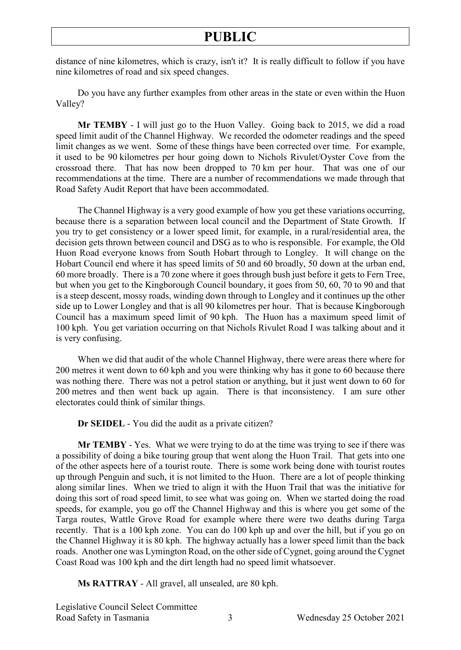distance of nine kilometres, which is crazy, isn't it? It is really difficult to follow if you have nine kilometres of road and six speed changes.

Do you have any further examples from other areas in the state or even within the Huon Valley?

**Mr TEMBY** - I will just go to the Huon Valley. Going back to 2015, we did a road speed limit audit of the Channel Highway. We recorded the odometer readings and the speed limit changes as we went. Some of these things have been corrected over time. For example, it used to be 90 kilometres per hour going down to Nichols Rivulet/Oyster Cove from the crossroad there. That has now been dropped to 70 km per hour. That was one of our recommendations at the time. There are a number of recommendations we made through that Road Safety Audit Report that have been accommodated.

The Channel Highway is a very good example of how you get these variations occurring, because there is a separation between local council and the Department of State Growth. If you try to get consistency or a lower speed limit, for example, in a rural/residential area, the decision gets thrown between council and DSG as to who is responsible. For example, the Old Huon Road everyone knows from South Hobart through to Longley. It will change on the Hobart Council end where it has speed limits of 50 and 60 broadly, 50 down at the urban end, 60 more broadly. There is a 70 zone where it goes through bush just before it gets to Fern Tree, but when you get to the Kingborough Council boundary, it goes from 50, 60, 70 to 90 and that is a steep descent, mossy roads, winding down through to Longley and it continues up the other side up to Lower Longley and that is all 90 kilometres per hour. That is because Kingborough Council has a maximum speed limit of 90 kph. The Huon has a maximum speed limit of 100 kph. You get variation occurring on that Nichols Rivulet Road I was talking about and it is very confusing.

When we did that audit of the whole Channel Highway, there were areas there where for 200 metres it went down to 60 kph and you were thinking why has it gone to 60 because there was nothing there. There was not a petrol station or anything, but it just went down to 60 for 200 metres and then went back up again. There is that inconsistency. I am sure other electorates could think of similar things.

**Dr SEIDEL** - You did the audit as a private citizen?

**Mr TEMBY** - Yes. What we were trying to do at the time was trying to see if there was a possibility of doing a bike touring group that went along the Huon Trail. That gets into one of the other aspects here of a tourist route. There is some work being done with tourist routes up through Penguin and such, it is not limited to the Huon. There are a lot of people thinking along similar lines. When we tried to align it with the Huon Trail that was the initiative for doing this sort of road speed limit, to see what was going on. When we started doing the road speeds, for example, you go off the Channel Highway and this is where you get some of the Targa routes, Wattle Grove Road for example where there were two deaths during Targa recently. That is a 100 kph zone. You can do 100 kph up and over the hill, but if you go on the Channel Highway it is 80 kph. The highway actually has a lower speed limit than the back roads. Another one was Lymington Road, on the other side of Cygnet, going around the Cygnet Coast Road was 100 kph and the dirt length had no speed limit whatsoever.

**Ms RATTRAY** - All gravel, all unsealed, are 80 kph.

Legislative Council Select Committee Road Safety in Tasmania 3 Wednesday 25 October 2021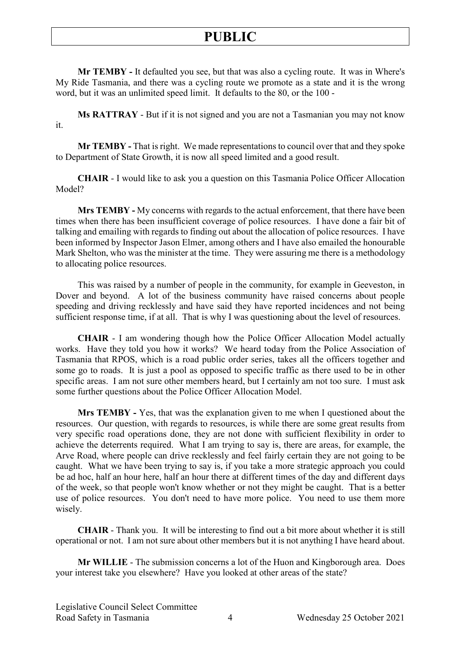**Mr TEMBY -** It defaulted you see, but that was also a cycling route. It was in Where's My Ride Tasmania, and there was a cycling route we promote as a state and it is the wrong word, but it was an unlimited speed limit. It defaults to the 80, or the 100 -

**Ms RATTRAY** - But if it is not signed and you are not a Tasmanian you may not know it.

**Mr TEMBY -** That is right. We made representations to council over that and they spoke to Department of State Growth, it is now all speed limited and a good result.

**CHAIR** - I would like to ask you a question on this Tasmania Police Officer Allocation Model?

**Mrs TEMBY -** My concerns with regards to the actual enforcement, that there have been times when there has been insufficient coverage of police resources. I have done a fair bit of talking and emailing with regards to finding out about the allocation of police resources. I have been informed by Inspector Jason Elmer, among others and I have also emailed the honourable Mark Shelton, who was the minister at the time. They were assuring me there is a methodology to allocating police resources.

This was raised by a number of people in the community, for example in Geeveston, in Dover and beyond. A lot of the business community have raised concerns about people speeding and driving recklessly and have said they have reported incidences and not being sufficient response time, if at all. That is why I was questioning about the level of resources.

**CHAIR** - I am wondering though how the Police Officer Allocation Model actually works. Have they told you how it works? We heard today from the Police Association of Tasmania that RPOS, which is a road public order series, takes all the officers together and some go to roads. It is just a pool as opposed to specific traffic as there used to be in other specific areas. I am not sure other members heard, but I certainly am not too sure. I must ask some further questions about the Police Officer Allocation Model.

**Mrs TEMBY -** Yes, that was the explanation given to me when I questioned about the resources. Our question, with regards to resources, is while there are some great results from very specific road operations done, they are not done with sufficient flexibility in order to achieve the deterrents required. What I am trying to say is, there are areas, for example, the Arve Road, where people can drive recklessly and feel fairly certain they are not going to be caught. What we have been trying to say is, if you take a more strategic approach you could be ad hoc, half an hour here, half an hour there at different times of the day and different days of the week, so that people won't know whether or not they might be caught. That is a better use of police resources. You don't need to have more police. You need to use them more wisely.

**CHAIR** - Thank you. It will be interesting to find out a bit more about whether it is still operational or not. I am not sure about other members but it is not anything I have heard about.

**Mr WILLIE** - The submission concerns a lot of the Huon and Kingborough area. Does your interest take you elsewhere? Have you looked at other areas of the state?

Legislative Council Select Committee Road Safety in Tasmania  $\overline{4}$  Wednesday 25 October 2021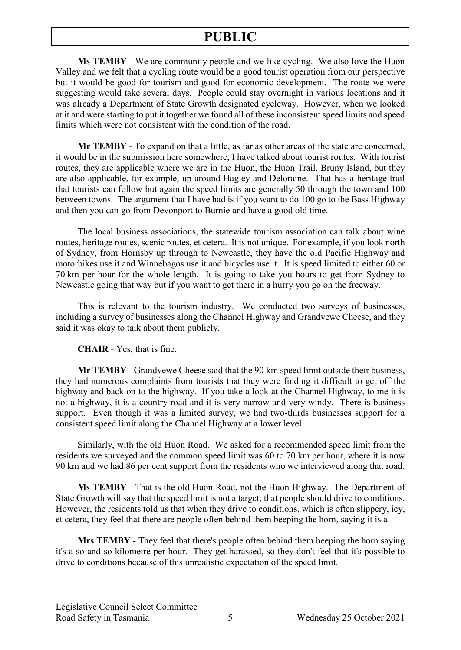**Ms TEMBY** - We are community people and we like cycling. We also love the Huon Valley and we felt that a cycling route would be a good tourist operation from our perspective but it would be good for tourism and good for economic development. The route we were suggesting would take several days. People could stay overnight in various locations and it was already a Department of State Growth designated cycleway. However, when we looked at it and were starting to put it together we found all of these inconsistent speed limits and speed limits which were not consistent with the condition of the road.

**Mr TEMBY** - To expand on that a little, as far as other areas of the state are concerned, it would be in the submission here somewhere, I have talked about tourist routes. With tourist routes, they are applicable where we are in the Huon, the Huon Trail, Bruny Island, but they are also applicable, for example, up around Hagley and Deloraine. That has a heritage trail that tourists can follow but again the speed limits are generally 50 through the town and 100 between towns. The argument that I have had is if you want to do 100 go to the Bass Highway and then you can go from Devonport to Burnie and have a good old time.

The local business associations, the statewide tourism association can talk about wine routes, heritage routes, scenic routes, et cetera. It is not unique. For example, if you look north of Sydney, from Hornsby up through to Newcastle, they have the old Pacific Highway and motorbikes use it and Winnebagos use it and bicycles use it. It is speed limited to either 60 or 70 km per hour for the whole length. It is going to take you hours to get from Sydney to Newcastle going that way but if you want to get there in a hurry you go on the freeway.

This is relevant to the tourism industry. We conducted two surveys of businesses, including a survey of businesses along the Channel Highway and Grandvewe Cheese, and they said it was okay to talk about them publicly.

#### **CHAIR** - Yes, that is fine.

**Mr TEMBY** - Grandvewe Cheese said that the 90 km speed limit outside their business, they had numerous complaints from tourists that they were finding it difficult to get off the highway and back on to the highway. If you take a look at the Channel Highway, to me it is not a highway, it is a country road and it is very narrow and very windy. There is business support. Even though it was a limited survey, we had two-thirds businesses support for a consistent speed limit along the Channel Highway at a lower level.

Similarly, with the old Huon Road. We asked for a recommended speed limit from the residents we surveyed and the common speed limit was 60 to 70 km per hour, where it is now 90 km and we had 86 per cent support from the residents who we interviewed along that road.

**Ms TEMBY** - That is the old Huon Road, not the Huon Highway. The Department of State Growth will say that the speed limit is not a target; that people should drive to conditions. However, the residents told us that when they drive to conditions, which is often slippery, icy, et cetera, they feel that there are people often behind them beeping the horn, saying it is a -

**Mrs TEMBY** - They feel that there's people often behind them beeping the horn saying it's a so-and-so kilometre per hour. They get harassed, so they don't feel that it's possible to drive to conditions because of this unrealistic expectation of the speed limit.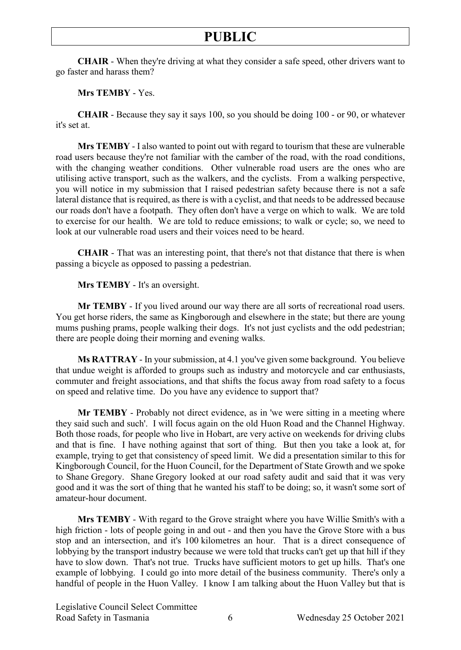**CHAIR** - When they're driving at what they consider a safe speed, other drivers want to go faster and harass them?

**Mrs TEMBY** - Yes.

**CHAIR** - Because they say it says 100, so you should be doing 100 - or 90, or whatever it's set at.

**Mrs TEMBY** - I also wanted to point out with regard to tourism that these are vulnerable road users because they're not familiar with the camber of the road, with the road conditions, with the changing weather conditions. Other vulnerable road users are the ones who are utilising active transport, such as the walkers, and the cyclists. From a walking perspective, you will notice in my submission that I raised pedestrian safety because there is not a safe lateral distance that is required, as there is with a cyclist, and that needs to be addressed because our roads don't have a footpath. They often don't have a verge on which to walk. We are told to exercise for our health. We are told to reduce emissions; to walk or cycle; so, we need to look at our vulnerable road users and their voices need to be heard.

**CHAIR** - That was an interesting point, that there's not that distance that there is when passing a bicycle as opposed to passing a pedestrian.

**Mrs TEMBY** - It's an oversight.

**Mr TEMBY** - If you lived around our way there are all sorts of recreational road users. You get horse riders, the same as Kingborough and elsewhere in the state; but there are young mums pushing prams, people walking their dogs. It's not just cyclists and the odd pedestrian; there are people doing their morning and evening walks.

**Ms RATTRAY** - In your submission, at 4.1 you've given some background. You believe that undue weight is afforded to groups such as industry and motorcycle and car enthusiasts, commuter and freight associations, and that shifts the focus away from road safety to a focus on speed and relative time. Do you have any evidence to support that?

**Mr TEMBY** - Probably not direct evidence, as in 'we were sitting in a meeting where they said such and such'. I will focus again on the old Huon Road and the Channel Highway. Both those roads, for people who live in Hobart, are very active on weekends for driving clubs and that is fine. I have nothing against that sort of thing. But then you take a look at, for example, trying to get that consistency of speed limit. We did a presentation similar to this for Kingborough Council, for the Huon Council, for the Department of State Growth and we spoke to Shane Gregory. Shane Gregory looked at our road safety audit and said that it was very good and it was the sort of thing that he wanted his staff to be doing; so, it wasn't some sort of amateur-hour document.

**Mrs TEMBY** - With regard to the Grove straight where you have Willie Smith's with a high friction - lots of people going in and out - and then you have the Grove Store with a bus stop and an intersection, and it's 100 kilometres an hour. That is a direct consequence of lobbying by the transport industry because we were told that trucks can't get up that hill if they have to slow down. That's not true. Trucks have sufficient motors to get up hills. That's one example of lobbying. I could go into more detail of the business community. There's only a handful of people in the Huon Valley. I know I am talking about the Huon Valley but that is

Legislative Council Select Committee Road Safety in Tasmania  $\overline{6}$  Wednesday 25 October 2021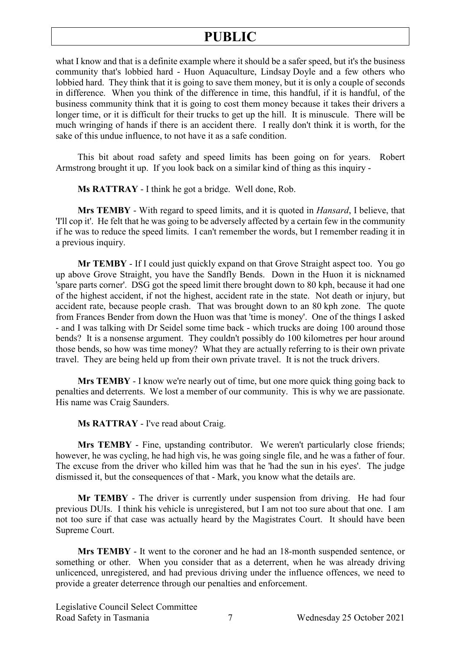## **PUBLIC**

what I know and that is a definite example where it should be a safer speed, but it's the business community that's lobbied hard - Huon Aquaculture, Lindsay Doyle and a few others who lobbied hard. They think that it is going to save them money, but it is only a couple of seconds in difference. When you think of the difference in time, this handful, if it is handful, of the business community think that it is going to cost them money because it takes their drivers a longer time, or it is difficult for their trucks to get up the hill. It is minuscule. There will be much wringing of hands if there is an accident there. I really don't think it is worth, for the sake of this undue influence, to not have it as a safe condition.

This bit about road safety and speed limits has been going on for years. Robert Armstrong brought it up. If you look back on a similar kind of thing as this inquiry -

**Ms RATTRAY** - I think he got a bridge. Well done, Rob.

**Mrs TEMBY** - With regard to speed limits, and it is quoted in *Hansard*, I believe, that 'I'll cop it'. He felt that he was going to be adversely affected by a certain few in the community if he was to reduce the speed limits. I can't remember the words, but I remember reading it in a previous inquiry.

**Mr TEMBY** - If I could just quickly expand on that Grove Straight aspect too. You go up above Grove Straight, you have the Sandfly Bends. Down in the Huon it is nicknamed 'spare parts corner'. DSG got the speed limit there brought down to 80 kph, because it had one of the highest accident, if not the highest, accident rate in the state. Not death or injury, but accident rate, because people crash. That was brought down to an 80 kph zone. The quote from Frances Bender from down the Huon was that 'time is money'. One of the things I asked - and I was talking with Dr Seidel some time back - which trucks are doing 100 around those bends? It is a nonsense argument. They couldn't possibly do 100 kilometres per hour around those bends, so how was time money? What they are actually referring to is their own private travel. They are being held up from their own private travel. It is not the truck drivers.

**Mrs TEMBY** - I know we're nearly out of time, but one more quick thing going back to penalties and deterrents. We lost a member of our community. This is why we are passionate. His name was Craig Saunders.

**Ms RATTRAY** - I've read about Craig.

**Mrs TEMBY** - Fine, upstanding contributor. We weren't particularly close friends; however, he was cycling, he had high vis, he was going single file, and he was a father of four. The excuse from the driver who killed him was that he 'had the sun in his eyes'. The judge dismissed it, but the consequences of that - Mark, you know what the details are.

**Mr TEMBY** - The driver is currently under suspension from driving. He had four previous DUIs. I think his vehicle is unregistered, but I am not too sure about that one. I am not too sure if that case was actually heard by the Magistrates Court. It should have been Supreme Court.

**Mrs TEMBY** - It went to the coroner and he had an 18-month suspended sentence, or something or other. When you consider that as a deterrent, when he was already driving unlicenced, unregistered, and had previous driving under the influence offences, we need to provide a greater deterrence through our penalties and enforcement.

Legislative Council Select Committee Road Safety in Tasmania  $\overline{7}$  Wednesday 25 October 2021